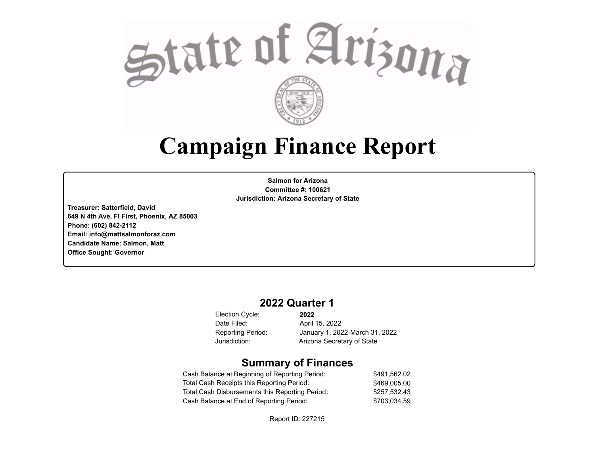

# **Campaign Finance Report**

**Salmon for Arizona Committee #: 100621 Jurisdiction: Arizona Secretary of State**

**Treasurer: Satterfield, David 649 N 4th Ave, Fl First, Phoenix, AZ 85003 Phone: (602) 842-2112 Email: info@mattsalmonforaz.com Candidate Name: Salmon, Matt Office Sought: Governor**

### **2022 Quarter 1**

Election Cycle: Date Filed:

**2022** April 15, 2022 Reporting Period: January 1, 2022-March 31, 2022 Jurisdiction: Arizona Secretary of State

### **Summary of Finances**

| Cash Balance at Beginning of Reporting Period:  | \$491.562.02 |
|-------------------------------------------------|--------------|
| Total Cash Receipts this Reporting Period:      | \$469,005.00 |
| Total Cash Disbursements this Reporting Period: | \$257.532.43 |
| Cash Balance at End of Reporting Period:        | \$703.034.59 |

Report ID: 227215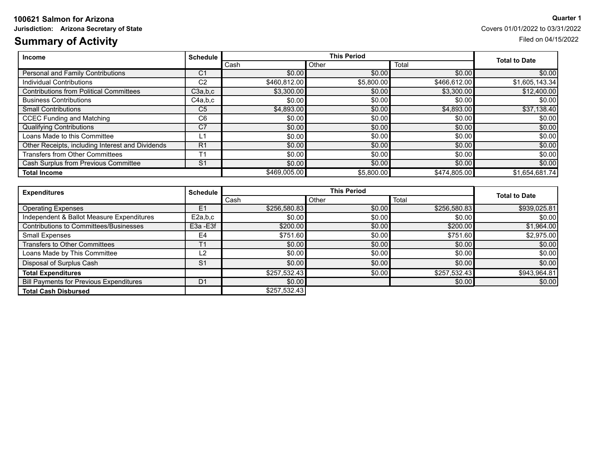### **100621 Salmon for Arizona Quarter 1**

### **Summary of Activity** Filed on 04/15/2022

**Jurisdiction:** Arizona Secretary of State Covers 01/01/2022 to 03/31/2022

| <b>Income</b>                                    | <b>Schedule</b> |              | <b>This Period</b> |              |                      |
|--------------------------------------------------|-----------------|--------------|--------------------|--------------|----------------------|
|                                                  |                 | Cash         | Other              | Total        | <b>Total to Date</b> |
| <b>Personal and Family Contributions</b>         | C <sub>1</sub>  | \$0.00       | \$0.00             | \$0.00       | \$0.00               |
| Individual Contributions                         | C <sub>2</sub>  | \$460,812,00 | \$5,800.00         | \$466,612.00 | \$1,605,143.34       |
| <b>Contributions from Political Committees</b>   | C3a.b.c         | \$3,300.00   | \$0.00             | \$3,300.00   | \$12,400.00          |
| <b>Business Contributions</b>                    | C4a,b,c         | \$0.00       | \$0.00             | \$0.00       | \$0.00               |
| <b>Small Contributions</b>                       | C <sub>5</sub>  | \$4,893.00   | \$0.00             | \$4,893.00   | \$37,138.40          |
| <b>CCEC Funding and Matching</b>                 | C <sub>6</sub>  | \$0.00       | \$0.00             | \$0.00       | \$0.00]              |
| <b>Qualifying Contributions</b>                  | C <sub>7</sub>  | \$0.00]      | \$0.00             | \$0.00       | \$0.00               |
| Loans Made to this Committee                     | L1              | \$0.00]      | \$0.00             | \$0.00       | \$0.00]              |
| Other Receipts, including Interest and Dividends | R <sub>1</sub>  | \$0.00       | \$0.00             | \$0.00       | \$0.00               |
| Transfers from Other Committees                  | T <sub>1</sub>  | \$0.00       | \$0.00             | \$0.00       | \$0.00               |
| Cash Surplus from Previous Committee             | S <sub>1</sub>  | \$0.00]      | \$0.00             | \$0.00       | \$0.00               |
| <b>Total Income</b>                              |                 | \$469,005,00 | \$5,800.00         | \$474,805,00 | \$1,654,681.74]      |

| <b>Expenditures</b>                            | <b>Schedule</b> |              | <b>This Period</b> |              |                      |
|------------------------------------------------|-----------------|--------------|--------------------|--------------|----------------------|
|                                                |                 | Cash         | Other              | Total        | <b>Total to Date</b> |
| <b>Operating Expenses</b>                      | E <sub>1</sub>  | \$256,580.83 | \$0.00             | \$256,580.83 | \$939,025.81         |
| Independent & Ballot Measure Expenditures      | E2a,b,c         | \$0.00       | \$0.00             | \$0.00       | \$0.00               |
| Contributions to Committees/Businesses         | E3a - E3f       | \$200.00     | \$0.00             | \$200.00     | \$1,964.00           |
| <b>Small Expenses</b>                          | E <sub>4</sub>  | \$751.60     | \$0.00             | \$751.60     | \$2,975.00           |
| <b>Transfers to Other Committees</b>           |                 | \$0.00]      | \$0.00             | \$0.00       | \$0.00               |
| Loans Made by This Committee                   | L2              | \$0.00       | \$0.00             | \$0.00       | \$0.00               |
| Disposal of Surplus Cash                       | S <sub>1</sub>  | \$0.00       | \$0.00             | \$0.00       | \$0.00               |
| <b>Total Expenditures</b>                      |                 | \$257,532.43 | \$0.00             | \$257,532.43 | \$943,964.81         |
| <b>Bill Payments for Previous Expenditures</b> | D <sub>1</sub>  | \$0.00       |                    | \$0.00       | \$0.00               |
| <b>Total Cash Disbursed</b>                    |                 | \$257,532.43 |                    |              |                      |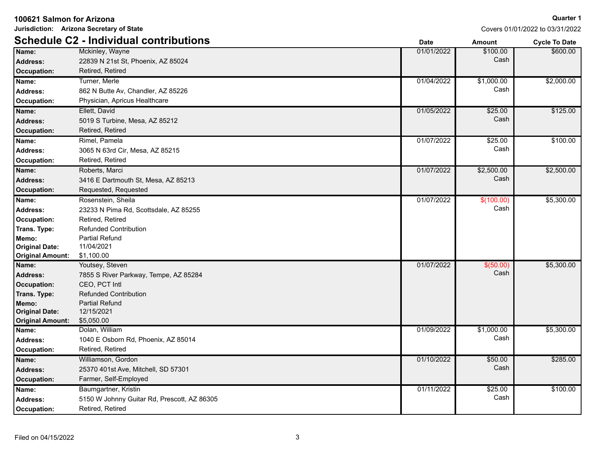| Jurisdiction: Arizona Secretary of State |                                               |             |               | Covers 01/01/2022 to 03/31/2022 |
|------------------------------------------|-----------------------------------------------|-------------|---------------|---------------------------------|
|                                          | <b>Schedule C2 - Individual contributions</b> | <b>Date</b> | <b>Amount</b> | <b>Cycle To Date</b>            |
| Name:                                    | Mckinley, Wayne                               | 01/01/2022  | \$100.00      | \$600.00                        |
| <b>Address:</b>                          | 22839 N 21st St, Phoenix, AZ 85024            |             | Cash          |                                 |
| Occupation:                              | Retired, Retired                              |             |               |                                 |
| Name:                                    | Turner, Merle                                 | 01/04/2022  | \$1,000.00    | \$2,000.00                      |
| <b>Address:</b>                          | 862 N Butte Av, Chandler, AZ 85226            |             | Cash          |                                 |
| Occupation:                              | Physician, Apricus Healthcare                 |             |               |                                 |
| Name:                                    | Ellett, David                                 | 01/05/2022  | \$25.00       | \$125.00                        |
| <b>Address:</b>                          | 5019 S Turbine, Mesa, AZ 85212                |             | Cash          |                                 |
| <b>Occupation:</b>                       | Retired, Retired                              |             |               |                                 |
| Name:                                    | Rimel, Pamela                                 | 01/07/2022  | \$25.00       | \$100.00                        |
| <b>Address:</b>                          | 3065 N 63rd Cir, Mesa, AZ 85215               |             | Cash          |                                 |
| <b>Occupation:</b>                       | Retired, Retired                              |             |               |                                 |
| Name:                                    | Roberts, Marci                                | 01/07/2022  | \$2,500.00    | \$2,500.00                      |
| <b>Address:</b>                          | 3416 E Dartmouth St, Mesa, AZ 85213           |             | Cash          |                                 |
| Occupation:                              | Requested, Requested                          |             |               |                                 |
| Name:                                    | Rosenstein, Sheila                            | 01/07/2022  | \$(100.00)    | \$5,300.00                      |
| <b>Address:</b>                          | 23233 N Pima Rd, Scottsdale, AZ 85255         |             | Cash          |                                 |
| Occupation:                              | Retired, Retired                              |             |               |                                 |
| Trans. Type:                             | <b>Refunded Contribution</b>                  |             |               |                                 |
| Memo:                                    | Partial Refund                                |             |               |                                 |
| <b>Original Date:</b>                    | 11/04/2021                                    |             |               |                                 |
| <b>Original Amount:</b>                  | \$1,100.00                                    |             |               |                                 |
| Name:                                    | Youtsey, Steven                               | 01/07/2022  | \$ (50.00)    | \$5,300.00                      |
| <b>Address:</b>                          | 7855 S River Parkway, Tempe, AZ 85284         |             | Cash          |                                 |
| Occupation:                              | CEO, PCT Intl                                 |             |               |                                 |
| Trans. Type:                             | <b>Refunded Contribution</b>                  |             |               |                                 |
| Memo:                                    | <b>Partial Refund</b>                         |             |               |                                 |
| <b>Original Date:</b>                    | 12/15/2021<br>\$5,050.00                      |             |               |                                 |
| <b>Original Amount:</b><br>Name:         | Dolan, William                                | 01/09/2022  | \$1,000.00    | \$5,300.00                      |
| <b>Address:</b>                          | 1040 E Osborn Rd, Phoenix, AZ 85014           |             | Cash          |                                 |
| Occupation:                              | Retired, Retired                              |             |               |                                 |
| Name:                                    | Williamson, Gordon                            | 01/10/2022  | \$50.00       | \$285.00                        |
| <b>Address:</b>                          | 25370 401st Ave, Mitchell, SD 57301           |             | Cash          |                                 |
| Occupation:                              | Farmer, Self-Employed                         |             |               |                                 |
|                                          |                                               |             | \$25.00       | \$100.00                        |
| Name:                                    | Baumgartner, Kristin                          | 01/11/2022  | Cash          |                                 |
| <b>Address:</b>                          | 5150 W Johnny Guitar Rd, Prescott, AZ 86305   |             |               |                                 |
| Occupation:                              | Retired, Retired                              |             |               |                                 |

3

**Quarter 1**

### **100621 Salmon for Arizona**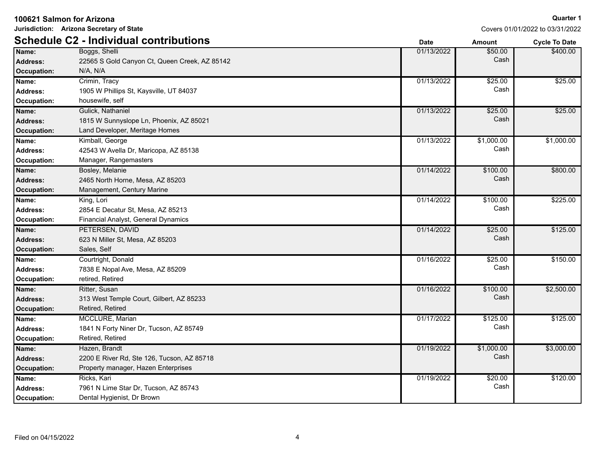| 100621 Salmon for Arizona |  |  |  |  |
|---------------------------|--|--|--|--|
|---------------------------|--|--|--|--|

**Jurisdiction: Arizona Secretary of State**

|                 | <b>Schedule C2 - Individual contributions</b> | <b>Date</b> | <b>Amount</b> | <b>Cycle To Date</b> |
|-----------------|-----------------------------------------------|-------------|---------------|----------------------|
| Name:           | Boggs, Shelli                                 | 01/13/2022  | \$50.00       | \$400.00             |
| <b>Address:</b> | 22565 S Gold Canyon Ct, Queen Creek, AZ 85142 |             | Cash          |                      |
| Occupation:     | N/A, N/A                                      |             |               |                      |
| Name:           | Crimin, Tracy                                 | 01/13/2022  | \$25.00       | \$25.00              |
| <b>Address:</b> | 1905 W Phillips St, Kaysville, UT 84037       |             | Cash          |                      |
| Occupation:     | housewife, self                               |             |               |                      |
| Name:           | Gulick, Nathaniel                             | 01/13/2022  | \$25.00       | \$25.00              |
| <b>Address:</b> | 1815 W Sunnyslope Ln, Phoenix, AZ 85021       |             | Cash          |                      |
| Occupation:     | Land Developer, Meritage Homes                |             |               |                      |
| Name:           | Kimball, George                               | 01/13/2022  | \$1,000.00    | \$1,000.00           |
| Address:        | 42543 W Avella Dr, Maricopa, AZ 85138         |             | Cash          |                      |
| Occupation:     | Manager, Rangemasters                         |             |               |                      |
| Name:           | Bosley, Melanie                               | 01/14/2022  | \$100.00      | \$800.00             |
| <b>Address:</b> | 2465 North Horne, Mesa, AZ 85203              |             | Cash          |                      |
| Occupation:     | Management, Century Marine                    |             |               |                      |
| Name:           | King, Lori                                    | 01/14/2022  | \$100.00      | \$225.00             |
| <b>Address:</b> | 2854 E Decatur St, Mesa, AZ 85213             |             | Cash          |                      |
| Occupation:     | Financial Analyst, General Dynamics           |             |               |                      |
| Name:           | PETERSEN, DAVID                               | 01/14/2022  | \$25.00       | \$125.00             |
| <b>Address:</b> | 623 N Miller St, Mesa, AZ 85203               |             | Cash          |                      |
| Occupation:     | Sales, Self                                   |             |               |                      |
| Name:           | Courtright, Donald                            | 01/16/2022  | \$25.00       | \$150.00             |
| <b>Address:</b> | 7838 E Nopal Ave, Mesa, AZ 85209              |             | Cash          |                      |
| Occupation:     | retired, Retired                              |             |               |                      |
| Name:           | Ritter, Susan                                 | 01/16/2022  | \$100.00      | \$2,500.00           |
| <b>Address:</b> | 313 West Temple Court, Gilbert, AZ 85233      |             | Cash          |                      |
| Occupation:     | Retired, Retired                              |             |               |                      |
| Name:           | MCCLURE, Marian                               | 01/17/2022  | \$125.00      | \$125.00             |
| <b>Address:</b> | 1841 N Forty Niner Dr, Tucson, AZ 85749       |             | Cash          |                      |
| Occupation:     | Retired, Retired                              |             |               |                      |
| Name:           | Hazen, Brandt                                 | 01/19/2022  | \$1,000.00    | \$3,000.00           |
| Address:        | 2200 E River Rd, Ste 126, Tucson, AZ 85718    |             | Cash          |                      |
| Occupation:     | Property manager, Hazen Enterprises           |             |               |                      |
| Name:           | Ricks, Kari                                   | 01/19/2022  | \$20.00       | \$120.00             |
| <b>Address:</b> | 7961 N Lime Star Dr, Tucson, AZ 85743         |             | Cash          |                      |
| Occupation:     | Dental Hygienist, Dr Brown                    |             |               |                      |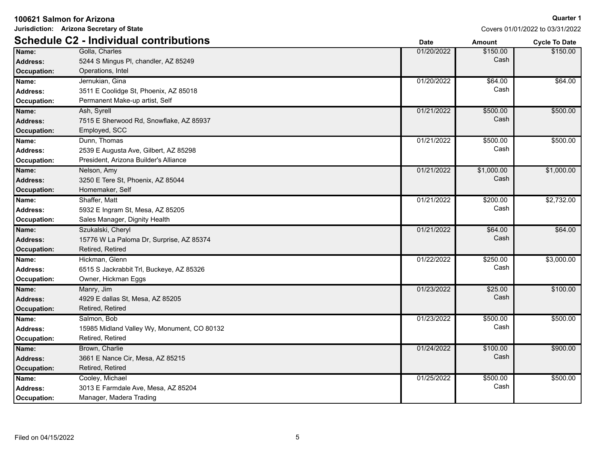|--|

**Jurisdiction: Arizona Secretary of State**

|                    | <b>Schedule C2 - Individual contributions</b> | <b>Date</b> | <b>Amount</b> | <b>Cycle To Date</b> |
|--------------------|-----------------------------------------------|-------------|---------------|----------------------|
| Name:              | Golla, Charles                                | 01/20/2022  | \$150.00      | \$150.00             |
| Address:           | 5244 S Mingus PI, chandler, AZ 85249          |             | Cash          |                      |
| Occupation:        | Operations, Intel                             |             |               |                      |
| Name:              | Jernukian, Gina                               | 01/20/2022  | \$64.00       | \$64.00              |
| Address:           | 3511 E Coolidge St, Phoenix, AZ 85018         |             | Cash          |                      |
| <b>Occupation:</b> | Permanent Make-up artist, Self                |             |               |                      |
| Name:              | Ash, Syrell                                   | 01/21/2022  | \$500.00      | \$500.00             |
| Address:           | 7515 E Sherwood Rd, Snowflake, AZ 85937       |             | Cash          |                      |
| <b>Occupation:</b> | Employed, SCC                                 |             |               |                      |
| Name:              | Dunn, Thomas                                  | 01/21/2022  | \$500.00      | \$500.00             |
| <b>Address:</b>    | 2539 E Augusta Ave, Gilbert, AZ 85298         |             | Cash          |                      |
| <b>Occupation:</b> | President, Arizona Builder's Alliance         |             |               |                      |
| Name:              | Nelson, Amy                                   | 01/21/2022  | \$1,000.00    | \$1,000.00           |
| Address:           | 3250 E Tere St, Phoenix, AZ 85044             |             | Cash          |                      |
| <b>Occupation:</b> | Homemaker, Self                               |             |               |                      |
| Name:              | Shaffer, Matt                                 | 01/21/2022  | \$200.00      | \$2,732.00           |
| <b>Address:</b>    | 5932 E Ingram St, Mesa, AZ 85205              |             | Cash          |                      |
| Occupation:        | Sales Manager, Dignity Health                 |             |               |                      |
| Name:              | Szukalski, Cheryl                             | 01/21/2022  | \$64.00       | \$64.00              |
| <b>Address:</b>    | 15776 W La Paloma Dr, Surprise, AZ 85374      |             | Cash          |                      |
| Occupation:        | Retired, Retired                              |             |               |                      |
| Name:              | Hickman, Glenn                                | 01/22/2022  | \$250.00      | \$3,000.00           |
| Address:           | 6515 S Jackrabbit Trl, Buckeye, AZ 85326      |             | Cash          |                      |
| Occupation:        | Owner, Hickman Eggs                           |             |               |                      |
| Name:              | Manry, Jim                                    | 01/23/2022  | \$25.00       | \$100.00             |
| Address:           | 4929 E dallas St, Mesa, AZ 85205              |             | Cash          |                      |
| Occupation:        | Retired, Retired                              |             |               |                      |
| Name:              | Salmon, Bob                                   | 01/23/2022  | \$500.00      | \$500.00             |
| Address:           | 15985 Midland Valley Wy, Monument, CO 80132   |             | Cash          |                      |
| Occupation:        | Retired, Retired                              |             |               |                      |
| Name:              | Brown, Charlie                                | 01/24/2022  | \$100.00      | \$900.00             |
| Address:           | 3661 E Nance Cir, Mesa, AZ 85215              |             | Cash          |                      |
| Occupation:        | Retired, Retired                              |             |               |                      |
| Name:              | Cooley, Michael                               | 01/25/2022  | \$500.00      | \$500.00             |
| <b>Address:</b>    | 3013 E Farmdale Ave, Mesa, AZ 85204           |             | Cash          |                      |
| Occupation:        | Manager, Madera Trading                       |             |               |                      |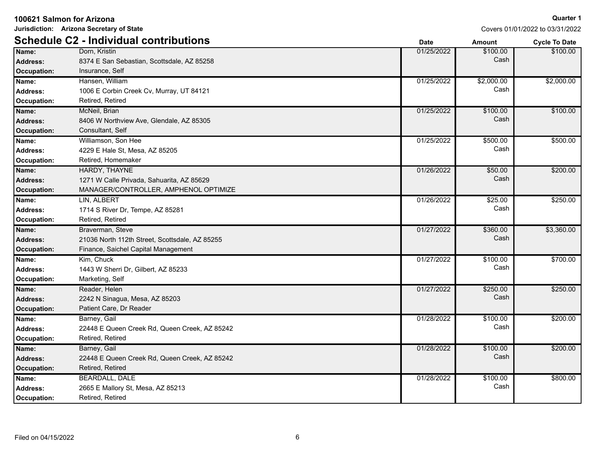**Jurisdiction: Arizona Secretary of State**

### **Quarter 1**

|                 | <b>Schedule C2 - Individual contributions</b>  | <b>Date</b> | <b>Amount</b> | <b>Cycle To Date</b> |
|-----------------|------------------------------------------------|-------------|---------------|----------------------|
| Name:           | Dorn, Kristin                                  | 01/25/2022  | \$100.00      | \$100.00             |
| Address:        | 8374 E San Sebastian, Scottsdale, AZ 85258     |             | Cash          |                      |
| Occupation:     | Insurance, Self                                |             |               |                      |
| Name:           | Hansen, William                                | 01/25/2022  | \$2,000.00    | \$2,000.00           |
| <b>Address:</b> | 1006 E Corbin Creek Cv, Murray, UT 84121       |             | Cash          |                      |
| Occupation:     | Retired, Retired                               |             |               |                      |
| Name:           | McNeil, Brian                                  | 01/25/2022  | \$100.00      | \$100.00             |
| Address:        | 8406 W Northview Ave, Glendale, AZ 85305       |             | Cash          |                      |
| Occupation:     | Consultant, Self                               |             |               |                      |
| Name:           | Williamson, Son Hee                            | 01/25/2022  | \$500.00      | \$500.00             |
| <b>Address:</b> | 4229 E Hale St, Mesa, AZ 85205                 |             | Cash          |                      |
| Occupation:     | Retired, Homemaker                             |             |               |                      |
| Name:           | HARDY, THAYNE                                  | 01/26/2022  | \$50.00       | \$200.00             |
| <b>Address:</b> | 1271 W Calle Privada, Sahuarita, AZ 85629      |             | Cash          |                      |
| Occupation:     | MANAGER/CONTROLLER, AMPHENOL OPTIMIZE          |             |               |                      |
| Name:           | LIN. ALBERT                                    | 01/26/2022  | \$25.00       | \$250.00             |
| <b>Address:</b> | 1714 S River Dr, Tempe, AZ 85281               |             | Cash          |                      |
| Occupation:     | Retired, Retired                               |             |               |                      |
| Name:           | Braverman, Steve                               | 01/27/2022  | \$360.00      | \$3,360.00           |
| <b>Address:</b> | 21036 North 112th Street, Scottsdale, AZ 85255 |             | Cash          |                      |
| Occupation:     | Finance, Saichel Capital Management            |             |               |                      |
| Name:           | Kim, Chuck                                     | 01/27/2022  | \$100.00      | \$700.00             |
| <b>Address:</b> | 1443 W Sherri Dr, Gilbert, AZ 85233            |             | Cash          |                      |
| Occupation:     | Marketing, Self                                |             |               |                      |
| Name:           | Reader, Helen                                  | 01/27/2022  | \$250.00      | \$250.00             |
| Address:        | 2242 N Sinagua, Mesa, AZ 85203                 |             | Cash          |                      |
| Occupation:     | Patient Care, Dr Reader                        |             |               |                      |
| Name:           | Barney, Gail                                   | 01/28/2022  | \$100.00      | \$200.00             |
| Address:        | 22448 E Queen Creek Rd, Queen Creek, AZ 85242  |             | Cash          |                      |
| Occupation:     | Retired, Retired                               |             |               |                      |
| Name:           | Barney, Gail                                   | 01/28/2022  | \$100.00      | \$200.00             |
| <b>Address:</b> | 22448 E Queen Creek Rd, Queen Creek, AZ 85242  |             | Cash          |                      |
| Occupation:     | Retired, Retired                               |             |               |                      |
| Name:           | <b>BEARDALL, DALE</b>                          | 01/28/2022  | \$100.00      | \$800.00             |
| <b>Address:</b> | 2665 E Mallory St, Mesa, AZ 85213              |             | Cash          |                      |
| Occupation:     | Retired, Retired                               |             |               |                      |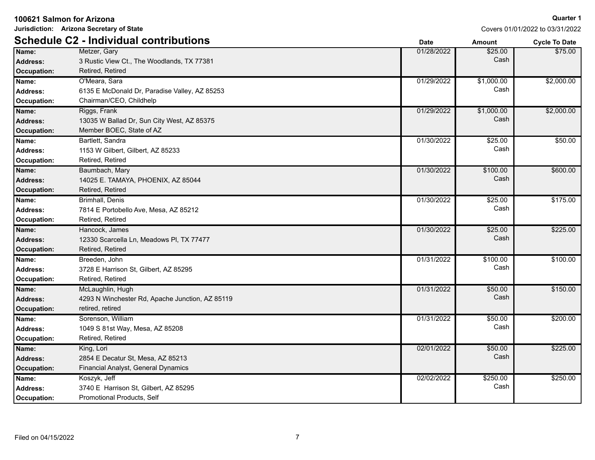**Jurisdiction: Arizona Secretary of State**

|                    | <b>Schedule C2 - Individual contributions</b>   | <b>Date</b> | <b>Amount</b> | <b>Cycle To Date</b> |
|--------------------|-------------------------------------------------|-------------|---------------|----------------------|
| Name:              | Metzer, Gary                                    | 01/28/2022  | \$25.00       | \$75.00              |
| <b>Address:</b>    | 3 Rustic View Ct., The Woodlands, TX 77381      |             | Cash          |                      |
| Occupation:        | Retired, Retired                                |             |               |                      |
| Name:              | O'Meara, Sara                                   | 01/29/2022  | \$1,000.00    | \$2,000.00           |
| Address:           | 6135 E McDonald Dr, Paradise Valley, AZ 85253   |             | Cash          |                      |
| <b>Occupation:</b> | Chairman/CEO, Childhelp                         |             |               |                      |
| Name:              | Riggs, Frank                                    | 01/29/2022  | \$1,000.00    | \$2,000.00           |
| <b>Address:</b>    | 13035 W Ballad Dr, Sun City West, AZ 85375      |             | Cash          |                      |
| Occupation:        | Member BOEC, State of AZ                        |             |               |                      |
| Name:              | Bartlett, Sandra                                | 01/30/2022  | \$25.00       | \$50.00              |
| <b>Address:</b>    | 1153 W Gilbert, Gilbert, AZ 85233               |             | Cash          |                      |
| Occupation:        | Retired, Retired                                |             |               |                      |
| Name:              | Baumbach, Mary                                  | 01/30/2022  | \$100.00      | \$600.00             |
| <b>Address:</b>    | 14025 E. TAMAYA, PHOENIX, AZ 85044              |             | Cash          |                      |
| Occupation:        | Retired, Retired                                |             |               |                      |
| Name:              | <b>Brimhall, Denis</b>                          | 01/30/2022  | \$25.00       | \$175.00             |
| <b>Address:</b>    | 7814 E Portobello Ave, Mesa, AZ 85212           |             | Cash          |                      |
| Occupation:        | Retired, Retired                                |             |               |                      |
| Name:              | Hancock, James                                  | 01/30/2022  | \$25.00       | \$225.00             |
| Address:           | 12330 Scarcella Ln, Meadows PI, TX 77477        |             | Cash          |                      |
| Occupation:        | Retired, Retired                                |             |               |                      |
| Name:              | Breeden, John                                   | 01/31/2022  | \$100.00      | \$100.00             |
| <b>Address:</b>    | 3728 E Harrison St. Gilbert, AZ 85295           |             | Cash          |                      |
| Occupation:        | Retired, Retired                                |             |               |                      |
| Name:              | McLaughlin, Hugh                                | 01/31/2022  | \$50.00       | \$150.00             |
| Address:           | 4293 N Winchester Rd, Apache Junction, AZ 85119 |             | Cash          |                      |
| Occupation:        | retired, retired                                |             |               |                      |
| Name:              | Sorenson, William                               | 01/31/2022  | \$50.00       | \$200.00             |
| <b>Address:</b>    | 1049 S 81st Way, Mesa, AZ 85208                 |             | Cash          |                      |
| Occupation:        | Retired, Retired                                |             |               |                      |
| Name:              | King, Lori                                      | 02/01/2022  | \$50.00       | \$225.00             |
| <b>Address:</b>    | 2854 E Decatur St, Mesa, AZ 85213               |             | Cash          |                      |
| Occupation:        | Financial Analyst, General Dynamics             |             |               |                      |
| Name:              | Koszyk, Jeff                                    | 02/02/2022  | \$250.00      | \$250.00             |
| Address:           | 3740 E Harrison St, Gilbert, AZ 85295           |             | Cash          |                      |
| Occupation:        | Promotional Products, Self                      |             |               |                      |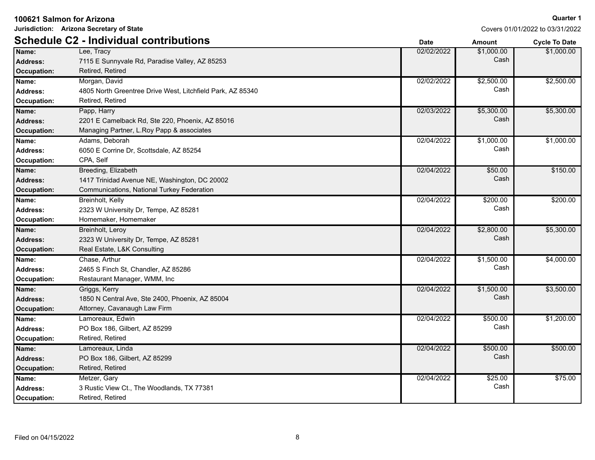**Jurisdiction: Arizona Secretary of State**

### **Quarter 1**

|                    | <b>Schedule C2 - Individual contributions</b>              | <b>Date</b> | <b>Amount</b> | <b>Cycle To Date</b> |
|--------------------|------------------------------------------------------------|-------------|---------------|----------------------|
| Name:              | Lee, Tracy                                                 | 02/02/2022  | \$1,000.00    | \$1,000.00           |
| Address:           | 7115 E Sunnyvale Rd, Paradise Valley, AZ 85253             |             | Cash          |                      |
| Occupation:        | Retired, Retired                                           |             |               |                      |
| Name:              | Morgan, David                                              | 02/02/2022  | \$2,500.00    | \$2,500.00           |
| Address:           | 4805 North Greentree Drive West, Litchfield Park, AZ 85340 |             | Cash          |                      |
| <b>Occupation:</b> | Retired, Retired                                           |             |               |                      |
| Name:              | Papp, Harry                                                | 02/03/2022  | \$5,300.00    | \$5,300.00           |
| <b>Address:</b>    | 2201 E Camelback Rd, Ste 220, Phoenix, AZ 85016            |             | Cash          |                      |
| Occupation:        | Managing Partner, L.Roy Papp & associates                  |             |               |                      |
| Name:              | Adams, Deborah                                             | 02/04/2022  | \$1,000.00    | \$1,000.00           |
| <b>Address:</b>    | 6050 E Corrine Dr, Scottsdale, AZ 85254                    |             | Cash          |                      |
| Occupation:        | CPA, Self                                                  |             |               |                      |
| Name:              | Breeding, Elizabeth                                        | 02/04/2022  | \$50.00       | \$150.00             |
| Address:           | 1417 Trinidad Avenue NE, Washington, DC 20002              |             | Cash          |                      |
| Occupation:        | Communications, National Turkey Federation                 |             |               |                      |
| Name:              | Breinholt, Kelly                                           | 02/04/2022  | \$200.00      | \$200.00             |
| Address:           | 2323 W University Dr, Tempe, AZ 85281                      |             | Cash          |                      |
| Occupation:        | Homemaker, Homemaker                                       |             |               |                      |
| Name:              | Breinholt, Leroy                                           | 02/04/2022  | \$2,800.00    | \$5,300.00           |
| Address:           | 2323 W University Dr, Tempe, AZ 85281                      |             | Cash          |                      |
| Occupation:        | Real Estate, L&K Consulting                                |             |               |                      |
| Name:              | Chase, Arthur                                              | 02/04/2022  | \$1,500.00    | \$4,000.00           |
| Address:           | 2465 S Finch St, Chandler, AZ 85286                        |             | Cash          |                      |
| Occupation:        | Restaurant Manager, WMM, Inc                               |             |               |                      |
| Name:              | Griggs, Kerry                                              | 02/04/2022  | \$1,500.00    | \$3,500.00           |
| Address:           | 1850 N Central Ave, Ste 2400, Phoenix, AZ 85004            |             | Cash          |                      |
| Occupation:        | Attorney, Cavanaugh Law Firm                               |             |               |                      |
| Name:              | Lamoreaux, Edwin                                           | 02/04/2022  | \$500.00      | \$1,200.00           |
| <b>Address:</b>    | PO Box 186, Gilbert, AZ 85299                              |             | Cash          |                      |
| Occupation:        | Retired, Retired                                           |             |               |                      |
| Name:              | Lamoreaux, Linda                                           | 02/04/2022  | \$500.00      | \$500.00             |
| <b>Address:</b>    | PO Box 186, Gilbert, AZ 85299                              |             | Cash          |                      |
| Occupation:        | Retired, Retired                                           |             |               |                      |
| Name:              | Metzer, Gary                                               | 02/04/2022  | \$25.00       | \$75.00              |
| <b>Address:</b>    | 3 Rustic View Ct., The Woodlands, TX 77381                 |             | Cash          |                      |
| Occupation:        | Retired, Retired                                           |             |               |                      |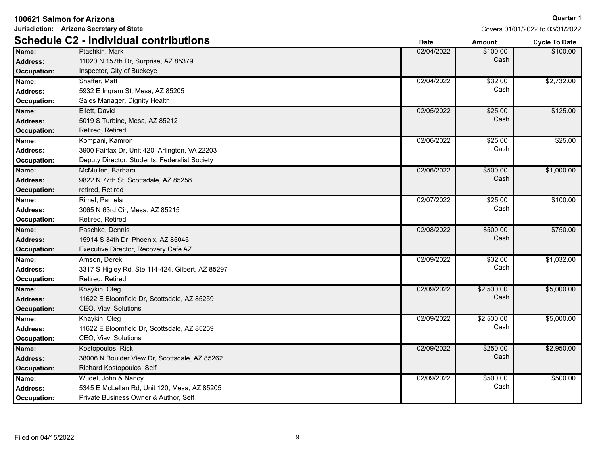| Jurisdiction: Arizona Secretary of State |                                                  |             |               | Covers 01/01/2022 to 03/31/2022 |
|------------------------------------------|--------------------------------------------------|-------------|---------------|---------------------------------|
|                                          | <b>Schedule C2 - Individual contributions</b>    | <b>Date</b> | <b>Amount</b> | <b>Cycle To Date</b>            |
| Name:                                    | Ptashkin, Mark                                   | 02/04/2022  | \$100.00      | \$100.00                        |
| <b>Address:</b>                          | 11020 N 157th Dr, Surprise, AZ 85379             |             | Cash          |                                 |
| Occupation:                              | Inspector, City of Buckeye                       |             |               |                                 |
| Name:                                    | Shaffer, Matt                                    | 02/04/2022  | \$32.00       | \$2,732.00                      |
| <b>Address:</b>                          | 5932 E Ingram St, Mesa, AZ 85205                 |             | Cash          |                                 |
| Occupation:                              | Sales Manager, Dignity Health                    |             |               |                                 |
| Name:                                    | Ellett, David                                    | 02/05/2022  | \$25.00       | \$125.00                        |
| <b>Address:</b>                          | 5019 S Turbine, Mesa, AZ 85212                   |             | Cash          |                                 |
| <b>Occupation:</b>                       | Retired, Retired                                 |             |               |                                 |
| Name:                                    | Kompani, Kamron                                  | 02/06/2022  | \$25.00       | \$25.00                         |
| <b>Address:</b>                          | 3900 Fairfax Dr, Unit 420, Arlington, VA 22203   |             | Cash          |                                 |
| Occupation:                              | Deputy Director, Students, Federalist Society    |             |               |                                 |
| Name:                                    | McMullen, Barbara                                | 02/06/2022  | \$500.00      | \$1,000.00                      |
| <b>Address:</b>                          | 9822 N 77th St, Scottsdale, AZ 85258             |             | Cash          |                                 |
| <b>Occupation:</b>                       | retired, Retired                                 |             |               |                                 |
| Name:                                    | Rimel, Pamela                                    | 02/07/2022  | \$25.00       | \$100.00                        |
| <b>Address:</b>                          | 3065 N 63rd Cir, Mesa, AZ 85215                  |             | Cash          |                                 |
| Occupation:                              | Retired, Retired                                 |             |               |                                 |
| Name:                                    | Paschke, Dennis                                  | 02/08/2022  | \$500.00      | \$750.00                        |
| Address:                                 | 15914 S 34th Dr, Phoenix, AZ 85045               |             | Cash          |                                 |
| Occupation:                              | Executive Director, Recovery Cafe AZ             |             |               |                                 |
| Name:                                    | Arnson, Derek                                    | 02/09/2022  | \$32.00       | \$1,032.00                      |
| <b>Address:</b>                          | 3317 S Higley Rd, Ste 114-424, Gilbert, AZ 85297 |             | Cash          |                                 |
| Occupation:                              | Retired, Retired                                 |             |               |                                 |
| Name:                                    | Khaykin, Oleg                                    | 02/09/2022  | \$2,500.00    | \$5,000.00                      |
| <b>Address:</b>                          | 11622 E Bloomfield Dr, Scottsdale, AZ 85259      |             | Cash          |                                 |
| <b>Occupation:</b>                       | CEO, Viavi Solutions                             |             |               |                                 |
| Name:                                    | Khaykin, Oleg                                    | 02/09/2022  | \$2,500.00    | \$5,000.00                      |
| <b>Address:</b>                          | 11622 E Bloomfield Dr, Scottsdale, AZ 85259      |             | Cash          |                                 |
| Occupation:                              | CEO, Viavi Solutions                             |             |               |                                 |
| Name:                                    | Kostopoulos, Rick                                | 02/09/2022  | \$250.00      | \$2,950.00                      |
| <b>Address:</b>                          | 38006 N Boulder View Dr, Scottsdale, AZ 85262    |             | Cash          |                                 |
| <b>Occupation:</b>                       | Richard Kostopoulos, Self                        |             |               |                                 |
| Name:                                    | Wudel, John & Nancy                              | 02/09/2022  | \$500.00      | \$500.00                        |
| Address:                                 | 5345 E McLellan Rd, Unit 120, Mesa, AZ 85205     |             | Cash          |                                 |
| Occupation:                              | Private Business Owner & Author, Self            |             |               |                                 |

**100621 Salmon for Arizona**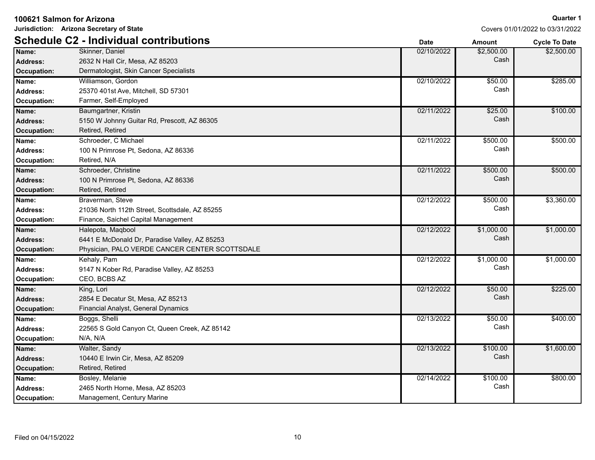|                    | Jurisdiction: Arizona Secretary of State       | Covers 01/01/2022 to 03/31/2022 |               |                      |
|--------------------|------------------------------------------------|---------------------------------|---------------|----------------------|
|                    | <b>Schedule C2 - Individual contributions</b>  | <b>Date</b>                     | <b>Amount</b> | <b>Cycle To Date</b> |
| Name:              | Skinner, Daniel                                | 02/10/2022                      | \$2,500.00    | \$2,500.00           |
| <b>Address:</b>    | 2632 N Hall Cir, Mesa, AZ 85203                |                                 | Cash          |                      |
| Occupation:        | Dermatologist, Skin Cancer Specialists         |                                 |               |                      |
| Name:              | Williamson, Gordon                             | 02/10/2022                      | \$50.00       | \$285.00             |
| Address:           | 25370 401st Ave, Mitchell, SD 57301            |                                 | Cash          |                      |
| Occupation:        | Farmer, Self-Employed                          |                                 |               |                      |
| Name:              | Baumgartner, Kristin                           | 02/11/2022                      | \$25.00       | \$100.00             |
| <b>Address:</b>    | 5150 W Johnny Guitar Rd, Prescott, AZ 86305    |                                 | Cash          |                      |
| <b>Occupation:</b> | Retired, Retired                               |                                 |               |                      |
| Name:              | Schroeder, C Michael                           | 02/11/2022                      | \$500.00      | \$500.00             |
| <b>Address:</b>    | 100 N Primrose Pt, Sedona, AZ 86336            |                                 | Cash          |                      |
| Occupation:        | Retired, N/A                                   |                                 |               |                      |
| Name:              | Schroeder, Christine                           | 02/11/2022                      | \$500.00      | \$500.00             |
| <b>Address:</b>    | 100 N Primrose Pt, Sedona, AZ 86336            |                                 | Cash          |                      |
| Occupation:        | Retired, Retired                               |                                 |               |                      |
| Name:              | Braverman, Steve                               | 02/12/2022                      | \$500.00      | \$3,360.00           |
| <b>Address:</b>    | 21036 North 112th Street, Scottsdale, AZ 85255 |                                 | Cash          |                      |
| Occupation:        | Finance, Saichel Capital Management            |                                 |               |                      |
| Name:              | Halepota, Maqbool                              | 02/12/2022                      | \$1,000.00    | \$1,000.00           |
| <b>Address:</b>    | 6441 E McDonald Dr, Paradise Valley, AZ 85253  |                                 | Cash          |                      |
| Occupation:        | Physician, PALO VERDE CANCER CENTER SCOTTSDALE |                                 |               |                      |
| Name:              | Kehaly, Pam                                    | 02/12/2022                      | \$1,000.00    | \$1,000.00           |
| <b>Address:</b>    | 9147 N Kober Rd, Paradise Valley, AZ 85253     |                                 | Cash          |                      |
| Occupation:        | CEO, BCBS AZ                                   |                                 |               |                      |
| Name:              | King, Lori                                     | 02/12/2022                      | \$50.00       | \$225.00             |
| <b>Address:</b>    | 2854 E Decatur St, Mesa, AZ 85213              |                                 | Cash          |                      |
| <b>Occupation:</b> | Financial Analyst, General Dynamics            |                                 |               |                      |
| Name:              | Boggs, Shelli                                  | 02/13/2022                      | \$50.00       | \$400.00             |
| Address:           | 22565 S Gold Canyon Ct, Queen Creek, AZ 85142  |                                 | Cash          |                      |
| Occupation:        | N/A, N/A                                       |                                 |               |                      |
| Name:              | Walter, Sandy                                  | 02/13/2022                      | \$100.00      | \$1,600.00           |
| <b>Address:</b>    | 10440 E Irwin Cir, Mesa, AZ 85209              |                                 | Cash          |                      |
| <b>Occupation:</b> | Retired, Retired                               |                                 |               |                      |
| Name:              | Bosley, Melanie                                | 02/14/2022                      | \$100.00      | \$800.00             |
| Address:           | 2465 North Horne, Mesa, AZ 85203               |                                 | Cash          |                      |
| <b>Occupation:</b> | Management, Century Marine                     |                                 |               |                      |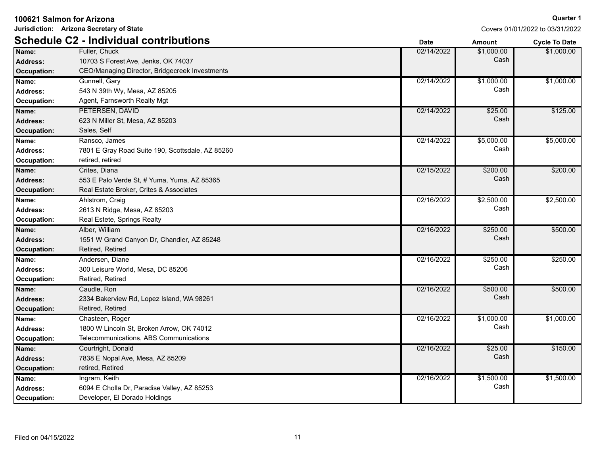| Jurisdiction: Arizona Secretary of State |                                                  | Covers 01/01/2022 to 03/31/2022 |               |               |
|------------------------------------------|--------------------------------------------------|---------------------------------|---------------|---------------|
|                                          | <b>Schedule C2 - Individual contributions</b>    | <b>Date</b>                     | <b>Amount</b> | Cycle To Date |
| Name:                                    | Fuller, Chuck                                    | 02/14/2022                      | \$1,000.00    | \$1,000.00    |
| <b>Address:</b>                          | 10703 S Forest Ave, Jenks, OK 74037              |                                 | Cash          |               |
| <b>Occupation:</b>                       | CEO/Managing Director, Bridgecreek Investments   |                                 |               |               |
| Name:                                    | Gunnell, Gary                                    | 02/14/2022                      | \$1,000.00    | \$1,000.00    |
| Address:                                 | 543 N 39th Wy, Mesa, AZ 85205                    |                                 | Cash          |               |
| Occupation:                              | Agent, Farnsworth Realty Mgt                     |                                 |               |               |
| Name:                                    | PETERSEN, DAVID                                  | 02/14/2022                      | \$25.00       | \$125.00      |
| Address:                                 | 623 N Miller St, Mesa, AZ 85203                  |                                 | Cash          |               |
| <b>Occupation:</b>                       | Sales, Self                                      |                                 |               |               |
| Name:                                    | Ransco, James                                    | 02/14/2022                      | \$5,000.00    | \$5,000.00    |
| Address:                                 | 7801 E Gray Road Suite 190, Scottsdale, AZ 85260 |                                 | Cash          |               |
| Occupation:                              | retired, retired                                 |                                 |               |               |
| Name:                                    | Crites, Diana                                    | 02/15/2022                      | \$200.00      | \$200.00      |
| <b>Address:</b>                          | 553 E Palo Verde St, # Yuma, Yuma, AZ 85365      |                                 | Cash          |               |
| <b>Occupation:</b>                       | Real Estate Broker, Crites & Associates          |                                 |               |               |
| Name:                                    | Ahlstrom, Craig                                  | 02/16/2022                      | \$2,500.00    | \$2,500.00    |
| <b>Address:</b>                          | 2613 N Ridge, Mesa, AZ 85203                     |                                 | Cash          |               |
| Occupation:                              | Real Estete, Springs Realty                      |                                 |               |               |
| Name:                                    | Alber, William                                   | 02/16/2022                      | \$250.00      | \$500.00      |
| <b>Address:</b>                          | 1551 W Grand Canyon Dr, Chandler, AZ 85248       |                                 | Cash          |               |
| <b>Occupation:</b>                       | Retired, Retired                                 |                                 |               |               |
| Name:                                    | Andersen, Diane                                  | 02/16/2022                      | \$250.00      | \$250.00      |
| <b>Address:</b>                          | 300 Leisure World, Mesa, DC 85206                |                                 | Cash          |               |
| Occupation:                              | Retired, Retired                                 |                                 |               |               |
| Name:                                    | Caudle, Ron                                      | 02/16/2022                      | \$500.00      | \$500.00      |
| <b>Address:</b>                          | 2334 Bakerview Rd, Lopez Island, WA 98261        |                                 | Cash          |               |
| <b>Occupation:</b>                       | Retired, Retired                                 |                                 |               |               |
| Name:                                    | Chasteen, Roger                                  | 02/16/2022                      | \$1,000.00    | \$1,000.00    |
| <b>Address:</b>                          | 1800 W Lincoln St, Broken Arrow, OK 74012        |                                 | Cash          |               |
| <b>Occupation:</b>                       | Telecommunications, ABS Communications           |                                 |               |               |
| Name:                                    | Courtright, Donald                               | 02/16/2022                      | \$25.00       | \$150.00      |
| <b>Address:</b>                          | 7838 E Nopal Ave, Mesa, AZ 85209                 |                                 | Cash          |               |
| <b>Occupation:</b>                       | retired, Retired                                 |                                 |               |               |
| Name:                                    | Ingram, Keith                                    | 02/16/2022                      | \$1,500.00    | \$1,500.00    |
| <b>Address:</b>                          | 6094 E Cholla Dr, Paradise Valley, AZ 85253      |                                 | Cash          |               |
| Occupation:                              | Developer, El Dorado Holdings                    |                                 |               |               |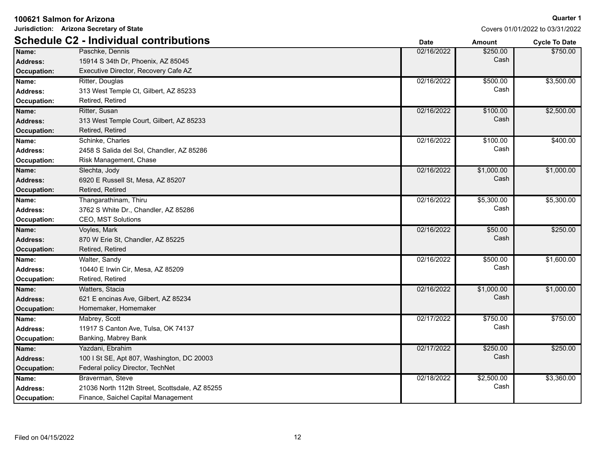| Jurisdiction: Arizona Secretary of State |                                                |             |               | Covers 01/01/2022 to 03/31/2022 |  |
|------------------------------------------|------------------------------------------------|-------------|---------------|---------------------------------|--|
|                                          | <b>Schedule C2 - Individual contributions</b>  | <b>Date</b> | <b>Amount</b> | <b>Cycle To Date</b>            |  |
| Name:                                    | Paschke, Dennis                                | 02/16/2022  | \$250.00      | \$750.00                        |  |
| <b>Address:</b>                          | 15914 S 34th Dr, Phoenix, AZ 85045             |             | Cash          |                                 |  |
| Occupation:                              | Executive Director, Recovery Cafe AZ           |             |               |                                 |  |
| Name:                                    | Ritter, Douglas                                | 02/16/2022  | \$500.00      | \$3,500.00                      |  |
| <b>Address:</b>                          | 313 West Temple Ct, Gilbert, AZ 85233          |             | Cash          |                                 |  |
| Occupation:                              | Retired, Retired                               |             |               |                                 |  |
| Name:                                    | Ritter, Susan                                  | 02/16/2022  | \$100.00      | \$2,500.00                      |  |
| <b>Address:</b>                          | 313 West Temple Court, Gilbert, AZ 85233       |             | Cash          |                                 |  |
| <b>Occupation:</b>                       | Retired, Retired                               |             |               |                                 |  |
| Name:                                    | Schinke, Charles                               | 02/16/2022  | \$100.00      | \$400.00                        |  |
| <b>Address:</b>                          | 2458 S Salida del Sol, Chandler, AZ 85286      |             | Cash          |                                 |  |
| Occupation:                              | Risk Management, Chase                         |             |               |                                 |  |
| Name:                                    | Slechta, Jody                                  | 02/16/2022  | \$1,000.00    | \$1,000.00                      |  |
| <b>Address:</b>                          | 6920 E Russell St, Mesa, AZ 85207              |             | Cash          |                                 |  |
| <b>Occupation:</b>                       | Retired, Retired                               |             |               |                                 |  |
| Name:                                    | Thangarathinam, Thiru                          | 02/16/2022  | \$5,300.00    | \$5,300.00                      |  |
| Address:                                 | 3762 S White Dr., Chandler, AZ 85286           |             | Cash          |                                 |  |
| Occupation:                              | CEO, MST Solutions                             |             |               |                                 |  |
| Name:                                    | Voyles, Mark                                   | 02/16/2022  | \$50.00       | \$250.00                        |  |
| <b>Address:</b>                          | 870 W Erie St, Chandler, AZ 85225              |             | Cash          |                                 |  |
| <b>Occupation:</b>                       | Retired, Retired                               |             |               |                                 |  |
| Name:                                    | Walter, Sandy                                  | 02/16/2022  | \$500.00      | \$1,600.00                      |  |
| Address:                                 | 10440 E Irwin Cir, Mesa, AZ 85209              |             | Cash          |                                 |  |
| Occupation:                              | Retired, Retired                               |             |               |                                 |  |
| Name:                                    | Watters, Stacia                                | 02/16/2022  | \$1,000.00    | \$1,000.00                      |  |
| <b>Address:</b>                          | 621 E encinas Ave, Gilbert, AZ 85234           |             | Cash          |                                 |  |
| <b>Occupation:</b>                       | Homemaker, Homemaker                           |             |               |                                 |  |
| Name:                                    | Mabrey, Scott                                  | 02/17/2022  | \$750.00      | \$750.00                        |  |
| <b>Address:</b>                          | 11917 S Canton Ave, Tulsa, OK 74137            |             | Cash          |                                 |  |
| <b>Occupation:</b>                       | Banking, Mabrey Bank                           |             |               |                                 |  |
| Name:                                    | Yazdani, Ebrahim                               | 02/17/2022  | \$250.00      | \$250.00                        |  |
| <b>Address:</b>                          | 100 I St SE, Apt 807, Washington, DC 20003     |             | Cash          |                                 |  |
| <b>Occupation:</b>                       | Federal policy Director, TechNet               |             |               |                                 |  |
| Name:                                    | Braverman, Steve                               | 02/18/2022  | \$2,500.00    | \$3,360.00                      |  |
| <b>Address:</b>                          | 21036 North 112th Street, Scottsdale, AZ 85255 |             | Cash          |                                 |  |
| Occupation:                              | Finance, Saichel Capital Management            |             |               |                                 |  |

**100621 Salmon for Arizona**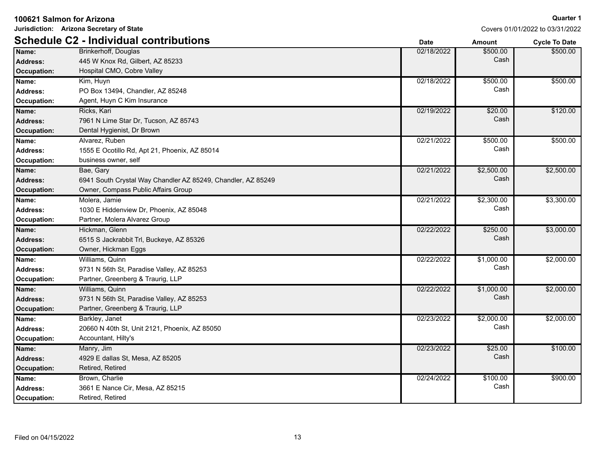| Jurisdiction: Arizona Secretary of State |                                                              |             | Covers 01/01/2022 to 03/31/2022 |                      |
|------------------------------------------|--------------------------------------------------------------|-------------|---------------------------------|----------------------|
|                                          | <b>Schedule C2 - Individual contributions</b>                | <b>Date</b> | Amount                          | <b>Cycle To Date</b> |
| Name:                                    | Brinkerhoff, Douglas                                         | 02/18/2022  | \$500.00                        | \$500.00             |
| Address:                                 | 445 W Knox Rd, Gilbert, AZ 85233                             |             | Cash                            |                      |
| <b>Occupation:</b>                       | Hospital CMO, Cobre Valley                                   |             |                                 |                      |
| Name:                                    | Kim, Huyn                                                    | 02/18/2022  | \$500.00                        | \$500.00             |
| Address:                                 | PO Box 13494, Chandler, AZ 85248                             |             | Cash                            |                      |
| Occupation:                              | Agent, Huyn C Kim Insurance                                  |             |                                 |                      |
| Name:                                    | Ricks, Kari                                                  | 02/19/2022  | \$20.00                         | \$120.00             |
| <b>Address:</b>                          | 7961 N Lime Star Dr, Tucson, AZ 85743                        |             | Cash                            |                      |
| Occupation:                              | Dental Hygienist, Dr Brown                                   |             |                                 |                      |
| Name:                                    | Alvarez, Ruben                                               | 02/21/2022  | \$500.00                        | \$500.00             |
| <b>Address:</b>                          | 1555 E Ocotillo Rd, Apt 21, Phoenix, AZ 85014                |             | Cash                            |                      |
| Occupation:                              | business owner, self                                         |             |                                 |                      |
| Name:                                    | Bae, Gary                                                    | 02/21/2022  | \$2,500.00                      | \$2,500.00           |
| <b>Address:</b>                          | 6941 South Crystal Way Chandler AZ 85249, Chandler, AZ 85249 |             | Cash                            |                      |
| Occupation:                              | Owner, Compass Public Affairs Group                          |             |                                 |                      |
| Name:                                    | Molera, Jamie                                                | 02/21/2022  | \$2,300.00                      | \$3,300.00           |
| Address:                                 | 1030 E Hiddenview Dr, Phoenix, AZ 85048                      |             | Cash                            |                      |
| Occupation:                              | Partner, Molera Alvarez Group                                |             |                                 |                      |
| Name:                                    | Hickman, Glenn                                               | 02/22/2022  | \$250.00                        | \$3,000.00           |
| Address:                                 | 6515 S Jackrabbit Trl, Buckeye, AZ 85326                     |             | Cash                            |                      |
| <b>Occupation:</b>                       | Owner, Hickman Eggs                                          |             |                                 |                      |
| Name:                                    | Williams, Quinn                                              | 02/22/2022  | \$1,000.00                      | \$2,000.00           |
| <b>Address:</b>                          | 9731 N 56th St, Paradise Valley, AZ 85253                    |             | Cash                            |                      |
| Occupation:                              | Partner, Greenberg & Traurig, LLP                            |             |                                 |                      |
| Name:                                    | Williams, Quinn                                              | 02/22/2022  | \$1,000.00                      | \$2,000.00           |
| <b>Address:</b>                          | 9731 N 56th St, Paradise Valley, AZ 85253                    |             | Cash                            |                      |
| <b>Occupation:</b>                       | Partner, Greenberg & Traurig, LLP                            |             |                                 |                      |
| Name:                                    | Barkley, Janet                                               | 02/23/2022  | \$2,000.00                      | \$2,000.00           |
| <b>Address:</b>                          | 20660 N 40th St, Unit 2121, Phoenix, AZ 85050                |             | Cash                            |                      |
| <b>Occupation:</b>                       | Accountant, Hilty's                                          |             |                                 |                      |
| Name:                                    | Manry, Jim                                                   | 02/23/2022  | \$25.00                         | \$100.00             |
| <b>Address:</b>                          | 4929 E dallas St, Mesa, AZ 85205                             |             | Cash                            |                      |
| <b>Occupation:</b>                       | Retired, Retired                                             |             |                                 |                      |
| Name:                                    | Brown, Charlie                                               | 02/24/2022  | \$100.00                        | \$900.00             |
| <b>Address:</b>                          | 3661 E Nance Cir, Mesa, AZ 85215                             |             | Cash                            |                      |
| Occupation:                              | Retired, Retired                                             |             |                                 |                      |

**100621 Salmon for Arizona**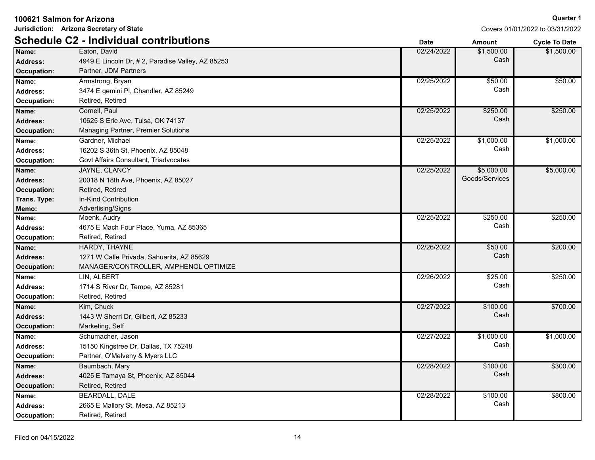**Jurisdiction: Arizona Secretary of State**

|                    | <b>Schedule C2 - Individual contributions</b>    | <b>Date</b> | Amount         | <b>Cycle To Date</b> |
|--------------------|--------------------------------------------------|-------------|----------------|----------------------|
| Name:              | Eaton, David                                     | 02/24/2022  | \$1,500.00     | \$1,500.00           |
| <b>Address:</b>    | 4949 E Lincoln Dr, #2, Paradise Valley, AZ 85253 |             | Cash           |                      |
| Occupation:        | Partner, JDM Partners                            |             |                |                      |
| Name:              | Armstrong, Bryan                                 | 02/25/2022  | \$50.00        | \$50.00              |
| <b>Address:</b>    | 3474 E gemini PI, Chandler, AZ 85249             |             | Cash           |                      |
| Occupation:        | Retired, Retired                                 |             |                |                      |
| Name:              | Cornell, Paul                                    | 02/25/2022  | \$250.00       | \$250.00             |
| <b>Address:</b>    | 10625 S Erie Ave, Tulsa, OK 74137                |             | Cash           |                      |
| <b>Occupation:</b> | <b>Managing Partner, Premier Solutions</b>       |             |                |                      |
| Name:              | Gardner, Michael                                 | 02/25/2022  | \$1,000.00     | \$1,000.00           |
| <b>Address:</b>    | 16202 S 36th St, Phoenix, AZ 85048               |             | Cash           |                      |
| <b>Occupation:</b> | Govt Affairs Consultant, Triadvocates            |             |                |                      |
| Name:              | JAYNE, CLANCY                                    | 02/25/2022  | \$5,000.00     | \$5,000.00           |
| <b>Address:</b>    | 20018 N 18th Ave, Phoenix, AZ 85027              |             | Goods/Services |                      |
| Occupation:        | Retired, Retired                                 |             |                |                      |
| Trans. Type:       | In-Kind Contribution                             |             |                |                      |
| Memo:              | Advertising/Signs                                |             |                |                      |
| Name:              | Moenk, Audry                                     | 02/25/2022  | \$250.00       | \$250.00             |
| <b>Address:</b>    | 4675 E Mach Four Place, Yuma, AZ 85365           |             | Cash           |                      |
| <b>Occupation:</b> | Retired, Retired                                 |             |                |                      |
| Name:              | HARDY, THAYNE                                    | 02/26/2022  | \$50.00        | \$200.00             |
| <b>Address:</b>    | 1271 W Calle Privada, Sahuarita, AZ 85629        |             | Cash           |                      |
| Occupation:        | MANAGER/CONTROLLER, AMPHENOL OPTIMIZE            |             |                |                      |
| Name:              | LIN, ALBERT                                      | 02/26/2022  | \$25.00        | \$250.00             |
| <b>Address:</b>    | 1714 S River Dr, Tempe, AZ 85281                 |             | Cash           |                      |
| Occupation:        | Retired, Retired                                 |             |                |                      |
| Name:              | Kim, Chuck                                       | 02/27/2022  | \$100.00       | \$700.00             |
| <b>Address:</b>    | 1443 W Sherri Dr, Gilbert, AZ 85233              |             | Cash           |                      |
| <b>Occupation:</b> | Marketing, Self                                  |             |                |                      |
| Name:              | Schumacher, Jason                                | 02/27/2022  | \$1,000.00     | \$1,000.00           |
| <b>Address:</b>    | 15150 Kingstree Dr, Dallas, TX 75248             |             | Cash           |                      |
| Occupation:        | Partner, O'Melveny & Myers LLC                   |             |                |                      |
| Name:              | Baumbach, Mary                                   | 02/28/2022  | \$100.00       | \$300.00             |
| <b>Address:</b>    | 4025 E Tamaya St, Phoenix, AZ 85044              |             | Cash           |                      |
| Occupation:        | Retired, Retired                                 |             |                |                      |
| Name:              | <b>BEARDALL, DALE</b>                            | 02/28/2022  | \$100.00       | \$800.00             |
| <b>Address:</b>    | 2665 E Mallory St, Mesa, AZ 85213                |             | Cash           |                      |
| Occupation:        | Retired, Retired                                 |             |                |                      |
|                    |                                                  |             |                |                      |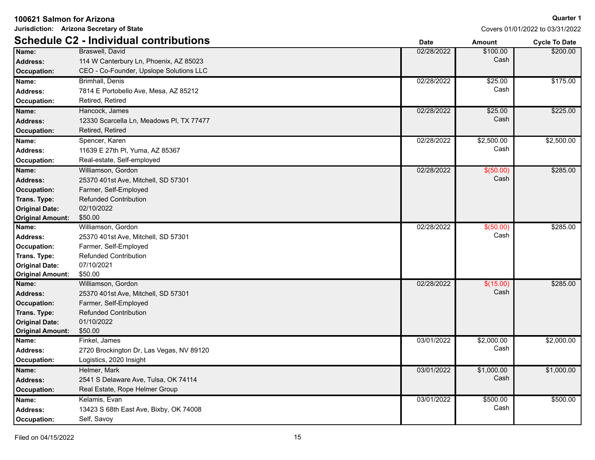| 100621 Salmon for Arizona | Jurisdiction: Arizona Secretary of State      |             |               | Quarter                        |
|---------------------------|-----------------------------------------------|-------------|---------------|--------------------------------|
|                           |                                               |             |               | Covers 01/01/2022 to 03/31/202 |
|                           | <b>Schedule C2 - Individual contributions</b> | <b>Date</b> | <b>Amount</b> | <b>Cycle To Date</b>           |
| Name:                     | Braswell, David                               | 02/28/2022  | \$100.00      | \$200.00                       |
| <b>Address:</b>           | 114 W Canterbury Ln, Phoenix, AZ 85023        |             | Cash          |                                |
| <b>Occupation:</b>        | CEO - Co-Founder, Upslope Solutions LLC       |             |               |                                |
| Name:                     | Brimhall, Denis                               | 02/28/2022  | \$25.00       | \$175.00                       |
| <b>Address:</b>           | 7814 E Portobello Ave, Mesa, AZ 85212         |             | Cash          |                                |
| <b>Occupation:</b>        | Retired, Retired                              |             |               |                                |
| Name:                     | Hancock, James                                | 02/28/2022  | \$25.00       | \$225.00                       |
| <b>Address:</b>           | 12330 Scarcella Ln, Meadows PI, TX 77477      |             | Cash          |                                |
| <b>Occupation:</b>        | Retired, Retired                              |             |               |                                |
| Name:                     | Spencer, Karen                                | 02/28/2022  | \$2,500.00    | \$2,500.00                     |
| Address:                  | 11639 E 27th PI, Yuma, AZ 85367               |             | Cash          |                                |
| <b>Occupation:</b>        | Real-estate, Self-employed                    |             |               |                                |
| Name:                     | Williamson, Gordon                            | 02/28/2022  | \$ (50.00)    | \$285.00                       |
| <b>Address:</b>           | 25370 401st Ave, Mitchell, SD 57301           |             | Cash          |                                |
| <b>Occupation:</b>        | Farmer, Self-Employed                         |             |               |                                |
| Trans. Type:              | <b>Refunded Contribution</b>                  |             |               |                                |
| <b>Original Date:</b>     | 02/10/2022                                    |             |               |                                |
| <b>Original Amount:</b>   | \$50.00                                       |             |               |                                |
| Name:                     | Williamson, Gordon                            | 02/28/2022  | \$ (50.00)    | \$285.00                       |
| <b>Address:</b>           | 25370 401st Ave, Mitchell, SD 57301           |             | Cash          |                                |
| Occupation:               | Farmer, Self-Employed                         |             |               |                                |
| Trans. Type:              | <b>Refunded Contribution</b>                  |             |               |                                |
| <b>Original Date:</b>     | 07/10/2021                                    |             |               |                                |
| <b>Original Amount:</b>   | \$50.00                                       |             |               |                                |
| Name:                     | Williamson, Gordon                            | 02/28/2022  | \$(15.00)     | \$285.00                       |
| <b>Address:</b>           | 25370 401st Ave, Mitchell, SD 57301           |             | Cash          |                                |
| <b>Occupation:</b>        | Farmer, Self-Employed                         |             |               |                                |
| Trans. Type:              | <b>Refunded Contribution</b>                  |             |               |                                |
| <b>Original Date:</b>     | 01/10/2022                                    |             |               |                                |
| <b>Original Amount:</b>   | \$50.00                                       |             |               |                                |
| Name:                     | Finkel, James                                 | 03/01/2022  | \$2,000.00    | \$2,000.00                     |
| <b>Address:</b>           | 2720 Brockington Dr, Las Vegas, NV 89120      |             | Cash          |                                |
| <b>Occupation:</b>        | Logistics, 2020 Insight                       |             |               |                                |
| Name:                     | Helmer, Mark                                  | 03/01/2022  | \$1,000.00    | \$1,000.00                     |
| <b>Address:</b>           | 2541 S Delaware Ave, Tulsa, OK 74114          |             | Cash          |                                |

**Occupation:** Self, Savoy

**Occupation:** Real Estate, Rope Helmer Group Kelamis, Evan

13423 S 68th East Ave, Bixby, OK 74008 **Address:** Cash **Name:** 03/01/2022 \$500.00

### **arter 1** 1/2022

\$500.00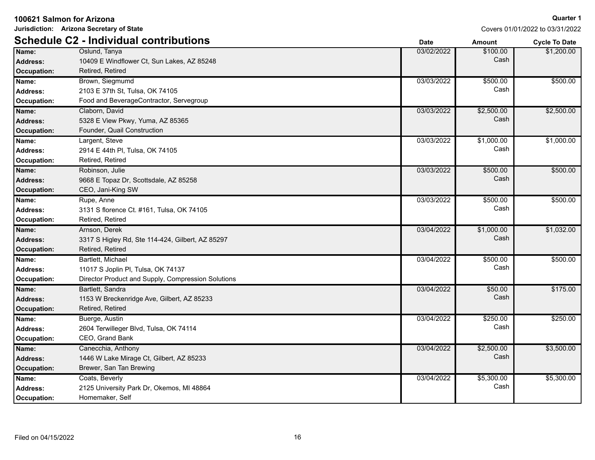**Jurisdiction: Arizona Secretary of State**

|                    | <b>Schedule C2 - Individual contributions</b>      | <b>Date</b> | <b>Amount</b> | <b>Cycle To Date</b> |
|--------------------|----------------------------------------------------|-------------|---------------|----------------------|
| Name:              | Oslund, Tanya                                      | 03/02/2022  | \$100.00      | \$1,200.00           |
| <b>Address:</b>    | 10409 E Windflower Ct, Sun Lakes, AZ 85248         |             | Cash          |                      |
| <b>Occupation:</b> | Retired, Retired                                   |             |               |                      |
| Name:              | Brown, Siegmumd                                    | 03/03/2022  | \$500.00      | \$500.00             |
| <b>Address:</b>    | 2103 E 37th St, Tulsa, OK 74105                    |             | Cash          |                      |
| Occupation:        | Food and BeverageContractor, Servegroup            |             |               |                      |
| Name:              | Claborn, David                                     | 03/03/2022  | \$2,500.00    | \$2,500.00           |
| <b>Address:</b>    | 5328 E View Pkwy, Yuma, AZ 85365                   |             | Cash          |                      |
| <b>Occupation:</b> | Founder, Quail Construction                        |             |               |                      |
| Name:              | Largent, Steve                                     | 03/03/2022  | \$1,000.00    | \$1,000.00           |
| <b>Address:</b>    | 2914 E 44th PI, Tulsa, OK 74105                    |             | Cash          |                      |
| Occupation:        | Retired, Retired                                   |             |               |                      |
| Name:              | Robinson, Julie                                    | 03/03/2022  | \$500.00      | \$500.00             |
| <b>Address:</b>    | 9668 E Topaz Dr, Scottsdale, AZ 85258              |             | Cash          |                      |
| <b>Occupation:</b> | CEO, Jani-King SW                                  |             |               |                      |
| Name:              | Rupe, Anne                                         | 03/03/2022  | \$500.00      | \$500.00             |
| <b>Address:</b>    | 3131 S florence Ct. #161, Tulsa, OK 74105          |             | Cash          |                      |
| Occupation:        | Retired, Retired                                   |             |               |                      |
| Name:              | Arnson, Derek                                      | 03/04/2022  | \$1,000.00    | \$1,032.00           |
| <b>Address:</b>    | 3317 S Higley Rd, Ste 114-424, Gilbert, AZ 85297   |             | Cash          |                      |
| <b>Occupation:</b> | Retired, Retired                                   |             |               |                      |
| Name:              | Bartlett, Michael                                  | 03/04/2022  | \$500.00      | \$500.00             |
| <b>Address:</b>    | 11017 S Joplin Pl, Tulsa, OK 74137                 |             | Cash          |                      |
| Occupation:        | Director Product and Supply, Compression Solutions |             |               |                      |
| Name:              | Bartlett, Sandra                                   | 03/04/2022  | \$50.00       | \$175.00             |
| <b>Address:</b>    | 1153 W Breckenridge Ave, Gilbert, AZ 85233         |             | Cash          |                      |
| <b>Occupation:</b> | Retired, Retired                                   |             |               |                      |
| Name:              | Buerge, Austin                                     | 03/04/2022  | \$250.00      | \$250.00             |
| <b>Address:</b>    | 2604 Terwilleger Blvd, Tulsa, OK 74114             |             | Cash          |                      |
| Occupation:        | CEO, Grand Bank                                    |             |               |                      |
| Name:              | Canecchia, Anthony                                 | 03/04/2022  | \$2,500.00    | \$3,500.00           |
| <b>Address:</b>    | 1446 W Lake Mirage Ct, Gilbert, AZ 85233           |             | Cash          |                      |
| <b>Occupation:</b> | Brewer, San Tan Brewing                            |             |               |                      |
| Name:              | Coats, Beverly                                     | 03/04/2022  | \$5,300.00    | \$5,300.00           |
| <b>Address:</b>    | 2125 University Park Dr, Okemos, MI 48864          |             | Cash          |                      |
| Occupation:        | Homemaker, Self                                    |             |               |                      |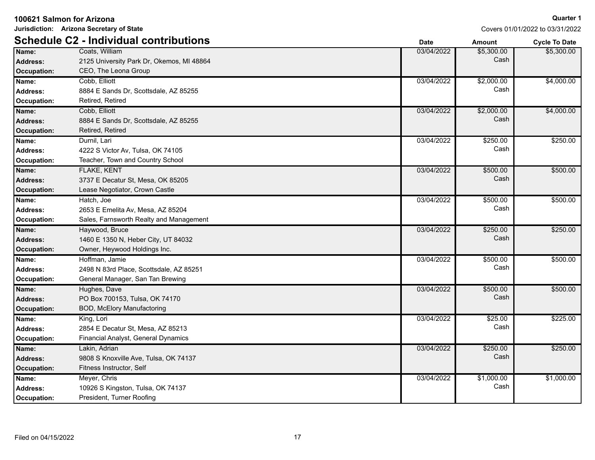| 100621 Salmon for Arizona |                                               | <b>Quarter 1</b> |               |                                 |
|---------------------------|-----------------------------------------------|------------------|---------------|---------------------------------|
|                           | Jurisdiction: Arizona Secretary of State      |                  |               | Covers 01/01/2022 to 03/31/2022 |
|                           | <b>Schedule C2 - Individual contributions</b> | <b>Date</b>      | <b>Amount</b> | <b>Cycle To Date</b>            |
| Name:                     | Coats, William                                | 03/04/2022       | \$5,300.00    | \$5,300.00                      |
| Address:                  | 2125 University Park Dr, Okemos, MI 48864     |                  | Cash          |                                 |
| Occupation:               | CEO, The Leona Group                          |                  |               |                                 |
| Name:                     | Cobb, Elliott                                 | 03/04/2022       | \$2,000.00    | \$4,000.00                      |
| Address:                  | 8884 E Sands Dr, Scottsdale, AZ 85255         |                  | Cash          |                                 |
| Occupation:               | Retired, Retired                              |                  |               |                                 |
| Name:                     | Cobb, Elliott                                 | 03/04/2022       | \$2,000.00    | \$4,000.00                      |
| <b>Address:</b>           | 8884 E Sands Dr, Scottsdale, AZ 85255         |                  | Cash          |                                 |
| <b>Occupation:</b>        | Retired, Retired                              |                  |               |                                 |
| Name:                     | Durnil, Lari                                  | 03/04/2022       | \$250.00      | \$250.00                        |
| Address:                  | 4222 S Victor Av, Tulsa, OK 74105             |                  | Cash          |                                 |
| Occupation:               | Teacher, Town and Country School              |                  |               |                                 |
| Name:                     | <b>FLAKE, KENT</b>                            | 03/04/2022       | \$500.00      | \$500.00                        |
| <b>Address:</b>           | 3737 E Decatur St, Mesa, OK 85205             |                  | Cash          |                                 |
| <b>Occupation:</b>        | Lease Negotiator, Crown Castle                |                  |               |                                 |
| Name:                     | Hatch, Joe                                    | 03/04/2022       | \$500.00      | \$500.00                        |
| <b>Address:</b>           | 2653 E Emelita Av, Mesa, AZ 85204             |                  | Cash          |                                 |
| Occupation:               | Sales, Farnsworth Realty and Management       |                  |               |                                 |
| Name:                     | Haywood, Bruce                                | 03/04/2022       | \$250.00      | \$250.00                        |
| <b>Address:</b>           | 1460 E 1350 N, Heber City, UT 84032           |                  | Cash          |                                 |
| <b>Occupation:</b>        | Owner, Heywood Holdings Inc.                  |                  |               |                                 |
| Name:                     | Hoffman, Jamie                                | 03/04/2022       | \$500.00      | \$500.00                        |
| <b>Address:</b>           | 2498 N 83rd Place, Scottsdale, AZ 85251       |                  | Cash          |                                 |
| Occupation:               | General Manager, San Tan Brewing              |                  |               |                                 |
| Name:                     | Hughes, Dave                                  | 03/04/2022       | \$500.00      | \$500.00                        |
| <b>Address:</b>           | PO Box 700153, Tulsa, OK 74170                |                  | Cash          |                                 |
| <b>Occupation:</b>        | BOD, McElory Manufactoring                    |                  |               |                                 |
| Name:                     | King, Lori                                    | 03/04/2022       | \$25.00       | \$225.00                        |
| <b>Address:</b>           | 2854 E Decatur St, Mesa, AZ 85213             |                  | Cash          |                                 |
| Occupation:               | Financial Analyst, General Dynamics           |                  |               |                                 |
| Name:                     | Lakin, Adrian                                 | 03/04/2022       | \$250.00      | \$250.00                        |
| <b>Address:</b>           | 9808 S Knoxville Ave, Tulsa, OK 74137         |                  | Cash          |                                 |
| <b>Occupation:</b>        | Fitness Instructor, Self                      |                  |               |                                 |
| Name:                     | Meyer, Chris                                  | 03/04/2022       | \$1,000.00    | \$1,000.00                      |
| <b>Address:</b>           | 10926 S Kingston, Tulsa, OK 74137             |                  | Cash          |                                 |
| Occupation:               | President, Turner Roofing                     |                  |               |                                 |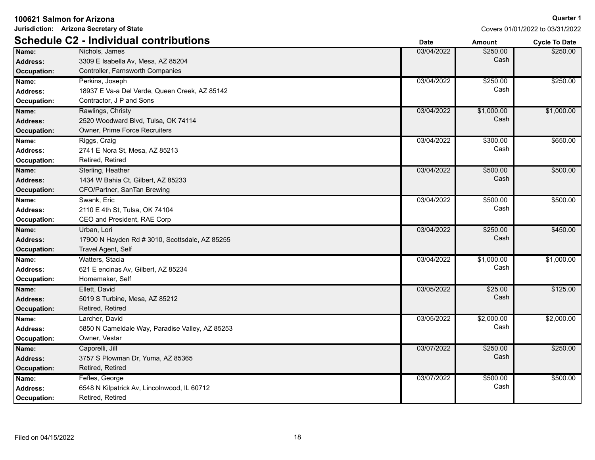| 100621 Salmon for Arizona                      |                                                                                                  | <b>Quarter 1</b> |                    |                                 |
|------------------------------------------------|--------------------------------------------------------------------------------------------------|------------------|--------------------|---------------------------------|
|                                                | Jurisdiction: Arizona Secretary of State                                                         |                  |                    | Covers 01/01/2022 to 03/31/2022 |
|                                                | <b>Schedule C2 - Individual contributions</b>                                                    | <b>Date</b>      | <b>Amount</b>      | <b>Cycle To Date</b>            |
| Name:<br><b>Address:</b><br>Occupation:        | Nichols, James<br>3309 E Isabella Av, Mesa, AZ 85204<br>Controller, Farnsworth Companies         | 03/04/2022       | \$250.00<br>Cash   | \$250.00                        |
| Name:<br><b>Address:</b><br>Occupation:        | Perkins, Joseph<br>18937 E Va-a Del Verde, Queen Creek, AZ 85142<br>Contractor, J P and Sons     | 03/04/2022       | \$250.00<br>Cash   | \$250.00                        |
| Name:<br><b>Address:</b><br><b>Occupation:</b> | Rawlings, Christy<br>2520 Woodward Blvd, Tulsa, OK 74114<br><b>Owner, Prime Force Recruiters</b> | 03/04/2022       | \$1,000.00<br>Cash | \$1,000.00                      |
| Name:<br>Address:<br>Occupation:               | Riggs, Craig<br>2741 E Nora St, Mesa, AZ 85213<br>Retired, Retired                               | 03/04/2022       | \$300.00<br>Cash   | \$650.00                        |
| Name:<br>Address:<br><b>Occupation:</b>        | Sterling, Heather<br>1434 W Bahia Ct, Gilbert, AZ 85233<br>CFO/Partner, SanTan Brewing           | 03/04/2022       | \$500.00<br>Cash   | \$500.00                        |
| Name:<br><b>Address:</b><br>Occupation:        | Swank, Eric<br>2110 E 4th St, Tulsa, OK 74104<br>CEO and President, RAE Corp                     | 03/04/2022       | \$500.00<br>Cash   | \$500.00                        |
| Name:<br><b>Address:</b><br>Occupation:        | Urban, Lori<br>17900 N Hayden Rd # 3010, Scottsdale, AZ 85255<br>Travel Agent, Self              | 03/04/2022       | \$250.00<br>Cash   | \$450.00                        |
| Name:<br><b>Address:</b><br>Occupation:        | Watters, Stacia<br>621 E encinas Av, Gilbert, AZ 85234<br>Homemaker, Self                        | 03/04/2022       | \$1,000.00<br>Cash | \$1,000.00                      |
| Name:<br><b>Address:</b><br>Occupation:        | Ellett. David<br>5019 S Turbine, Mesa, AZ 85212<br>Retired, Retired                              | 03/05/2022       | \$25.00<br>Cash    | \$125.00                        |
| Name:<br><b>Address:</b><br>Occupation:        | Larcher, David<br>5850 N Cameldale Way, Paradise Valley, AZ 85253<br>Owner, Vestar               | 03/05/2022       | \$2,000.00<br>Cash | \$2,000.00                      |
| Name:<br><b>Address:</b><br><b>Occupation:</b> | Caporelli, Jill<br>3757 S Plowman Dr, Yuma, AZ 85365<br>Retired, Retired                         | 03/07/2022       | \$250.00<br>Cash   | \$250.00                        |
| Name:<br><b>Address:</b><br>Occupation:        | Fefles, George<br>6548 N Kilpatrick Av, Lincolnwood, IL 60712<br>Retired, Retired                | 03/07/2022       | \$500.00<br>Cash   | \$500.00                        |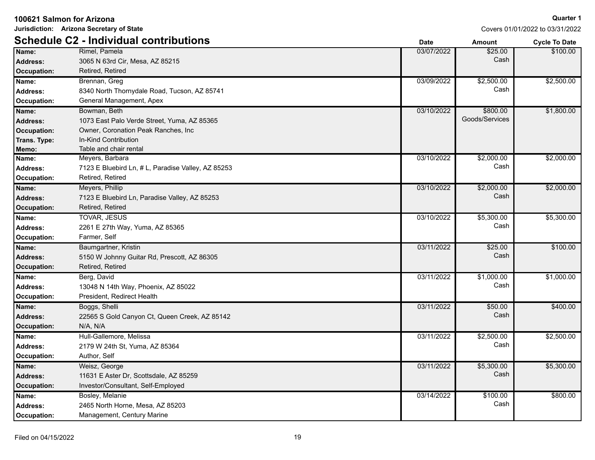| 100621 Salmon for Arizona                |                                                    |             |                | <b>Quarter 1</b>                |
|------------------------------------------|----------------------------------------------------|-------------|----------------|---------------------------------|
| Jurisdiction: Arizona Secretary of State |                                                    |             |                | Covers 01/01/2022 to 03/31/2022 |
|                                          | <b>Schedule C2 - Individual contributions</b>      | <b>Date</b> | Amount         | <b>Cycle To Date</b>            |
| Name:                                    | Rimel, Pamela                                      | 03/07/2022  | \$25.00        | \$100.00                        |
| <b>Address:</b>                          | 3065 N 63rd Cir, Mesa, AZ 85215                    |             | Cash           |                                 |
| <b>Occupation:</b>                       | Retired, Retired                                   |             |                |                                 |
| Name:                                    | Brennan, Greg                                      | 03/09/2022  | \$2,500.00     | \$2,500.00                      |
| <b>Address:</b>                          | 8340 North Thornydale Road, Tucson, AZ 85741       |             | Cash           |                                 |
| Occupation:                              | General Management, Apex                           |             |                |                                 |
| Name:                                    | Bowman, Beth                                       | 03/10/2022  | \$800.00       | \$1,800.00                      |
| <b>Address:</b>                          | 1073 East Palo Verde Street, Yuma, AZ 85365        |             | Goods/Services |                                 |
| <b>Occupation:</b>                       | Owner, Coronation Peak Ranches, Inc                |             |                |                                 |
| Trans. Type:                             | In-Kind Contribution                               |             |                |                                 |
| Memo:                                    | Table and chair rental                             |             |                |                                 |
| Name:                                    | Meyers, Barbara                                    | 03/10/2022  | \$2,000.00     | \$2,000.00                      |
| <b>Address:</b>                          | 7123 E Bluebird Ln, # L, Paradise Valley, AZ 85253 |             | Cash           |                                 |
| <b>Occupation:</b>                       | Retired, Retired                                   |             |                |                                 |
| Name:                                    | Meyers, Phillip                                    | 03/10/2022  | \$2,000.00     | \$2,000.00                      |
| <b>Address:</b>                          | 7123 E Bluebird Ln, Paradise Valley, AZ 85253      |             | Cash           |                                 |
| <b>Occupation:</b>                       | Retired, Retired                                   |             |                |                                 |
| Name:                                    | TOVAR, JESUS                                       | 03/10/2022  | \$5,300.00     | \$5,300.00                      |
| <b>Address:</b>                          | 2261 E 27th Way, Yuma, AZ 85365                    |             | Cash           |                                 |
| <b>Occupation:</b>                       | Farmer, Self                                       |             |                |                                 |
| Name:                                    | Baumgartner, Kristin                               | 03/11/2022  | \$25.00        | \$100.00                        |
| <b>Address:</b>                          | 5150 W Johnny Guitar Rd, Prescott, AZ 86305        |             | Cash           |                                 |
| <b>Occupation:</b>                       | Retired, Retired                                   |             |                |                                 |
| Name:                                    | Berg, David                                        | 03/11/2022  | \$1,000.00     | \$1,000.00                      |
| <b>Address:</b>                          | 13048 N 14th Way, Phoenix, AZ 85022                |             | Cash           |                                 |
| <b>Occupation:</b>                       | President, Redirect Health                         |             |                |                                 |
| Name:                                    | Boggs, Shelli                                      | 03/11/2022  | \$50.00        | \$400.00                        |
| <b>Address:</b>                          | 22565 S Gold Canyon Ct, Queen Creek, AZ 85142      |             | Cash           |                                 |
| <b>Occupation:</b>                       | N/A, N/A                                           |             |                |                                 |
| Name:                                    | Hull-Gallemore, Melissa                            | 03/11/2022  | \$2,500.00     | \$2,500.00                      |
| <b>Address:</b>                          | 2179 W 24th St, Yuma, AZ 85364                     |             | Cash           |                                 |
| Occupation:                              | Author, Self                                       |             |                |                                 |
| Name:                                    | Weisz, George                                      | 03/11/2022  | \$5,300.00     | \$5,300.00                      |
| <b>Address:</b>                          | 11631 E Aster Dr, Scottsdale, AZ 85259             |             | Cash           |                                 |
| <b>Occupation:</b>                       | Investor/Consultant, Self-Employed                 |             |                |                                 |
| Name:                                    | Bosley, Melanie                                    | 03/14/2022  | \$100.00       | \$800.00                        |
| <b>Address:</b>                          | 2465 North Horne, Mesa, AZ 85203                   |             | Cash           |                                 |
| Occupation:                              | Management, Century Marine                         |             |                |                                 |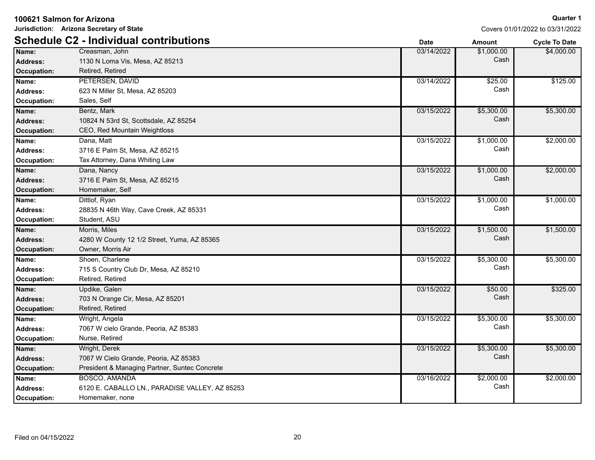| 100621 Salmon for Arizona |                                                |             |               | <b>Quarter 1</b>                |
|---------------------------|------------------------------------------------|-------------|---------------|---------------------------------|
|                           | Jurisdiction: Arizona Secretary of State       |             |               | Covers 01/01/2022 to 03/31/2022 |
|                           | <b>Schedule C2 - Individual contributions</b>  | <b>Date</b> | <b>Amount</b> | <b>Cycle To Date</b>            |
| Name:                     | Creasman, John                                 | 03/14/2022  | \$1,000.00    | \$4,000.00                      |
| Address:                  | 1130 N Loma Vis, Mesa, AZ 85213                |             | Cash          |                                 |
| Occupation:               | Retired, Retired                               |             |               |                                 |
| Name:                     | PETERSEN, DAVID                                | 03/14/2022  | \$25.00       | \$125.00                        |
| <b>Address:</b>           | 623 N Miller St, Mesa, AZ 85203                |             | Cash          |                                 |
| Occupation:               | Sales, Self                                    |             |               |                                 |
| Name:                     | Bentz, Mark                                    | 03/15/2022  | \$5,300.00    | \$5,300.00                      |
| <b>Address:</b>           | 10824 N 53rd St, Scottsdale, AZ 85254          |             | Cash          |                                 |
| <b>Occupation:</b>        | CEO, Red Mountain Weightloss                   |             |               |                                 |
| Name:                     | Dana, Matt                                     | 03/15/2022  | \$1,000.00    | \$2,000.00                      |
| Address:                  | 3716 E Palm St, Mesa, AZ 85215                 |             | Cash          |                                 |
| <b>Occupation:</b>        | Tax Attorney, Dana Whiting Law                 |             |               |                                 |
| Name:                     | Dana, Nancy                                    | 03/15/2022  | \$1,000.00    | \$2,000.00                      |
| Address:                  | 3716 E Palm St, Mesa, AZ 85215                 |             | Cash          |                                 |
| <b>Occupation:</b>        | Homemaker, Self                                |             |               |                                 |
| Name:                     | Dittlof, Ryan                                  | 03/15/2022  | \$1,000.00    | \$1,000.00                      |
| Address:                  | 28835 N 46th Way, Cave Creek, AZ 85331         |             | Cash          |                                 |
| Occupation:               | Student, ASU                                   |             |               |                                 |
| Name:                     | Morris, Miles                                  | 03/15/2022  | \$1,500.00    | \$1,500.00                      |
| Address:                  | 4280 W County 12 1/2 Street, Yuma, AZ 85365    |             | Cash          |                                 |
| <b>Occupation:</b>        | Owner, Morris Air                              |             |               |                                 |
| Name:                     | Shoen, Charlene                                | 03/15/2022  | \$5,300.00    | \$5,300.00                      |
| Address:                  | 715 S Country Club Dr, Mesa, AZ 85210          |             | Cash          |                                 |
| <b>Occupation:</b>        | Retired, Retired                               |             |               |                                 |
| Name:                     | Updike, Galen                                  | 03/15/2022  | \$50.00       | \$325.00                        |
| <b>Address:</b>           | 703 N Orange Cir, Mesa, AZ 85201               |             | Cash          |                                 |
| <b>Occupation:</b>        | Retired, Retired                               |             |               |                                 |
| Name:                     | Wright, Angela                                 | 03/15/2022  | \$5,300.00    | \$5,300.00                      |
| <b>Address:</b>           | 7067 W cielo Grande, Peoria, AZ 85383          |             | Cash          |                                 |
| <b>Occupation:</b>        | Nurse, Retired                                 |             |               |                                 |
| Name:                     | Wright, Derek                                  | 03/15/2022  | \$5,300.00    | \$5,300.00                      |
| <b>Address:</b>           | 7067 W Cielo Grande, Peoria, AZ 85383          |             | Cash          |                                 |
| <b>Occupation:</b>        | President & Managing Partner, Suntec Concrete  |             |               |                                 |
| Name:                     | <b>BOSCO, AMANDA</b>                           | 03/16/2022  | \$2,000.00    | \$2,000.00                      |
| <b>Address:</b>           | 6120 E. CABALLO LN., PARADISE VALLEY, AZ 85253 |             | Cash          |                                 |
| Occupation:               | Homemaker, none                                |             |               |                                 |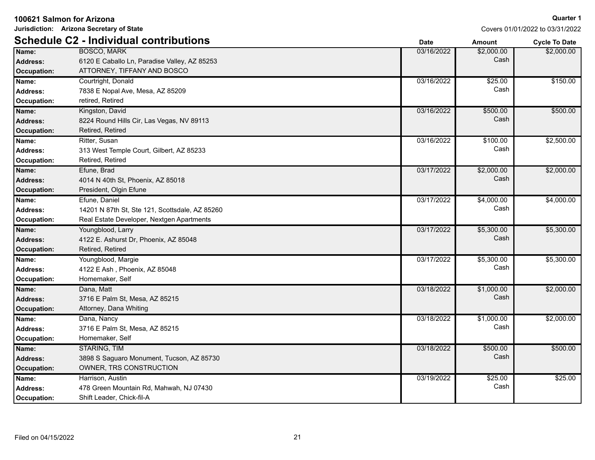|                    | 100621 Salmon for Arizona                      |             |               | Quarter                        |
|--------------------|------------------------------------------------|-------------|---------------|--------------------------------|
|                    | Jurisdiction: Arizona Secretary of State       |             |               | Covers 01/01/2022 to 03/31/202 |
|                    | <b>Schedule C2 - Individual contributions</b>  | <b>Date</b> | <b>Amount</b> | <b>Cycle To Date</b>           |
| Name:              | <b>BOSCO, MARK</b>                             | 03/16/2022  | \$2,000.00    | \$2,000.00                     |
| <b>Address:</b>    | 6120 E Caballo Ln, Paradise Valley, AZ 85253   |             | Cash          |                                |
| Occupation:        | ATTORNEY, TIFFANY AND BOSCO                    |             |               |                                |
| Name:              | Courtright, Donald                             | 03/16/2022  | \$25.00       | \$150.00                       |
| Address:           | 7838 E Nopal Ave, Mesa, AZ 85209               |             | Cash          |                                |
| <b>Occupation:</b> | retired, Retired                               |             |               |                                |
| Name:              | Kingston, David                                | 03/16/2022  | \$500.00      | \$500.00                       |
| <b>Address:</b>    | 8224 Round Hills Cir, Las Vegas, NV 89113      |             | Cash          |                                |
| <b>Occupation:</b> | Retired, Retired                               |             |               |                                |
| Name:              | Ritter, Susan                                  | 03/16/2022  | \$100.00      | \$2,500.00                     |
| <b>Address:</b>    | 313 West Temple Court, Gilbert, AZ 85233       |             | Cash          |                                |
| <b>Occupation:</b> | Retired, Retired                               |             |               |                                |
| Name:              | Efune, Brad                                    | 03/17/2022  | \$2,000.00    | \$2,000.00                     |
| <b>Address:</b>    | 4014 N 40th St, Phoenix, AZ 85018              |             | Cash          |                                |
| <b>Occupation:</b> | President, Olgin Efune                         |             |               |                                |
| Name:              | Efune, Daniel                                  | 03/17/2022  | \$4,000.00    | \$4,000.00                     |
| <b>Address:</b>    | 14201 N 87th St, Ste 121, Scottsdale, AZ 85260 |             | Cash          |                                |
| Occupation:        | Real Estate Developer, Nextgen Apartments      |             |               |                                |
| Name:              | Youngblood, Larry                              | 03/17/2022  | \$5,300.00    | \$5,300.00                     |
| <b>Address:</b>    | 4122 E. Ashurst Dr, Phoenix, AZ 85048          |             | Cash          |                                |
| <b>Occupation:</b> | Retired, Retired                               |             |               |                                |
| Name:              | Youngblood, Margie                             | 03/17/2022  | \$5,300.00    | \$5,300.00                     |
| <b>Address:</b>    | 4122 E Ash, Phoenix, AZ 85048                  |             | Cash          |                                |
| <b>Occupation:</b> | Homemaker, Self                                |             |               |                                |
| Name:              | Dana, Matt                                     | 03/18/2022  | \$1,000.00    | \$2,000.00                     |
| <b>Address:</b>    | 3716 E Palm St, Mesa, AZ 85215                 |             | Cash          |                                |
| <b>Occupation:</b> | Attorney, Dana Whiting                         |             |               |                                |
| Name:              | Dana, Nancy                                    | 03/18/2022  | \$1,000.00    | \$2,000.00                     |
| <b>Address:</b>    | 3716 E Palm St, Mesa, AZ 85215                 |             | Cash          |                                |
| Occupation:        | Homemaker, Self                                |             |               |                                |
| Name:              | <b>STARING, TIM</b>                            | 03/18/2022  | \$500.00      | \$500.00                       |

3898 S Saguaro Monument, Tucson, AZ 85730 **Address:** Cash

Address: 478 Green Mountain Rd, Mahwah, NJ 07430 **Address:** Andreas Manual Manual Manual Manual Cash **Name:** 03/19/2022 \$25.00 \$2,000.00

\$150.00

\$500.00

\$2,500.00

\$4,000.00

\$5,300.00

\$5,300.00

\$2,000.00

\$2,000.00

\$500.00

\$25.00

01/01/2022 to 03/31/2022

**Occupation:** OWNER, TRS CONSTRUCTION Harrison, Austin

**Occupation:** Shift Leader, Chick-fil-A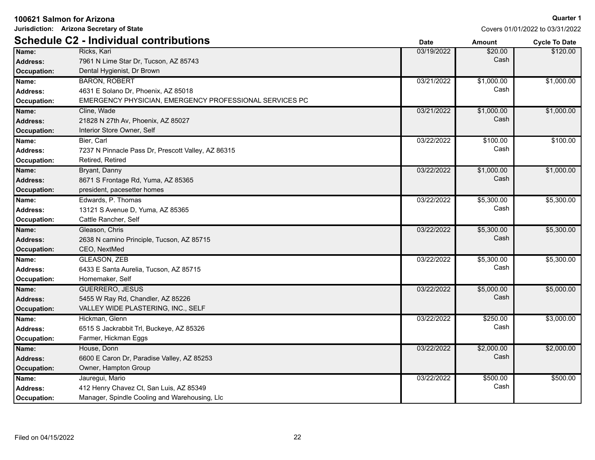**Jurisdiction: Arizona Secretary of State**

|                 | <b>Schedule C2 - Individual contributions</b>           | <b>Date</b> | <b>Amount</b> | <b>Cycle To Date</b> |
|-----------------|---------------------------------------------------------|-------------|---------------|----------------------|
| Name:           | Ricks, Kari                                             | 03/19/2022  | \$20.00       | \$120.00             |
| <b>Address:</b> | 7961 N Lime Star Dr, Tucson, AZ 85743                   |             | Cash          |                      |
| Occupation:     | Dental Hygienist, Dr Brown                              |             |               |                      |
| Name:           | <b>BARON, ROBERT</b>                                    | 03/21/2022  | \$1,000.00    | \$1,000.00           |
| <b>Address:</b> | 4631 E Solano Dr, Phoenix, AZ 85018                     |             | Cash          |                      |
| Occupation:     | EMERGENCY PHYSICIAN, EMERGENCY PROFESSIONAL SERVICES PC |             |               |                      |
| Name:           | Cline, Wade                                             | 03/21/2022  | \$1,000.00    | \$1,000.00           |
| <b>Address:</b> | 21828 N 27th Av, Phoenix, AZ 85027                      |             | Cash          |                      |
| Occupation:     | Interior Store Owner, Self                              |             |               |                      |
| Name:           | Bier, Carl                                              | 03/22/2022  | \$100.00      | \$100.00             |
| Address:        | 7237 N Pinnacle Pass Dr, Prescott Valley, AZ 86315      |             | Cash          |                      |
| Occupation:     | Retired, Retired                                        |             |               |                      |
| Name:           | Bryant, Danny                                           | 03/22/2022  | \$1,000.00    | \$1,000.00           |
| <b>Address:</b> | 8671 S Frontage Rd, Yuma, AZ 85365                      |             | Cash          |                      |
| Occupation:     | president, pacesetter homes                             |             |               |                      |
| Name:           | Edwards, P. Thomas                                      | 03/22/2022  | \$5,300.00    | \$5,300.00           |
| <b>Address:</b> | 13121 S Avenue D, Yuma, AZ 85365                        |             | Cash          |                      |
| Occupation:     | Cattle Rancher, Self                                    |             |               |                      |
| Name:           | Gleason, Chris                                          | 03/22/2022  | \$5,300.00    | \$5,300.00           |
| <b>Address:</b> | 2638 N camino Principle, Tucson, AZ 85715               |             | Cash          |                      |
| Occupation:     | CEO, NextMed                                            |             |               |                      |
| Name:           | <b>GLEASON, ZEB</b>                                     | 03/22/2022  | \$5,300.00    | \$5,300.00           |
| <b>Address:</b> | 6433 E Santa Aurelia, Tucson, AZ 85715                  |             | Cash          |                      |
| Occupation:     | Homemaker, Self                                         |             |               |                      |
| Name:           | <b>GUERRERO, JESUS</b>                                  | 03/22/2022  | \$5,000.00    | \$5,000.00           |
| <b>Address:</b> | 5455 W Ray Rd, Chandler, AZ 85226                       |             | Cash          |                      |
| Occupation:     | VALLEY WIDE PLASTERING, INC., SELF                      |             |               |                      |
| Name:           | Hickman, Glenn                                          | 03/22/2022  | \$250.00      | \$3,000.00           |
| <b>Address:</b> | 6515 S Jackrabbit Trl, Buckeye, AZ 85326                |             | Cash          |                      |
| Occupation:     | Farmer, Hickman Eggs                                    |             |               |                      |
| Name:           | House, Donn                                             | 03/22/2022  | \$2,000.00    | \$2,000.00           |
| <b>Address:</b> | 6600 E Caron Dr, Paradise Valley, AZ 85253              |             | Cash          |                      |
| Occupation:     | Owner, Hampton Group                                    |             |               |                      |
| Name:           | Jauregui, Mario                                         | 03/22/2022  | \$500.00      | \$500.00             |
| <b>Address:</b> | 412 Henry Chavez Ct, San Luis, AZ 85349                 |             | Cash          |                      |
| Occupation:     | Manager, Spindle Cooling and Warehousing, Llc           |             |               |                      |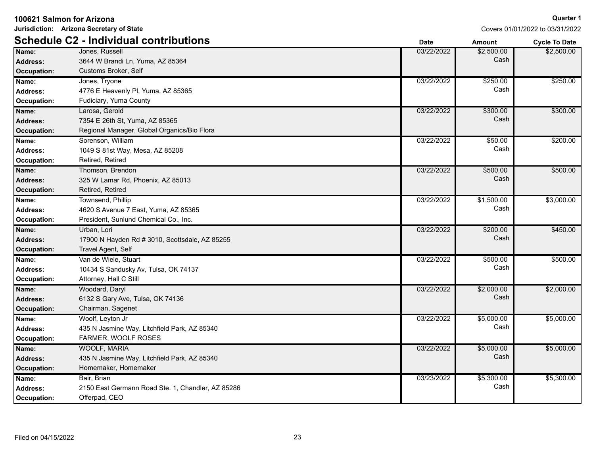|                    | Jurisdiction: Arizona Secretary of State<br>Covers 01/01/2022 to 03/31/2022 |             |            |                      |
|--------------------|-----------------------------------------------------------------------------|-------------|------------|----------------------|
|                    | <b>Schedule C2 - Individual contributions</b>                               | <b>Date</b> | Amount     | <b>Cycle To Date</b> |
| Name:              | Jones, Russell                                                              | 03/22/2022  | \$2,500.00 | \$2,500.00           |
| <b>Address:</b>    | 3644 W Brandi Ln, Yuma, AZ 85364                                            |             | Cash       |                      |
| Occupation:        | Customs Broker, Self                                                        |             |            |                      |
| Name:              | Jones, Tryone                                                               | 03/22/2022  | \$250.00   | \$250.00             |
| <b>Address:</b>    | 4776 E Heavenly Pl, Yuma, AZ 85365                                          |             | Cash       |                      |
| <b>Occupation:</b> | Fudiciary, Yuma County                                                      |             |            |                      |
| Name:              | Larosa, Gerold                                                              | 03/22/2022  | \$300.00   | \$300.00             |
| <b>Address:</b>    | 7354 E 26th St, Yuma, AZ 85365                                              |             | Cash       |                      |
| Occupation:        | Regional Manager, Global Organics/Bio Flora                                 |             |            |                      |
| Name:              | Sorenson, William                                                           | 03/22/2022  | \$50.00    | \$200.00             |
| Address:           | 1049 S 81st Way, Mesa, AZ 85208                                             |             | Cash       |                      |
| Occupation:        | Retired, Retired                                                            |             |            |                      |
| Name:              | Thomson, Brendon                                                            | 03/22/2022  | \$500.00   | \$500.00             |
| <b>Address:</b>    | 325 W Lamar Rd, Phoenix, AZ 85013                                           |             | Cash       |                      |
| <b>Occupation:</b> | Retired, Retired                                                            |             |            |                      |
| Name:              | Townsend, Phillip                                                           | 03/22/2022  | \$1,500.00 | \$3,000.00           |
| Address:           | 4620 S Avenue 7 East, Yuma, AZ 85365                                        |             | Cash       |                      |
| Occupation:        | President, Sunlund Chemical Co., Inc.                                       |             |            |                      |
| Name:              | Urban, Lori                                                                 | 03/22/2022  | \$200.00   | \$450.00             |
| <b>Address:</b>    | 17900 N Hayden Rd # 3010, Scottsdale, AZ 85255                              |             | Cash       |                      |
| <b>Occupation:</b> | Travel Agent, Self                                                          |             |            |                      |
| Name:              | Van de Wiele, Stuart                                                        | 03/22/2022  | \$500.00   | \$500.00             |
| Address:           | 10434 S Sandusky Av, Tulsa, OK 74137                                        |             | Cash       |                      |
| <b>Occupation:</b> | Attorney, Hall C Still                                                      |             |            |                      |
| Name:              | Woodard, Daryl                                                              | 03/22/2022  | \$2,000.00 | \$2,000.00           |
| <b>Address:</b>    | 6132 S Gary Ave, Tulsa, OK 74136                                            |             | Cash       |                      |
| <b>Occupation:</b> | Chairman, Sagenet                                                           |             |            |                      |
| Name:              | Woolf, Leyton Jr                                                            | 03/22/2022  | \$5,000.00 | \$5,000.00           |
| Address:           | 435 N Jasmine Way, Litchfield Park, AZ 85340                                |             | Cash       |                      |
| <b>Occupation:</b> | FARMER, WOOLF ROSES                                                         |             |            |                      |
| Name:              | <b>WOOLF, MARIA</b>                                                         | 03/22/2022  | \$5,000.00 | \$5,000.00           |
| <b>Address:</b>    | 435 N Jasmine Way, Litchfield Park, AZ 85340                                |             | Cash       |                      |
| <b>Occupation:</b> | Homemaker, Homemaker                                                        |             |            |                      |
| Name:              | Bair, Brian                                                                 | 03/23/2022  | \$5,300.00 | \$5,300.00           |
| <b>Address:</b>    | 2150 East Germann Road Ste. 1, Chandler, AZ 85286                           |             | Cash       |                      |
| <b>Occupation:</b> | Offerpad, CEO                                                               |             |            |                      |

**100621 Salmon for Arizona**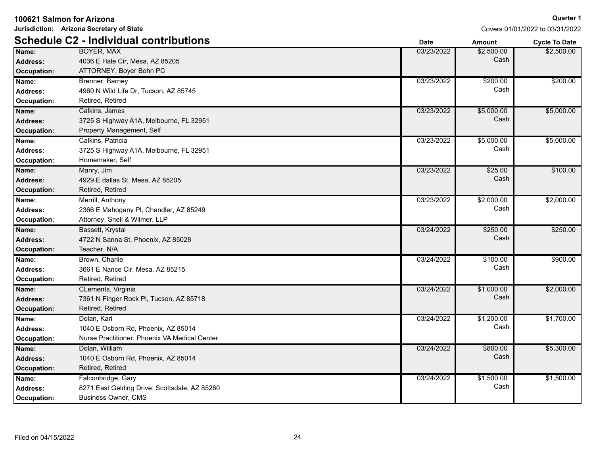| <b>Schedule C2 - Individual contributions</b><br><b>Date</b><br><b>Amount</b><br><b>Cycle To Date</b><br><b>BOYER, MAX</b><br>03/23/2022<br>\$2,500.00<br>\$2,500.00<br>Name:<br>Cash<br><b>Address:</b><br>4036 E Hale Cir, Mesa, AZ 85205<br>ATTORNEY, Boyer Bohn PC<br><b>Occupation:</b><br>03/23/2022<br>\$200.00<br>\$200.00<br>Name:<br>Brenner, Barney<br>Cash<br><b>Address:</b><br>4960 N Wild Life Dr, Tucson, AZ 85745<br>Occupation:<br>Retired, Retired<br>\$5,000.00<br>Calkins, James<br>03/23/2022<br>\$5,000.00<br>Name:<br>Cash<br>Address:<br>3725 S Highway A1A, Melbourne, FL 32951<br>Property Management, Self<br><b>Occupation:</b><br>\$5,000.00<br>\$5,000.00<br>Name:<br>Calkins, Patricia<br>03/23/2022<br>Cash<br><b>Address:</b><br>3725 S Highway A1A, Melbourne, FL 32951<br>Homemaker, Self<br>Occupation:<br>03/23/2022<br>\$25.00<br>\$100.00<br>Name:<br>Manry, Jim<br>Cash<br><b>Address:</b><br>4929 E dallas St, Mesa, AZ 85205<br><b>Occupation:</b><br>Retired, Retired<br>\$2,000.00<br>\$2,000.00<br>Name:<br>Merrill, Anthony<br>03/23/2022<br>Cash<br>Address:<br>2366 E Mahogany PI, Chandler, AZ 85249<br>Attorney, Snell & Wilmer, LLP<br>Occupation:<br>\$250.00<br>\$250.00<br>Bassett, Krystal<br>03/24/2022<br>Name:<br>Cash<br><b>Address:</b><br>4722 N Sanna St, Phoenix, AZ 85028<br>Teacher, N/A<br><b>Occupation:</b><br>\$900.00<br>Name:<br>Brown, Charlie<br>03/24/2022<br>\$100.00<br>Cash<br><b>Address:</b><br>3661 E Nance Cir, Mesa, AZ 85215<br>Occupation:<br>Retired, Retired<br>\$2,000.00<br>CLements, Virginia<br>03/24/2022<br>\$1,000.00<br>Name:<br>Cash<br><b>Address:</b><br>7361 N Finger Rock PI, Tucson, AZ 85718<br>Retired, Retired<br><b>Occupation:</b><br>\$1,200.00<br>\$1,700.00<br>Name:<br>Dolan, Kari<br>03/24/2022<br>Cash<br>1040 E Osborn Rd, Phoenix, AZ 85014<br><b>Address:</b><br>Nurse Practitioner, Phoenix VA Medical Center<br>Occupation:<br>\$800.00<br>\$5,300.00<br>Dolan, William<br>03/24/2022<br>Name:<br>Cash<br>1040 E Osborn Rd, Phoenix, AZ 85014<br><b>Address:</b><br>Retired, Retired<br><b>Occupation:</b><br>\$1,500.00<br>\$1,500.00<br>Name:<br>03/24/2022<br>Falconbridge, Gary<br>Cash<br>8271 East Gelding Drive, Scottsdale, AZ 85260<br><b>Address:</b><br><b>Business Owner, CMS</b><br>Occupation: | Jurisdiction: Arizona Secretary of State<br>Covers 01/01/2022 to 03/31/2022 |  |  |  |
|-----------------------------------------------------------------------------------------------------------------------------------------------------------------------------------------------------------------------------------------------------------------------------------------------------------------------------------------------------------------------------------------------------------------------------------------------------------------------------------------------------------------------------------------------------------------------------------------------------------------------------------------------------------------------------------------------------------------------------------------------------------------------------------------------------------------------------------------------------------------------------------------------------------------------------------------------------------------------------------------------------------------------------------------------------------------------------------------------------------------------------------------------------------------------------------------------------------------------------------------------------------------------------------------------------------------------------------------------------------------------------------------------------------------------------------------------------------------------------------------------------------------------------------------------------------------------------------------------------------------------------------------------------------------------------------------------------------------------------------------------------------------------------------------------------------------------------------------------------------------------------------------------------------------------------------------------------------------------------------------------------------------------------------------------------------------------------------------------------------------------------------------------------------------------------------------------------------------------------------------------------------------------------------------------------------------------------------|-----------------------------------------------------------------------------|--|--|--|
|                                                                                                                                                                                                                                                                                                                                                                                                                                                                                                                                                                                                                                                                                                                                                                                                                                                                                                                                                                                                                                                                                                                                                                                                                                                                                                                                                                                                                                                                                                                                                                                                                                                                                                                                                                                                                                                                                                                                                                                                                                                                                                                                                                                                                                                                                                                                   |                                                                             |  |  |  |
|                                                                                                                                                                                                                                                                                                                                                                                                                                                                                                                                                                                                                                                                                                                                                                                                                                                                                                                                                                                                                                                                                                                                                                                                                                                                                                                                                                                                                                                                                                                                                                                                                                                                                                                                                                                                                                                                                                                                                                                                                                                                                                                                                                                                                                                                                                                                   |                                                                             |  |  |  |
|                                                                                                                                                                                                                                                                                                                                                                                                                                                                                                                                                                                                                                                                                                                                                                                                                                                                                                                                                                                                                                                                                                                                                                                                                                                                                                                                                                                                                                                                                                                                                                                                                                                                                                                                                                                                                                                                                                                                                                                                                                                                                                                                                                                                                                                                                                                                   |                                                                             |  |  |  |
|                                                                                                                                                                                                                                                                                                                                                                                                                                                                                                                                                                                                                                                                                                                                                                                                                                                                                                                                                                                                                                                                                                                                                                                                                                                                                                                                                                                                                                                                                                                                                                                                                                                                                                                                                                                                                                                                                                                                                                                                                                                                                                                                                                                                                                                                                                                                   |                                                                             |  |  |  |
|                                                                                                                                                                                                                                                                                                                                                                                                                                                                                                                                                                                                                                                                                                                                                                                                                                                                                                                                                                                                                                                                                                                                                                                                                                                                                                                                                                                                                                                                                                                                                                                                                                                                                                                                                                                                                                                                                                                                                                                                                                                                                                                                                                                                                                                                                                                                   |                                                                             |  |  |  |
|                                                                                                                                                                                                                                                                                                                                                                                                                                                                                                                                                                                                                                                                                                                                                                                                                                                                                                                                                                                                                                                                                                                                                                                                                                                                                                                                                                                                                                                                                                                                                                                                                                                                                                                                                                                                                                                                                                                                                                                                                                                                                                                                                                                                                                                                                                                                   |                                                                             |  |  |  |
|                                                                                                                                                                                                                                                                                                                                                                                                                                                                                                                                                                                                                                                                                                                                                                                                                                                                                                                                                                                                                                                                                                                                                                                                                                                                                                                                                                                                                                                                                                                                                                                                                                                                                                                                                                                                                                                                                                                                                                                                                                                                                                                                                                                                                                                                                                                                   |                                                                             |  |  |  |
|                                                                                                                                                                                                                                                                                                                                                                                                                                                                                                                                                                                                                                                                                                                                                                                                                                                                                                                                                                                                                                                                                                                                                                                                                                                                                                                                                                                                                                                                                                                                                                                                                                                                                                                                                                                                                                                                                                                                                                                                                                                                                                                                                                                                                                                                                                                                   |                                                                             |  |  |  |
|                                                                                                                                                                                                                                                                                                                                                                                                                                                                                                                                                                                                                                                                                                                                                                                                                                                                                                                                                                                                                                                                                                                                                                                                                                                                                                                                                                                                                                                                                                                                                                                                                                                                                                                                                                                                                                                                                                                                                                                                                                                                                                                                                                                                                                                                                                                                   |                                                                             |  |  |  |
|                                                                                                                                                                                                                                                                                                                                                                                                                                                                                                                                                                                                                                                                                                                                                                                                                                                                                                                                                                                                                                                                                                                                                                                                                                                                                                                                                                                                                                                                                                                                                                                                                                                                                                                                                                                                                                                                                                                                                                                                                                                                                                                                                                                                                                                                                                                                   |                                                                             |  |  |  |
|                                                                                                                                                                                                                                                                                                                                                                                                                                                                                                                                                                                                                                                                                                                                                                                                                                                                                                                                                                                                                                                                                                                                                                                                                                                                                                                                                                                                                                                                                                                                                                                                                                                                                                                                                                                                                                                                                                                                                                                                                                                                                                                                                                                                                                                                                                                                   |                                                                             |  |  |  |
|                                                                                                                                                                                                                                                                                                                                                                                                                                                                                                                                                                                                                                                                                                                                                                                                                                                                                                                                                                                                                                                                                                                                                                                                                                                                                                                                                                                                                                                                                                                                                                                                                                                                                                                                                                                                                                                                                                                                                                                                                                                                                                                                                                                                                                                                                                                                   |                                                                             |  |  |  |
|                                                                                                                                                                                                                                                                                                                                                                                                                                                                                                                                                                                                                                                                                                                                                                                                                                                                                                                                                                                                                                                                                                                                                                                                                                                                                                                                                                                                                                                                                                                                                                                                                                                                                                                                                                                                                                                                                                                                                                                                                                                                                                                                                                                                                                                                                                                                   |                                                                             |  |  |  |
|                                                                                                                                                                                                                                                                                                                                                                                                                                                                                                                                                                                                                                                                                                                                                                                                                                                                                                                                                                                                                                                                                                                                                                                                                                                                                                                                                                                                                                                                                                                                                                                                                                                                                                                                                                                                                                                                                                                                                                                                                                                                                                                                                                                                                                                                                                                                   |                                                                             |  |  |  |
|                                                                                                                                                                                                                                                                                                                                                                                                                                                                                                                                                                                                                                                                                                                                                                                                                                                                                                                                                                                                                                                                                                                                                                                                                                                                                                                                                                                                                                                                                                                                                                                                                                                                                                                                                                                                                                                                                                                                                                                                                                                                                                                                                                                                                                                                                                                                   |                                                                             |  |  |  |
|                                                                                                                                                                                                                                                                                                                                                                                                                                                                                                                                                                                                                                                                                                                                                                                                                                                                                                                                                                                                                                                                                                                                                                                                                                                                                                                                                                                                                                                                                                                                                                                                                                                                                                                                                                                                                                                                                                                                                                                                                                                                                                                                                                                                                                                                                                                                   |                                                                             |  |  |  |
|                                                                                                                                                                                                                                                                                                                                                                                                                                                                                                                                                                                                                                                                                                                                                                                                                                                                                                                                                                                                                                                                                                                                                                                                                                                                                                                                                                                                                                                                                                                                                                                                                                                                                                                                                                                                                                                                                                                                                                                                                                                                                                                                                                                                                                                                                                                                   |                                                                             |  |  |  |
|                                                                                                                                                                                                                                                                                                                                                                                                                                                                                                                                                                                                                                                                                                                                                                                                                                                                                                                                                                                                                                                                                                                                                                                                                                                                                                                                                                                                                                                                                                                                                                                                                                                                                                                                                                                                                                                                                                                                                                                                                                                                                                                                                                                                                                                                                                                                   |                                                                             |  |  |  |
|                                                                                                                                                                                                                                                                                                                                                                                                                                                                                                                                                                                                                                                                                                                                                                                                                                                                                                                                                                                                                                                                                                                                                                                                                                                                                                                                                                                                                                                                                                                                                                                                                                                                                                                                                                                                                                                                                                                                                                                                                                                                                                                                                                                                                                                                                                                                   |                                                                             |  |  |  |
|                                                                                                                                                                                                                                                                                                                                                                                                                                                                                                                                                                                                                                                                                                                                                                                                                                                                                                                                                                                                                                                                                                                                                                                                                                                                                                                                                                                                                                                                                                                                                                                                                                                                                                                                                                                                                                                                                                                                                                                                                                                                                                                                                                                                                                                                                                                                   |                                                                             |  |  |  |
|                                                                                                                                                                                                                                                                                                                                                                                                                                                                                                                                                                                                                                                                                                                                                                                                                                                                                                                                                                                                                                                                                                                                                                                                                                                                                                                                                                                                                                                                                                                                                                                                                                                                                                                                                                                                                                                                                                                                                                                                                                                                                                                                                                                                                                                                                                                                   |                                                                             |  |  |  |
|                                                                                                                                                                                                                                                                                                                                                                                                                                                                                                                                                                                                                                                                                                                                                                                                                                                                                                                                                                                                                                                                                                                                                                                                                                                                                                                                                                                                                                                                                                                                                                                                                                                                                                                                                                                                                                                                                                                                                                                                                                                                                                                                                                                                                                                                                                                                   |                                                                             |  |  |  |
|                                                                                                                                                                                                                                                                                                                                                                                                                                                                                                                                                                                                                                                                                                                                                                                                                                                                                                                                                                                                                                                                                                                                                                                                                                                                                                                                                                                                                                                                                                                                                                                                                                                                                                                                                                                                                                                                                                                                                                                                                                                                                                                                                                                                                                                                                                                                   |                                                                             |  |  |  |
|                                                                                                                                                                                                                                                                                                                                                                                                                                                                                                                                                                                                                                                                                                                                                                                                                                                                                                                                                                                                                                                                                                                                                                                                                                                                                                                                                                                                                                                                                                                                                                                                                                                                                                                                                                                                                                                                                                                                                                                                                                                                                                                                                                                                                                                                                                                                   |                                                                             |  |  |  |
|                                                                                                                                                                                                                                                                                                                                                                                                                                                                                                                                                                                                                                                                                                                                                                                                                                                                                                                                                                                                                                                                                                                                                                                                                                                                                                                                                                                                                                                                                                                                                                                                                                                                                                                                                                                                                                                                                                                                                                                                                                                                                                                                                                                                                                                                                                                                   |                                                                             |  |  |  |
|                                                                                                                                                                                                                                                                                                                                                                                                                                                                                                                                                                                                                                                                                                                                                                                                                                                                                                                                                                                                                                                                                                                                                                                                                                                                                                                                                                                                                                                                                                                                                                                                                                                                                                                                                                                                                                                                                                                                                                                                                                                                                                                                                                                                                                                                                                                                   |                                                                             |  |  |  |
|                                                                                                                                                                                                                                                                                                                                                                                                                                                                                                                                                                                                                                                                                                                                                                                                                                                                                                                                                                                                                                                                                                                                                                                                                                                                                                                                                                                                                                                                                                                                                                                                                                                                                                                                                                                                                                                                                                                                                                                                                                                                                                                                                                                                                                                                                                                                   |                                                                             |  |  |  |
|                                                                                                                                                                                                                                                                                                                                                                                                                                                                                                                                                                                                                                                                                                                                                                                                                                                                                                                                                                                                                                                                                                                                                                                                                                                                                                                                                                                                                                                                                                                                                                                                                                                                                                                                                                                                                                                                                                                                                                                                                                                                                                                                                                                                                                                                                                                                   |                                                                             |  |  |  |
|                                                                                                                                                                                                                                                                                                                                                                                                                                                                                                                                                                                                                                                                                                                                                                                                                                                                                                                                                                                                                                                                                                                                                                                                                                                                                                                                                                                                                                                                                                                                                                                                                                                                                                                                                                                                                                                                                                                                                                                                                                                                                                                                                                                                                                                                                                                                   |                                                                             |  |  |  |
|                                                                                                                                                                                                                                                                                                                                                                                                                                                                                                                                                                                                                                                                                                                                                                                                                                                                                                                                                                                                                                                                                                                                                                                                                                                                                                                                                                                                                                                                                                                                                                                                                                                                                                                                                                                                                                                                                                                                                                                                                                                                                                                                                                                                                                                                                                                                   |                                                                             |  |  |  |
|                                                                                                                                                                                                                                                                                                                                                                                                                                                                                                                                                                                                                                                                                                                                                                                                                                                                                                                                                                                                                                                                                                                                                                                                                                                                                                                                                                                                                                                                                                                                                                                                                                                                                                                                                                                                                                                                                                                                                                                                                                                                                                                                                                                                                                                                                                                                   |                                                                             |  |  |  |
|                                                                                                                                                                                                                                                                                                                                                                                                                                                                                                                                                                                                                                                                                                                                                                                                                                                                                                                                                                                                                                                                                                                                                                                                                                                                                                                                                                                                                                                                                                                                                                                                                                                                                                                                                                                                                                                                                                                                                                                                                                                                                                                                                                                                                                                                                                                                   |                                                                             |  |  |  |
|                                                                                                                                                                                                                                                                                                                                                                                                                                                                                                                                                                                                                                                                                                                                                                                                                                                                                                                                                                                                                                                                                                                                                                                                                                                                                                                                                                                                                                                                                                                                                                                                                                                                                                                                                                                                                                                                                                                                                                                                                                                                                                                                                                                                                                                                                                                                   |                                                                             |  |  |  |
|                                                                                                                                                                                                                                                                                                                                                                                                                                                                                                                                                                                                                                                                                                                                                                                                                                                                                                                                                                                                                                                                                                                                                                                                                                                                                                                                                                                                                                                                                                                                                                                                                                                                                                                                                                                                                                                                                                                                                                                                                                                                                                                                                                                                                                                                                                                                   |                                                                             |  |  |  |
|                                                                                                                                                                                                                                                                                                                                                                                                                                                                                                                                                                                                                                                                                                                                                                                                                                                                                                                                                                                                                                                                                                                                                                                                                                                                                                                                                                                                                                                                                                                                                                                                                                                                                                                                                                                                                                                                                                                                                                                                                                                                                                                                                                                                                                                                                                                                   |                                                                             |  |  |  |
|                                                                                                                                                                                                                                                                                                                                                                                                                                                                                                                                                                                                                                                                                                                                                                                                                                                                                                                                                                                                                                                                                                                                                                                                                                                                                                                                                                                                                                                                                                                                                                                                                                                                                                                                                                                                                                                                                                                                                                                                                                                                                                                                                                                                                                                                                                                                   |                                                                             |  |  |  |
|                                                                                                                                                                                                                                                                                                                                                                                                                                                                                                                                                                                                                                                                                                                                                                                                                                                                                                                                                                                                                                                                                                                                                                                                                                                                                                                                                                                                                                                                                                                                                                                                                                                                                                                                                                                                                                                                                                                                                                                                                                                                                                                                                                                                                                                                                                                                   |                                                                             |  |  |  |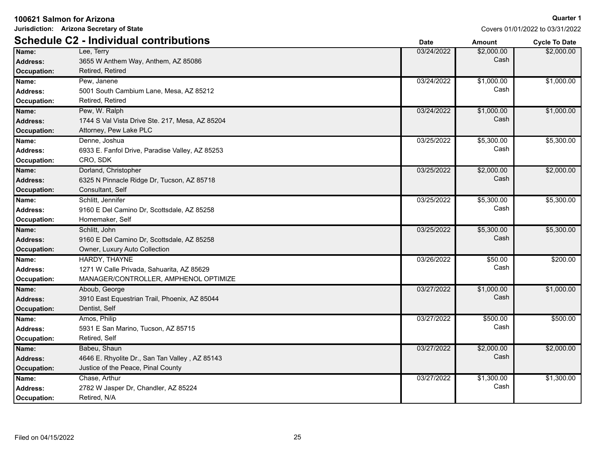**Jurisdiction: Arizona Secretary of State**

|                 | <b>Schedule C2 - Individual contributions</b>   | <b>Date</b> | <b>Amount</b> | <b>Cycle To Date</b> |
|-----------------|-------------------------------------------------|-------------|---------------|----------------------|
| Name:           | Lee, Terry                                      | 03/24/2022  | \$2,000.00    | \$2,000.00           |
| <b>Address:</b> | 3655 W Anthem Way, Anthem, AZ 85086             |             | Cash          |                      |
| Occupation:     | Retired, Retired                                |             |               |                      |
| Name:           | Pew, Janene                                     | 03/24/2022  | \$1,000.00    | \$1,000.00           |
| Address:        | 5001 South Cambium Lane, Mesa, AZ 85212         |             | Cash          |                      |
| Occupation:     | Retired, Retired                                |             |               |                      |
| Name:           | Pew, W. Ralph                                   | 03/24/2022  | \$1,000.00    | \$1,000.00           |
| Address:        | 1744 S Val Vista Drive Ste. 217, Mesa, AZ 85204 |             | Cash          |                      |
| Occupation:     | Attorney, Pew Lake PLC                          |             |               |                      |
| Name:           | Denne, Joshua                                   | 03/25/2022  | \$5,300.00    | \$5,300.00           |
| <b>Address:</b> | 6933 E. Fanfol Drive, Paradise Valley, AZ 85253 |             | Cash          |                      |
| Occupation:     | CRO, SDK                                        |             |               |                      |
| Name:           | Dorland, Christopher                            | 03/25/2022  | \$2,000.00    | \$2,000.00           |
| Address:        | 6325 N Pinnacle Ridge Dr, Tucson, AZ 85718      |             | Cash          |                      |
| Occupation:     | Consultant, Self                                |             |               |                      |
| Name:           | Schlitt, Jennifer                               | 03/25/2022  | \$5,300.00    | \$5,300.00           |
| <b>Address:</b> | 9160 E Del Camino Dr, Scottsdale, AZ 85258      |             | Cash          |                      |
| Occupation:     | Homemaker, Self                                 |             |               |                      |
| Name:           | Schlitt, John                                   | 03/25/2022  | \$5,300.00    | \$5,300.00           |
| <b>Address:</b> | 9160 E Del Camino Dr, Scottsdale, AZ 85258      |             | Cash          |                      |
| Occupation:     | Owner, Luxury Auto Collection                   |             |               |                      |
| Name:           | HARDY, THAYNE                                   | 03/26/2022  | \$50.00       | \$200.00             |
| <b>Address:</b> | 1271 W Calle Privada, Sahuarita, AZ 85629       |             | Cash          |                      |
| Occupation:     | MANAGER/CONTROLLER, AMPHENOL OPTIMIZE           |             |               |                      |
| Name:           | Aboub, George                                   | 03/27/2022  | \$1,000.00    | \$1,000.00           |
| Address:        | 3910 East Equestrian Trail, Phoenix, AZ 85044   |             | Cash          |                      |
| Occupation:     | Dentist, Self                                   |             |               |                      |
| Name:           | Amos, Philip                                    | 03/27/2022  | \$500.00      | \$500.00             |
| <b>Address:</b> | 5931 E San Marino, Tucson, AZ 85715             |             | Cash          |                      |
| Occupation:     | Retired, Self                                   |             |               |                      |
| Name:           | Babeu, Shaun                                    | 03/27/2022  | \$2,000.00    | \$2,000.00           |
| Address:        | 4646 E. Rhyolite Dr., San Tan Valley, AZ 85143  |             | Cash          |                      |
| Occupation:     | Justice of the Peace, Pinal County              |             |               |                      |
| Name:           | Chase, Arthur                                   | 03/27/2022  | \$1,300.00    | \$1,300.00           |
| <b>Address:</b> | 2782 W Jasper Dr, Chandler, AZ 85224            |             | Cash          |                      |
| Occupation:     | Retired, N/A                                    |             |               |                      |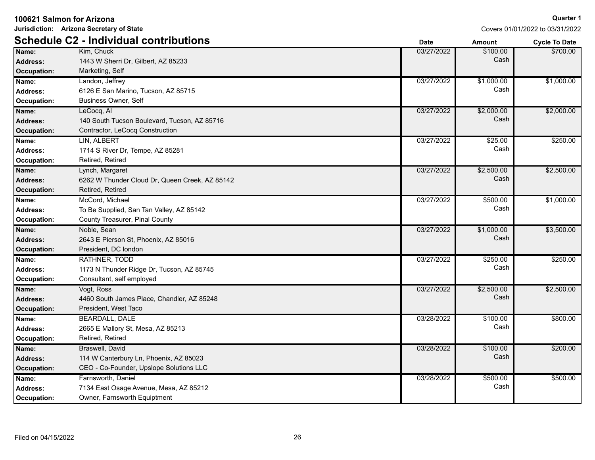| Jurisdiction: Arizona Secretary of State<br>Covers 01/01/2022 to 03/31/2022 |                                                |             |               |                      |
|-----------------------------------------------------------------------------|------------------------------------------------|-------------|---------------|----------------------|
|                                                                             | <b>Schedule C2 - Individual contributions</b>  | <b>Date</b> | <b>Amount</b> | <b>Cycle To Date</b> |
| Name:                                                                       | Kim, Chuck                                     | 03/27/2022  | \$100.00      | \$700.00             |
| <b>Address:</b>                                                             | 1443 W Sherri Dr, Gilbert, AZ 85233            |             | Cash          |                      |
| <b>Occupation:</b>                                                          | Marketing, Self                                |             |               |                      |
| Name:                                                                       | Landon, Jeffrey                                | 03/27/2022  | \$1,000.00    | \$1,000.00           |
| <b>Address:</b>                                                             | 6126 E San Marino, Tucson, AZ 85715            |             | Cash          |                      |
| Occupation:                                                                 | <b>Business Owner, Self</b>                    |             |               |                      |
| Name:                                                                       | LeCocq, Al                                     | 03/27/2022  | \$2,000.00    | \$2,000.00           |
| <b>Address:</b>                                                             | 140 South Tucson Boulevard, Tucson, AZ 85716   |             | Cash          |                      |
| Occupation:                                                                 | Contractor, LeCocq Construction                |             |               |                      |
| Name:                                                                       | <b>LIN, ALBERT</b>                             | 03/27/2022  | \$25.00       | \$250.00             |
| <b>Address:</b>                                                             | 1714 S River Dr, Tempe, AZ 85281               |             | Cash          |                      |
| Occupation:                                                                 | Retired, Retired                               |             |               |                      |
| Name:                                                                       | Lynch, Margaret                                | 03/27/2022  | \$2,500.00    | \$2,500.00           |
| <b>Address:</b>                                                             | 6262 W Thunder Cloud Dr, Queen Creek, AZ 85142 |             | Cash          |                      |
| <b>Occupation:</b>                                                          | Retired, Retired                               |             |               |                      |
| Name:                                                                       | McCord, Michael                                | 03/27/2022  | \$500.00      | \$1,000.00           |
| <b>Address:</b>                                                             | To Be Supplied, San Tan Valley, AZ 85142       |             | Cash          |                      |
| Occupation:                                                                 | County Treasurer, Pinal County                 |             |               |                      |
| Name:                                                                       | Noble, Sean                                    | 03/27/2022  | \$1,000.00    | \$3,500.00           |
| <b>Address:</b>                                                             | 2643 E Pierson St, Phoenix, AZ 85016           |             | Cash          |                      |
| <b>Occupation:</b>                                                          | President, DC london                           |             |               |                      |
| Name:                                                                       | RATHNER, TODD                                  | 03/27/2022  | \$250.00      | \$250.00             |
| <b>Address:</b>                                                             | 1173 N Thunder Ridge Dr, Tucson, AZ 85745      |             | Cash          |                      |
| Occupation:                                                                 | Consultant, self employed                      |             |               |                      |
| Name:                                                                       | Vogt, Ross                                     | 03/27/2022  | \$2,500.00    | \$2,500.00           |
| <b>Address:</b>                                                             | 4460 South James Place, Chandler, AZ 85248     |             | Cash          |                      |
| <b>Occupation:</b>                                                          | President, West Taco                           |             |               |                      |
| Name:                                                                       | <b>BEARDALL, DALE</b>                          | 03/28/2022  | \$100.00      | \$800.00             |
| Address:                                                                    | 2665 E Mallory St, Mesa, AZ 85213              |             | Cash          |                      |
| Occupation:                                                                 | Retired, Retired                               |             |               |                      |
| Name:                                                                       | <b>Braswell, David</b>                         | 03/28/2022  | \$100.00      | \$200.00             |
| <b>Address:</b>                                                             | 114 W Canterbury Ln, Phoenix, AZ 85023         |             | Cash          |                      |
| <b>Occupation:</b>                                                          | CEO - Co-Founder, Upslope Solutions LLC        |             |               |                      |
| Name:                                                                       | Farnsworth, Daniel                             | 03/28/2022  | \$500.00      | \$500.00             |
| Address:                                                                    | 7134 East Osage Avenue, Mesa, AZ 85212         |             | Cash          |                      |
| Occupation:                                                                 | Owner, Farnsworth Equiptment                   |             |               |                      |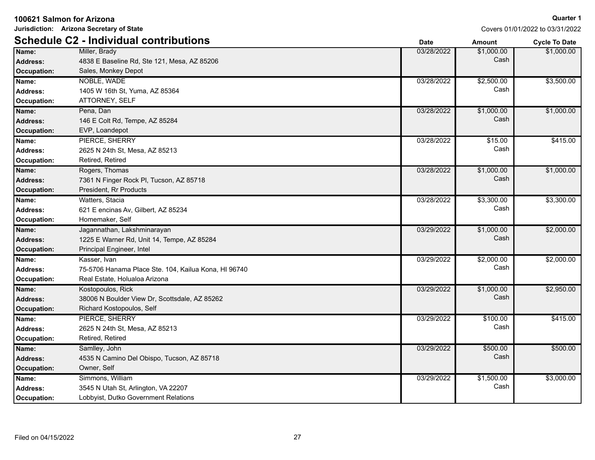|  | 100621 Salmon for Arizona |  |
|--|---------------------------|--|
|  |                           |  |

**Jurisdiction: Arizona Secretary of State**

|                 | <b>Schedule C2 - Individual contributions</b>        | <b>Date</b> | <b>Amount</b> | <b>Cycle To Date</b> |
|-----------------|------------------------------------------------------|-------------|---------------|----------------------|
| Name:           | Miller, Brady                                        | 03/28/2022  | \$1,000.00    | \$1,000.00           |
| <b>Address:</b> | 4838 E Baseline Rd, Ste 121, Mesa, AZ 85206          |             | Cash          |                      |
| Occupation:     | Sales, Monkey Depot                                  |             |               |                      |
| Name:           | NOBLE, WADE                                          | 03/28/2022  | \$2,500.00    | \$3,500.00           |
| <b>Address:</b> | 1405 W 16th St, Yuma, AZ 85364                       |             | Cash          |                      |
| Occupation:     | ATTORNEY, SELF                                       |             |               |                      |
| Name:           | Pena, Dan                                            | 03/28/2022  | \$1,000.00    | \$1,000.00           |
| Address:        | 146 E Colt Rd, Tempe, AZ 85284                       |             | Cash          |                      |
| Occupation:     | EVP, Loandepot                                       |             |               |                      |
| Name:           | PIERCE, SHERRY                                       | 03/28/2022  | \$15.00       | \$415.00             |
| Address:        | 2625 N 24th St, Mesa, AZ 85213                       |             | Cash          |                      |
| Occupation:     | Retired, Retired                                     |             |               |                      |
| Name:           | Rogers, Thomas                                       | 03/28/2022  | \$1,000.00    | \$1,000.00           |
| <b>Address:</b> | 7361 N Finger Rock PI, Tucson, AZ 85718              |             | Cash          |                      |
| Occupation:     | President, Rr Products                               |             |               |                      |
| Name:           | Watters, Stacia                                      | 03/28/2022  | \$3,300.00    | \$3,300.00           |
| <b>Address:</b> | 621 E encinas Av, Gilbert, AZ 85234                  |             | Cash          |                      |
| Occupation:     | Homemaker, Self                                      |             |               |                      |
| Name:           | Jagannathan, Lakshminarayan                          | 03/29/2022  | \$1,000.00    | \$2,000.00           |
| <b>Address:</b> | 1225 E Warner Rd, Unit 14, Tempe, AZ 85284           |             | Cash          |                      |
| Occupation:     | Principal Engineer, Intel                            |             |               |                      |
| Name:           | Kasser, Ivan                                         | 03/29/2022  | \$2,000.00    | \$2,000.00           |
| <b>Address:</b> | 75-5706 Hanama Place Ste. 104, Kailua Kona, HI 96740 |             | Cash          |                      |
| Occupation:     | Real Estate, Holualoa Arizona                        |             |               |                      |
| Name:           | Kostopoulos, Rick                                    | 03/29/2022  | \$1,000.00    | \$2,950.00           |
| <b>Address:</b> | 38006 N Boulder View Dr, Scottsdale, AZ 85262        |             | Cash          |                      |
| Occupation:     | Richard Kostopoulos, Self                            |             |               |                      |
| Name:           | PIERCE, SHERRY                                       | 03/29/2022  | \$100.00      | \$415.00             |
| <b>Address:</b> | 2625 N 24th St, Mesa, AZ 85213                       |             | Cash          |                      |
| Occupation:     | Retired, Retired                                     |             |               |                      |
| Name:           | Samlley, John                                        | 03/29/2022  | \$500.00      | \$500.00             |
| <b>Address:</b> | 4535 N Camino Del Obispo, Tucson, AZ 85718           |             | Cash          |                      |
| Occupation:     | Owner, Self                                          |             |               |                      |
| Name:           | Simmons, William                                     | 03/29/2022  | \$1,500.00    | \$3,000.00           |
| <b>Address:</b> | 3545 N Utah St, Arlington, VA 22207                  |             | Cash          |                      |
| Occupation:     | Lobbyist, Dutko Government Relations                 |             |               |                      |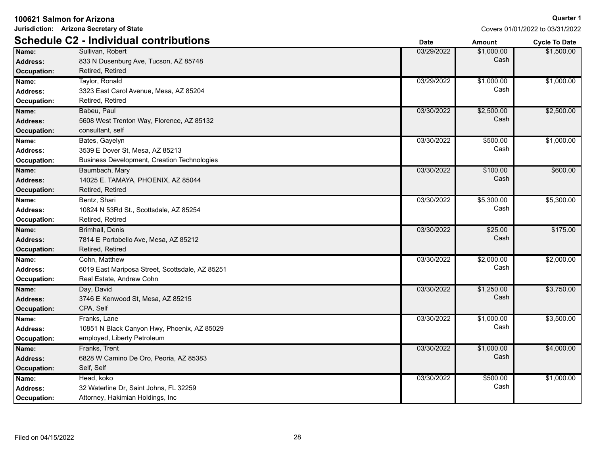**Jurisdiction: Arizona Secretary of State**

| <b>Schedule C2 - Individual contributions</b> |                                                 | <b>Date</b> | <b>Amount</b> | <b>Cycle To Date</b> |
|-----------------------------------------------|-------------------------------------------------|-------------|---------------|----------------------|
| Name:                                         | Sullivan, Robert                                | 03/29/2022  | \$1,000.00    | \$1,500.00           |
| <b>Address:</b>                               | 833 N Dusenburg Ave, Tucson, AZ 85748           |             | Cash          |                      |
| <b>Occupation:</b>                            | Retired, Retired                                |             |               |                      |
| Name:                                         | Taylor, Ronald                                  | 03/29/2022  | \$1,000.00    | \$1,000.00           |
| <b>Address:</b>                               | 3323 East Carol Avenue, Mesa, AZ 85204          |             | Cash          |                      |
| Occupation:                                   | Retired, Retired                                |             |               |                      |
| Name:                                         | Babeu, Paul                                     | 03/30/2022  | \$2,500.00    | \$2,500.00           |
| <b>Address:</b>                               | 5608 West Trenton Way, Florence, AZ 85132       |             | Cash          |                      |
| <b>Occupation:</b>                            | consultant, self                                |             |               |                      |
| Name:                                         | Bates, Gayelyn                                  | 03/30/2022  | \$500.00      | \$1,000.00           |
| <b>Address:</b>                               | 3539 E Dover St, Mesa, AZ 85213                 |             | Cash          |                      |
| Occupation:                                   | Business Development, Creation Technologies     |             |               |                      |
| Name:                                         | Baumbach, Mary                                  | 03/30/2022  | \$100.00      | \$600.00             |
| <b>Address:</b>                               | 14025 E. TAMAYA, PHOENIX, AZ 85044              |             | Cash          |                      |
| <b>Occupation:</b>                            | Retired, Retired                                |             |               |                      |
| Name:                                         | Bentz, Shari                                    | 03/30/2022  | \$5,300.00    | \$5,300.00           |
| <b>Address:</b>                               | 10824 N 53Rd St., Scottsdale, AZ 85254          |             | Cash          |                      |
| Occupation:                                   | Retired, Retired                                |             |               |                      |
| Name:                                         | Brimhall, Denis                                 | 03/30/2022  | \$25.00       | \$175.00             |
| <b>Address:</b>                               | 7814 E Portobello Ave, Mesa, AZ 85212           |             | Cash          |                      |
| Occupation:                                   | Retired, Retired                                |             |               |                      |
| Name:                                         | Cohn, Matthew                                   | 03/30/2022  | \$2,000.00    | \$2,000.00           |
| <b>Address:</b>                               | 6019 East Mariposa Street, Scottsdale, AZ 85251 |             | Cash          |                      |
| Occupation:                                   | Real Estate, Andrew Cohn                        |             |               |                      |
| Name:                                         | Day, David                                      | 03/30/2022  | \$1,250.00    | \$3,750.00           |
| <b>Address:</b>                               | 3746 E Kenwood St, Mesa, AZ 85215               |             | Cash          |                      |
| <b>Occupation:</b>                            | CPA, Self                                       |             |               |                      |
| Name:                                         | Franks, Lane                                    | 03/30/2022  | \$1,000.00    | \$3,500.00           |
| <b>Address:</b>                               | 10851 N Black Canyon Hwy, Phoenix, AZ 85029     |             | Cash          |                      |
| Occupation:                                   | employed, Liberty Petroleum                     |             |               |                      |
| Name:                                         | Franks, Trent                                   | 03/30/2022  | \$1,000.00    | \$4,000.00           |
| <b>Address:</b>                               | 6828 W Camino De Oro, Peoria, AZ 85383          |             | Cash          |                      |
| <b>Occupation:</b>                            | Self, Self                                      |             |               |                      |
| Name:                                         | Head, koko                                      | 03/30/2022  | \$500.00      | \$1,000.00           |
| <b>Address:</b>                               | 32 Waterline Dr, Saint Johns, FL 32259          |             | Cash          |                      |
| Occupation:                                   | Attorney, Hakimian Holdings, Inc.               |             |               |                      |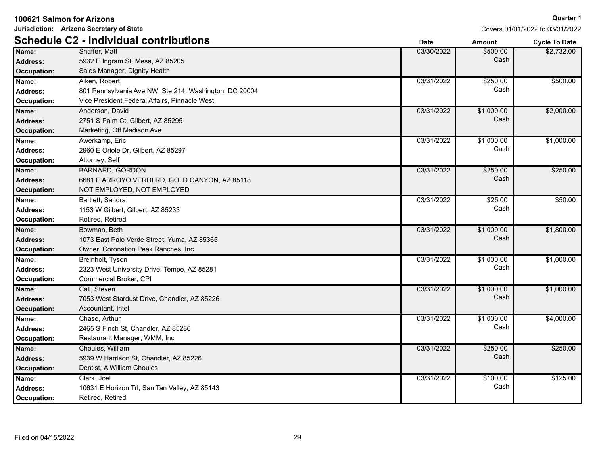| Jurisdiction: Arizona Secretary of State | Covers 01/01/2022 to 03/31/2022                        |             |               |                      |
|------------------------------------------|--------------------------------------------------------|-------------|---------------|----------------------|
|                                          | <b>Schedule C2 - Individual contributions</b>          | <b>Date</b> | <b>Amount</b> | <b>Cycle To Date</b> |
| Name:                                    | Shaffer, Matt                                          | 03/30/2022  | \$500.00      | \$2,732.00           |
| <b>Address:</b>                          | 5932 E Ingram St, Mesa, AZ 85205                       |             | Cash          |                      |
| <b>Occupation:</b>                       | Sales Manager, Dignity Health                          |             |               |                      |
| Name:                                    | Aiken, Robert                                          | 03/31/2022  | \$250.00      | \$500.00             |
| Address:                                 | 801 Pennsylvania Ave NW, Ste 214, Washington, DC 20004 |             | Cash          |                      |
| Occupation:                              | Vice President Federal Affairs, Pinnacle West          |             |               |                      |
| Name:                                    | Anderson, David                                        | 03/31/2022  | \$1,000.00    | \$2,000.00           |
| <b>Address:</b>                          | 2751 S Palm Ct, Gilbert, AZ 85295                      |             | Cash          |                      |
| <b>Occupation:</b>                       | Marketing, Off Madison Ave                             |             |               |                      |
| Name:                                    | Awerkamp, Eric                                         | 03/31/2022  | \$1,000.00    | \$1,000.00           |
| <b>Address:</b>                          | 2960 E Oriole Dr. Gilbert, AZ 85297                    |             | Cash          |                      |
| Occupation:                              | Attorney, Self                                         |             |               |                      |
| Name:                                    | <b>BARNARD, GORDON</b>                                 | 03/31/2022  | \$250.00      | \$250.00             |
| <b>Address:</b>                          | 6681 E ARROYO VERDI RD, GOLD CANYON, AZ 85118          |             | Cash          |                      |
| <b>Occupation:</b>                       | NOT EMPLOYED, NOT EMPLOYED                             |             |               |                      |
| Name:                                    | Bartlett, Sandra                                       | 03/31/2022  | \$25.00       | \$50.00              |
| <b>Address:</b>                          | 1153 W Gilbert, Gilbert, AZ 85233                      |             | Cash          |                      |
| Occupation:                              | Retired, Retired                                       |             |               |                      |
| Name:                                    | Bowman, Beth                                           | 03/31/2022  | \$1,000.00    | \$1,800.00           |
| <b>Address:</b>                          | 1073 East Palo Verde Street, Yuma, AZ 85365            |             | Cash          |                      |
| Occupation:                              | Owner, Coronation Peak Ranches, Inc.                   |             |               |                      |
| Name:                                    | Breinholt, Tyson                                       | 03/31/2022  | \$1,000.00    | \$1,000.00           |
| <b>Address:</b>                          | 2323 West University Drive, Tempe, AZ 85281            |             | Cash          |                      |
| Occupation:                              | Commercial Broker, CPI                                 |             |               |                      |
| Name:                                    | Call, Steven                                           | 03/31/2022  | \$1,000.00    | \$1,000.00           |
| Address:                                 | 7053 West Stardust Drive, Chandler, AZ 85226           |             | Cash          |                      |
| <b>Occupation:</b>                       | Accountant, Intel                                      |             |               |                      |
| Name:                                    | Chase, Arthur                                          | 03/31/2022  | \$1,000.00    | \$4,000.00           |
| <b>Address:</b>                          | 2465 S Finch St, Chandler, AZ 85286                    |             | Cash          |                      |
| Occupation:                              | Restaurant Manager, WMM, Inc                           |             |               |                      |
| Name:                                    | Choules, William                                       | 03/31/2022  | \$250.00      | \$250.00             |
| <b>Address:</b>                          | 5939 W Harrison St, Chandler, AZ 85226                 |             | Cash          |                      |
| <b>Occupation:</b>                       | Dentist, A William Choules                             |             |               |                      |
| Name:                                    | Clark, Joel                                            | 03/31/2022  | \$100.00      | \$125.00             |
| Address:                                 | 10631 E Horizon Trl, San Tan Valley, AZ 85143          |             | Cash          |                      |
| Occupation:                              | Retired, Retired                                       |             |               |                      |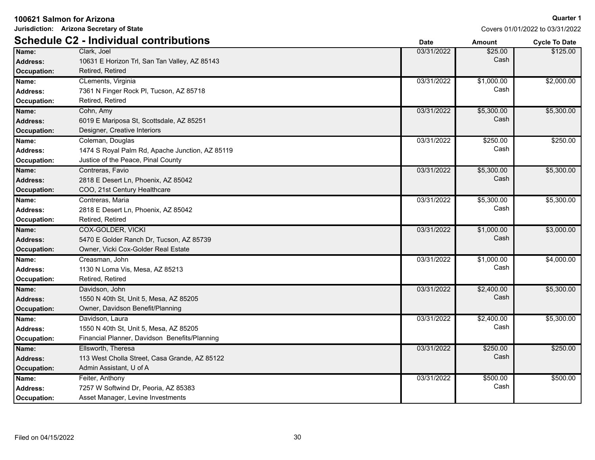|  |  |  | 100621 Salmon for Arizona |
|--|--|--|---------------------------|
|--|--|--|---------------------------|

**Jurisdiction: Arizona Secretary of State**

|                 | <b>Schedule C2 - Individual contributions</b>   | <b>Date</b> | <b>Amount</b> | <b>Cycle To Date</b> |
|-----------------|-------------------------------------------------|-------------|---------------|----------------------|
| Name:           | Clark, Joel                                     | 03/31/2022  | \$25.00       | \$125.00             |
| <b>Address:</b> | 10631 E Horizon Trl, San Tan Valley, AZ 85143   |             | Cash          |                      |
| Occupation:     | Retired, Retired                                |             |               |                      |
| Name:           | CLements, Virginia                              | 03/31/2022  | \$1,000.00    | \$2,000.00           |
| Address:        | 7361 N Finger Rock PI, Tucson, AZ 85718         |             | Cash          |                      |
| Occupation:     | Retired, Retired                                |             |               |                      |
| Name:           | Cohn, Amy                                       | 03/31/2022  | \$5,300.00    | \$5,300.00           |
| <b>Address:</b> | 6019 E Mariposa St, Scottsdale, AZ 85251        |             | Cash          |                      |
| Occupation:     | Designer, Creative Interiors                    |             |               |                      |
| Name:           | Coleman, Douglas                                | 03/31/2022  | \$250.00      | \$250.00             |
| <b>Address:</b> | 1474 S Royal Palm Rd, Apache Junction, AZ 85119 |             | Cash          |                      |
| Occupation:     | Justice of the Peace, Pinal County              |             |               |                      |
| Name:           | Contreras, Favio                                | 03/31/2022  | \$5,300.00    | \$5,300.00           |
| Address:        | 2818 E Desert Ln, Phoenix, AZ 85042             |             | Cash          |                      |
| Occupation:     | COO, 21st Century Healthcare                    |             |               |                      |
| Name:           | Contreras, Maria                                | 03/31/2022  | \$5,300.00    | \$5,300.00           |
| <b>Address:</b> | 2818 E Desert Ln, Phoenix, AZ 85042             |             | Cash          |                      |
| Occupation:     | Retired, Retired                                |             |               |                      |
| Name:           | <b>COX-GOLDER, VICKI</b>                        | 03/31/2022  | \$1,000.00    | \$3,000.00           |
| <b>Address:</b> | 5470 E Golder Ranch Dr, Tucson, AZ 85739        |             | Cash          |                      |
| Occupation:     | Owner, Vicki Cox-Golder Real Estate             |             |               |                      |
| Name:           | Creasman, John                                  | 03/31/2022  | \$1,000.00    | \$4,000.00           |
| <b>Address:</b> | 1130 N Loma Vis, Mesa, AZ 85213                 |             | Cash          |                      |
| Occupation:     | Retired, Retired                                |             |               |                      |
| Name:           | Davidson, John                                  | 03/31/2022  | \$2,400.00    | \$5,300.00           |
| Address:        | 1550 N 40th St, Unit 5, Mesa, AZ 85205          |             | Cash          |                      |
| Occupation:     | Owner, Davidson Benefit/Planning                |             |               |                      |
| Name:           | Davidson, Laura                                 | 03/31/2022  | \$2,400.00    | \$5,300.00           |
| <b>Address:</b> | 1550 N 40th St, Unit 5, Mesa, AZ 85205          |             | Cash          |                      |
| Occupation:     | Financial Planner, Davidson Benefits/Planning   |             |               |                      |
| Name:           | Ellsworth, Theresa                              | 03/31/2022  | \$250.00      | \$250.00             |
| Address:        | 113 West Cholla Street, Casa Grande, AZ 85122   |             | Cash          |                      |
| Occupation:     | Admin Assistant, U of A                         |             |               |                      |
| Name:           | Feiter, Anthony                                 | 03/31/2022  | \$500.00      | \$500.00             |
| <b>Address:</b> | 7257 W Softwind Dr, Peoria, AZ 85383            |             | Cash          |                      |
| Occupation:     | Asset Manager, Levine Investments               |             |               |                      |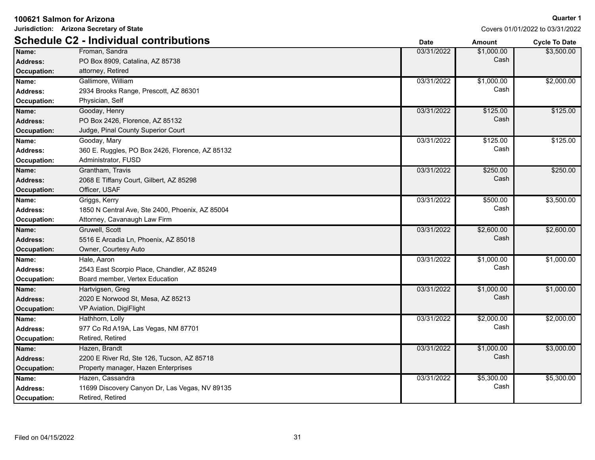| Jurisdiction: Arizona Secretary of State |                                                 | Covers 01/01/2022 to 03/31/2022 |               |                      |
|------------------------------------------|-------------------------------------------------|---------------------------------|---------------|----------------------|
|                                          | <b>Schedule C2 - Individual contributions</b>   | <b>Date</b>                     | <b>Amount</b> | <b>Cycle To Date</b> |
| Name:                                    | Froman, Sandra                                  | 03/31/2022                      | \$1,000.00    | \$3,500.00           |
| <b>Address:</b>                          | PO Box 8909, Catalina, AZ 85738                 |                                 | Cash          |                      |
| <b>Occupation:</b>                       | attorney, Retired                               |                                 |               |                      |
| Name:                                    | Gallimore, William                              | 03/31/2022                      | \$1,000.00    | \$2,000.00           |
| Address:                                 | 2934 Brooks Range, Prescott, AZ 86301           |                                 | Cash          |                      |
| <b>Occupation:</b>                       | Physician, Self                                 |                                 |               |                      |
| Name:                                    | Gooday, Henry                                   | 03/31/2022                      | \$125.00      | \$125.00             |
| <b>Address:</b>                          | PO Box 2426, Florence, AZ 85132                 |                                 | Cash          |                      |
| Occupation:                              | Judge, Pinal County Superior Court              |                                 |               |                      |
| Name:                                    | Gooday, Mary                                    | 03/31/2022                      | \$125.00      | \$125.00             |
| <b>Address:</b>                          | 360 E. Ruggles, PO Box 2426, Florence, AZ 85132 |                                 | Cash          |                      |
| Occupation:                              | Administrator, FUSD                             |                                 |               |                      |
| Name:                                    | Grantham, Travis                                | 03/31/2022                      | \$250.00      | \$250.00             |
| <b>Address:</b>                          | 2068 E Tiffany Court, Gilbert, AZ 85298         |                                 | Cash          |                      |
| <b>Occupation:</b>                       | Officer, USAF                                   |                                 |               |                      |
| Name:                                    | Griggs, Kerry                                   | 03/31/2022                      | \$500.00      | \$3,500.00           |
| Address:                                 | 1850 N Central Ave, Ste 2400, Phoenix, AZ 85004 |                                 | Cash          |                      |
| Occupation:                              | Attorney, Cavanaugh Law Firm                    |                                 |               |                      |
| Name:                                    | Gruwell, Scott                                  | 03/31/2022                      | \$2,600.00    | \$2,600.00           |
| <b>Address:</b>                          | 5516 E Arcadia Ln, Phoenix, AZ 85018            |                                 | Cash          |                      |
| <b>Occupation:</b>                       | Owner, Courtesy Auto                            |                                 |               |                      |
| Name:                                    | Hale, Aaron                                     | 03/31/2022                      | \$1,000.00    | \$1,000.00           |
| <b>Address:</b>                          | 2543 East Scorpio Place, Chandler, AZ 85249     |                                 | Cash          |                      |
| Occupation:                              | Board member, Vertex Education                  |                                 |               |                      |
| Name:                                    | Hartvigsen, Greg                                | 03/31/2022                      | \$1,000.00    | \$1,000.00           |
| <b>Address:</b>                          | 2020 E Norwood St, Mesa, AZ 85213               |                                 | Cash          |                      |
| <b>Occupation:</b>                       | VP Aviation, DigiFlight                         |                                 |               |                      |
| Name:                                    | Hathhorn, Lolly                                 | 03/31/2022                      | \$2,000.00    | \$2,000.00           |
| Address:                                 | 977 Co Rd A19A, Las Vegas, NM 87701             |                                 | Cash          |                      |
| Occupation:                              | Retired, Retired                                |                                 |               |                      |
| Name:                                    | Hazen, Brandt                                   | 03/31/2022                      | \$1,000.00    | \$3,000.00           |
| <b>Address:</b>                          | 2200 E River Rd, Ste 126, Tucson, AZ 85718      |                                 | Cash          |                      |
| <b>Occupation:</b>                       | Property manager, Hazen Enterprises             |                                 |               |                      |
| Name:                                    | Hazen, Cassandra                                | 03/31/2022                      | \$5,300.00    | \$5,300.00           |
| Address:                                 | 11699 Discovery Canyon Dr, Las Vegas, NV 89135  |                                 | Cash          |                      |
| <b>Occupation:</b>                       | Retired, Retired                                |                                 |               |                      |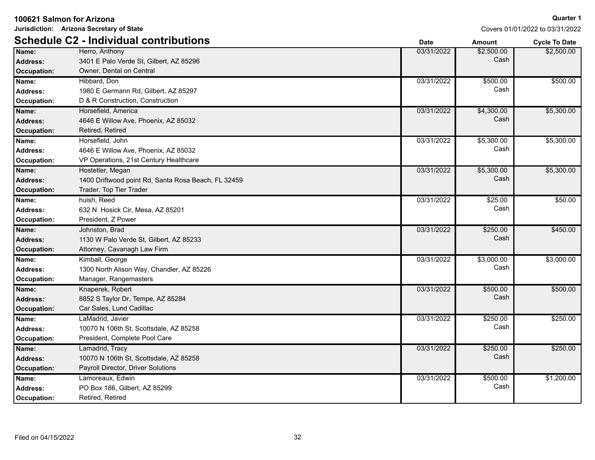| 100621 Salmon for Arizona |                                                     |             |               | <b>Quarter 1</b>                |
|---------------------------|-----------------------------------------------------|-------------|---------------|---------------------------------|
|                           | Jurisdiction: Arizona Secretary of State            |             |               | Covers 01/01/2022 to 03/31/2022 |
|                           | <b>Schedule C2 - Individual contributions</b>       | <b>Date</b> | <b>Amount</b> | <b>Cycle To Date</b>            |
| Name:                     | Herro, Anthony                                      | 03/31/2022  | \$2,500.00    | \$2,500.00                      |
| <b>Address:</b>           | 3401 E Palo Verde St, Gilbert, AZ 85296             |             | Cash          |                                 |
| Occupation:               | Owner, Dental on Central                            |             |               |                                 |
| Name:                     | Hibbard, Don                                        | 03/31/2022  | \$500.00      | \$500.00                        |
| <b>Address:</b>           | 1980 E Germann Rd, Gilbert, AZ 85297                |             | Cash          |                                 |
| <b>Occupation:</b>        | D & R Construction, Construction                    |             |               |                                 |
| Name:                     | Horsefield, America                                 | 03/31/2022  | \$4,300.00    | \$5,300.00                      |
| <b>Address:</b>           | 4646 E Willow Ave, Phoenix, AZ 85032                |             | Cash          |                                 |
| Occupation:               | Retired, Retired                                    |             |               |                                 |
| Name:                     | Horsefield, John                                    | 03/31/2022  | \$5,300.00    | \$5,300.00                      |
| <b>Address:</b>           | 4646 E Willow Ave, Phoenix, AZ 85032                |             | Cash          |                                 |
| Occupation:               | VP Operations, 21st Century Healthcare              |             |               |                                 |
| Name:                     | Hostetler, Megan                                    | 03/31/2022  | \$5,300.00    | \$5,300.00                      |
| <b>Address:</b>           | 1400 Driftwood point Rd, Santa Rosa Beach, FL 32459 |             | Cash          |                                 |
| <b>Occupation:</b>        | Trader, Top Tier Trader                             |             |               |                                 |
| Name:                     | huish, Reed                                         | 03/31/2022  | \$25.00       | \$50.00                         |
| <b>Address:</b>           | 632 N Hosick Cir, Mesa, AZ 85201                    |             | Cash          |                                 |
| Occupation:               | President, Z Power                                  |             |               |                                 |
| Name:                     | Johnston, Brad                                      | 03/31/2022  | \$250.00      | \$450.00                        |
| <b>Address:</b>           | 1130 W Palo Verde St, Gilbert, AZ 85233             |             | Cash          |                                 |
| Occupation:               | Attorney, Cavanagh Law Firm                         |             |               |                                 |
| Name:                     | Kimball, George                                     | 03/31/2022  | \$3,000.00    | \$3,000.00                      |
| Address:                  | 1300 North Alison Way, Chandler, AZ 85226           |             | Cash          |                                 |
| <b>Occupation:</b>        | Manager, Rangemasters                               |             |               |                                 |
| Name:                     | Knaperek, Robert                                    | 03/31/2022  | \$500.00      | \$500.00                        |
| <b>Address:</b>           | 8852 S Taylor Dr, Tempe, AZ 85284                   |             | Cash          |                                 |
| Occupation:               | Car Sales, Lund Cadillac                            |             |               |                                 |
| Name:                     | LaMadrid, Javier                                    | 03/31/2022  | \$250.00      | \$250.00                        |
| <b>Address:</b>           | 10070 N 106th St, Scottsdale, AZ 85258              |             | Cash          |                                 |
| <b>Occupation:</b>        | President, Complete Pool Care                       |             |               |                                 |
| Name:                     | Lamadrid, Tracy                                     | 03/31/2022  | \$250.00      | \$250.00                        |
| <b>Address:</b>           | 10070 N 106th St, Scottsdale, AZ 85258              |             | Cash          |                                 |
| Occupation:               | Payroll Director, Driver Solutions                  |             |               |                                 |
| Name:                     | Lamoreaux, Edwin                                    | 03/31/2022  | \$500.00      | \$1,200.00                      |
| <b>Address:</b>           | PO Box 186, Gilbert, AZ 85299                       |             | Cash          |                                 |

**Occupation:** Retired, Retired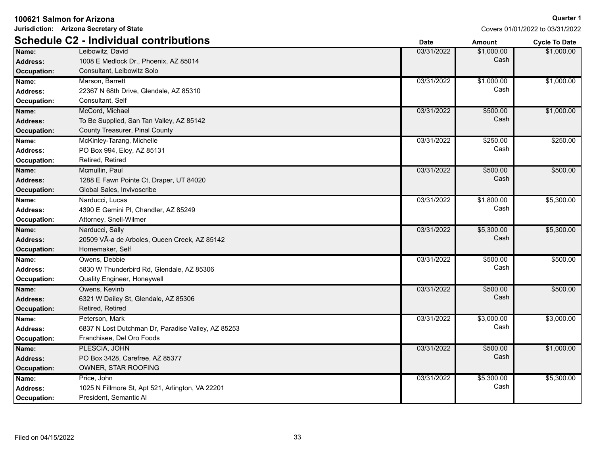|                    | Jurisdiction: Arizona Secretary of State           | Covers 01/01/2022 to 03/31/2022 |               |                      |
|--------------------|----------------------------------------------------|---------------------------------|---------------|----------------------|
|                    | <b>Schedule C2 - Individual contributions</b>      | <b>Date</b>                     | <b>Amount</b> | <b>Cycle To Date</b> |
| Name:              | Leibowitz, David                                   | 03/31/2022                      | \$1,000.00    | \$1,000.00           |
| <b>Address:</b>    | 1008 E Medlock Dr., Phoenix, AZ 85014              |                                 | Cash          |                      |
| Occupation:        | Consultant, Leibowitz Solo                         |                                 |               |                      |
| Name:              | Marson, Barrett                                    | 03/31/2022                      | \$1,000.00    | \$1,000.00           |
| Address:           | 22367 N 68th Drive, Glendale, AZ 85310             |                                 | Cash          |                      |
| Occupation:        | Consultant, Self                                   |                                 |               |                      |
| Name:              | McCord, Michael                                    | 03/31/2022                      | \$500.00      | \$1,000.00           |
| <b>Address:</b>    | To Be Supplied, San Tan Valley, AZ 85142           |                                 | Cash          |                      |
| <b>Occupation:</b> | County Treasurer, Pinal County                     |                                 |               |                      |
| Name:              | McKinley-Tarang, Michelle                          | 03/31/2022                      | \$250.00      | \$250.00             |
| <b>Address:</b>    | PO Box 994, Eloy, AZ 85131                         |                                 | Cash          |                      |
| Occupation:        | Retired, Retired                                   |                                 |               |                      |
| Name:              | Mcmullin, Paul                                     | 03/31/2022                      | \$500.00      | \$500.00             |
| <b>Address:</b>    | 1288 E Fawn Pointe Ct, Draper, UT 84020            |                                 | Cash          |                      |
| Occupation:        | Global Sales, Invivoscribe                         |                                 |               |                      |
| Name:              | Narducci, Lucas                                    | 03/31/2022                      | \$1,800.00    | \$5,300.00           |
| <b>Address:</b>    | 4390 E Gemini PI, Chandler, AZ 85249               |                                 | Cash          |                      |
| Occupation:        | Attorney, Snell-Wilmer                             |                                 |               |                      |
| Name:              | Narducci, Sally                                    | 03/31/2022                      | \$5,300.00    | \$5,300.00           |
| <b>Address:</b>    | 20509 VÃ-a de Arboles, Queen Creek, AZ 85142       |                                 | Cash          |                      |
| Occupation:        | Homemaker, Self                                    |                                 |               |                      |
| Name:              | Owens, Debbie                                      | 03/31/2022                      | \$500.00      | \$500.00             |
| <b>Address:</b>    | 5830 W Thunderbird Rd, Glendale, AZ 85306          |                                 | Cash          |                      |
| Occupation:        | Quality Engineer, Honeywell                        |                                 |               |                      |
| Name:              | Owens, Kevinb                                      | 03/31/2022                      | \$500.00      | \$500.00             |
| <b>Address:</b>    | 6321 W Dailey St, Glendale, AZ 85306               |                                 | Cash          |                      |
| <b>Occupation:</b> | Retired, Retired                                   |                                 |               |                      |
| Name:              | Peterson, Mark                                     | 03/31/2022                      | \$3,000.00    | \$3,000.00           |
| Address:           | 6837 N Lost Dutchman Dr, Paradise Valley, AZ 85253 |                                 | Cash          |                      |
| Occupation:        | Franchisee, Del Oro Foods                          |                                 |               |                      |
| Name:              | PLESCIA, JOHN                                      | 03/31/2022                      | \$500.00      | \$1,000.00           |
| <b>Address:</b>    | PO Box 3428, Carefree, AZ 85377                    |                                 | Cash          |                      |
| <b>Occupation:</b> | OWNER, STAR ROOFING                                |                                 |               |                      |
| Name:              | Price, John                                        | 03/31/2022                      | \$5,300.00    | \$5,300.00           |
| <b>Address:</b>    | 1025 N Fillmore St, Apt 521, Arlington, VA 22201   |                                 | Cash          |                      |
| <b>Occupation:</b> | President, Semantic Al                             |                                 |               |                      |

**100621 Salmon for Arizona**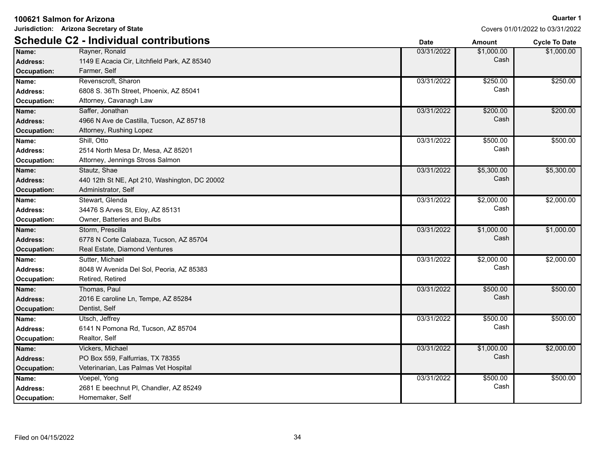**Jurisdiction: Arizona Secretary of State**

|                 | <b>Schedule C2 - Individual contributions</b> | <b>Date</b> | <b>Amount</b> | <b>Cycle To Date</b> |
|-----------------|-----------------------------------------------|-------------|---------------|----------------------|
| Name:           | Rayner, Ronald                                | 03/31/2022  | \$1,000.00    | \$1,000.00           |
| <b>Address:</b> | 1149 E Acacia Cir, Litchfield Park, AZ 85340  |             | Cash          |                      |
| Occupation:     | Farmer, Self                                  |             |               |                      |
| Name:           | Revenscroft, Sharon                           | 03/31/2022  | \$250.00      | \$250.00             |
| <b>Address:</b> | 6808 S. 36Th Street, Phoenix, AZ 85041        |             | Cash          |                      |
| Occupation:     | Attorney, Cavanagh Law                        |             |               |                      |
| Name:           | Saffer, Jonathan                              | 03/31/2022  | \$200.00      | \$200.00             |
| Address:        | 4966 N Ave de Castilla, Tucson, AZ 85718      |             | Cash          |                      |
| Occupation:     | Attorney, Rushing Lopez                       |             |               |                      |
| Name:           | Shill, Otto                                   | 03/31/2022  | \$500.00      | \$500.00             |
| <b>Address:</b> | 2514 North Mesa Dr, Mesa, AZ 85201            |             | Cash          |                      |
| Occupation:     | Attorney, Jennings Stross Salmon              |             |               |                      |
| Name:           | Stautz, Shae                                  | 03/31/2022  | \$5,300.00    | \$5,300.00           |
| <b>Address:</b> | 440 12th St NE, Apt 210, Washington, DC 20002 |             | Cash          |                      |
| Occupation:     | Administrator, Self                           |             |               |                      |
| Name:           | Stewart, Glenda                               | 03/31/2022  | \$2,000.00    | \$2,000.00           |
| <b>Address:</b> | 34476 S Arves St, Eloy, AZ 85131              |             | Cash          |                      |
| Occupation:     | Owner, Batteries and Bulbs                    |             |               |                      |
| Name:           | Storm, Prescilla                              | 03/31/2022  | \$1,000.00    | \$1,000.00           |
| <b>Address:</b> | 6778 N Corte Calabaza, Tucson, AZ 85704       |             | Cash          |                      |
| Occupation:     | Real Estate, Diamond Ventures                 |             |               |                      |
| Name:           | Sutter, Michael                               | 03/31/2022  | \$2,000.00    | \$2,000.00           |
| <b>Address:</b> | 8048 W Avenida Del Sol, Peoria, AZ 85383      |             | Cash          |                      |
| Occupation:     | Retired, Retired                              |             |               |                      |
| Name:           | Thomas, Paul                                  | 03/31/2022  | \$500.00      | \$500.00             |
| Address:        | 2016 E caroline Ln, Tempe, AZ 85284           |             | Cash          |                      |
| Occupation:     | Dentist, Self                                 |             |               |                      |
| Name:           | Utsch, Jeffrey                                | 03/31/2022  | \$500.00      | \$500.00             |
| <b>Address:</b> | 6141 N Pomona Rd, Tucson, AZ 85704            |             | Cash          |                      |
| Occupation:     | Realtor, Self                                 |             |               |                      |
| Name:           | Vickers, Michael                              | 03/31/2022  | \$1,000.00    | \$2,000.00           |
| <b>Address:</b> | PO Box 559, Falfurrias, TX 78355              |             | Cash          |                      |
| Occupation:     | Veterinarian, Las Palmas Vet Hospital         |             |               |                      |
| Name:           | Voepel, Yong                                  | 03/31/2022  | \$500.00      | \$500.00             |
| <b>Address:</b> | 2681 E beechnut PI, Chandler, AZ 85249        |             | Cash          |                      |
| Occupation:     | Homemaker, Self                               |             |               |                      |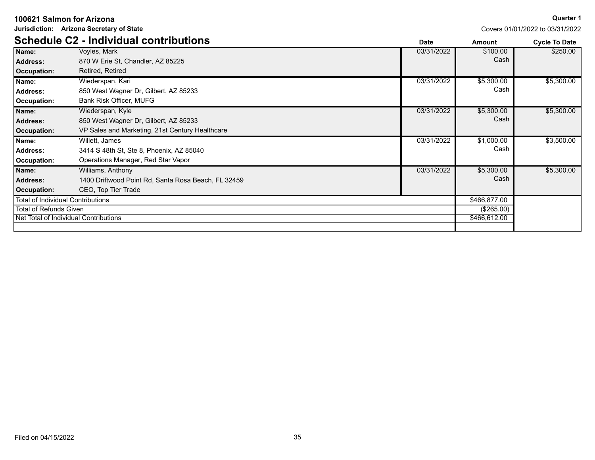|                               | Jurisdiction: Arizona Secretary of State            |             |              | Covers 01/01/2022 to 03/31/2022 |
|-------------------------------|-----------------------------------------------------|-------------|--------------|---------------------------------|
|                               | <b>Schedule C2 - Individual contributions</b>       | <b>Date</b> | Amount       | <b>Cycle To Date</b>            |
| Name:                         | Voyles, Mark                                        | 03/31/2022  | \$100.00     | \$250.00                        |
| <b>Address:</b>               | 870 W Erie St, Chandler, AZ 85225                   |             | Cash         |                                 |
| Occupation:                   | Retired, Retired                                    |             |              |                                 |
| Name:                         | Wiederspan, Kari                                    | 03/31/2022  | \$5,300.00   | \$5,300.00                      |
| <b>Address:</b>               | 850 West Wagner Dr, Gilbert, AZ 85233               |             | Cash         |                                 |
| Occupation:                   | Bank Risk Officer, MUFG                             |             |              |                                 |
| Name:                         | Wiederspan, Kyle                                    | 03/31/2022  | \$5,300.00   | \$5,300.00                      |
| <b>Address:</b>               | 850 West Wagner Dr, Gilbert, AZ 85233               |             | Cash         |                                 |
| Occupation:                   | VP Sales and Marketing, 21st Century Healthcare     |             |              |                                 |
| Name:                         | Willett, James                                      | 03/31/2022  | \$1,000.00   | \$3,500.00                      |
| <b>Address:</b>               | 3414 S 48th St, Ste 8, Phoenix, AZ 85040            |             | Cash         |                                 |
| Occupation:                   | Operations Manager, Red Star Vapor                  |             |              |                                 |
| Name:                         | Williams, Anthony                                   | 03/31/2022  | \$5,300.00   | \$5,300.00                      |
| <b>Address:</b>               | 1400 Driftwood Point Rd, Santa Rosa Beach, FL 32459 |             | Cash         |                                 |
| Occupation:                   | CEO, Top Tier Trade                                 |             |              |                                 |
|                               | <b>Total of Individual Contributions</b>            |             | \$466,877.00 |                                 |
| <b>Total of Refunds Given</b> |                                                     |             | (\$265.00)   |                                 |
|                               | Net Total of Individual Contributions               |             | \$466,612.00 |                                 |
|                               |                                                     |             |              |                                 |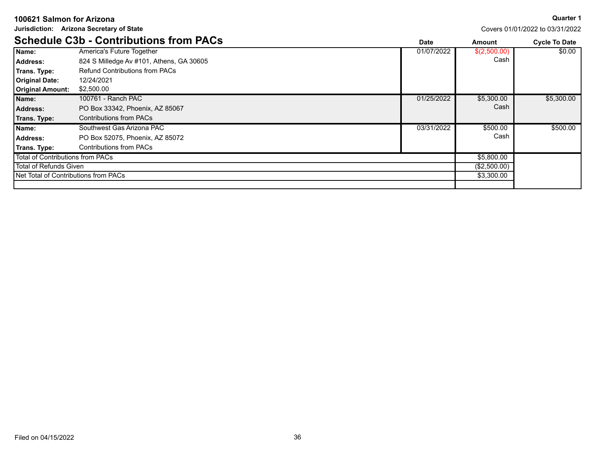| Jurisdiction: Arizona Secretary of State |                                               |             |              | Covers 01/01/2022 to 03/31/2022 |
|------------------------------------------|-----------------------------------------------|-------------|--------------|---------------------------------|
|                                          | <b>Schedule C3b - Contributions from PACs</b> | <b>Date</b> | Amount       | <b>Cycle To Date</b>            |
| Name:                                    | America's Future Together                     | 01/07/2022  | \$(2,500.00) | \$0.00                          |
| <b>Address:</b>                          | 824 S Milledge Av #101, Athens, GA 30605      |             | Cash         |                                 |
| Trans. Type:                             | <b>Refund Contributions from PACs</b>         |             |              |                                 |
| <b>Original Date:</b>                    | 12/24/2021                                    |             |              |                                 |
| <b>Original Amount:</b>                  | \$2,500.00                                    |             |              |                                 |
| Name:                                    | 100761 - Ranch PAC                            | 01/25/2022  | \$5,300.00   | \$5,300.00                      |
| <b>Address:</b>                          | PO Box 33342, Phoenix, AZ 85067               |             | Cash         |                                 |
| Trans. Type:                             | <b>Contributions from PACs</b>                |             |              |                                 |
| Name:                                    | Southwest Gas Arizona PAC                     | 03/31/2022  | \$500.00     | \$500.00                        |
| <b>Address:</b>                          | PO Box 52075, Phoenix, AZ 85072               |             | Cash         |                                 |
| Trans. Type:                             | <b>Contributions from PACs</b>                |             |              |                                 |
| Total of Contributions from PACs         |                                               |             | \$5,800.00   |                                 |
| Total of Refunds Given                   |                                               |             | (\$2,500.00) |                                 |
| Net Total of Contributions from PACs     |                                               |             | \$3,300.00   |                                 |
|                                          |                                               |             |              |                                 |

#### **Quarter 1**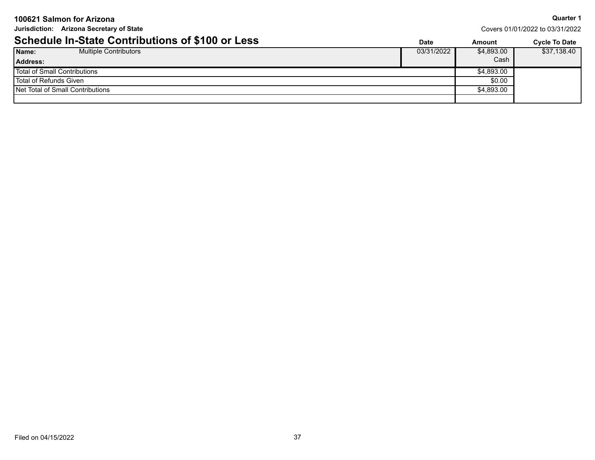| 100621 Salmon for Arizona                               |             |            | <b>Quarter 1</b>                |
|---------------------------------------------------------|-------------|------------|---------------------------------|
| Jurisdiction: Arizona Secretary of State                |             |            | Covers 01/01/2022 to 03/31/2022 |
| <b>Schedule In-State Contributions of \$100 or Less</b> | <b>Date</b> | Amount     | Cycle To Date                   |
| Name:<br><b>Multiple Contributors</b>                   | 03/31/2022  | \$4,893.00 | \$37,138.40                     |
| <b>Address:</b>                                         |             | Cash       |                                 |
| <b>Total of Small Contributions</b>                     |             | \$4,893.00 |                                 |
| <b>Total of Refunds Given</b>                           |             | \$0.00     |                                 |
| Net Total of Small Contributions                        |             | \$4,893.00 |                                 |
|                                                         |             |            |                                 |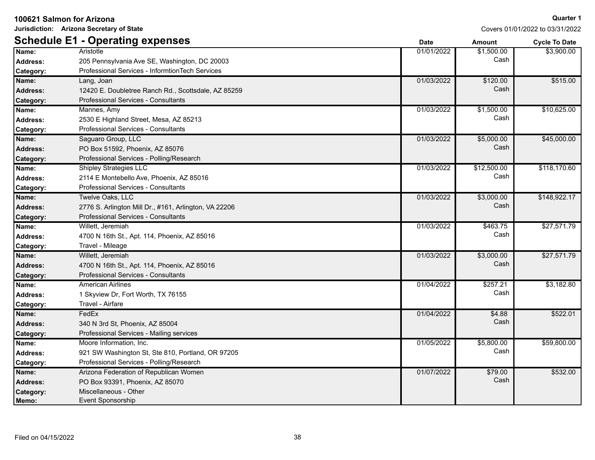**Jurisdiction: Arizona Secretary of State**

### **Quarter 1**

|                 | <b>Schedule E1 - Operating expenses</b>               | <b>Date</b> | <b>Amount</b> | <b>Cycle To Date</b> |
|-----------------|-------------------------------------------------------|-------------|---------------|----------------------|
| Name:           | Aristotle                                             | 01/01/2022  | \$1,500.00    | \$3,900.00           |
| Address:        | 205 Pennsylvania Ave SE, Washington, DC 20003         |             | Cash          |                      |
| Category:       | Professional Services - InformtionTech Services       |             |               |                      |
| Name:           | Lang, Joan                                            | 01/03/2022  | \$120.00      | \$515.00             |
| <b>Address:</b> | 12420 E. Doubletree Ranch Rd., Scottsdale, AZ 85259   |             | Cash          |                      |
| Category:       | Professional Services - Consultants                   |             |               |                      |
| Name:           | Mannes, Amy                                           | 01/03/2022  | \$1,500.00    | \$10,625.00          |
| Address:        | 2530 E Highland Street, Mesa, AZ 85213                |             | Cash          |                      |
| Category:       | Professional Services - Consultants                   |             |               |                      |
| Name:           | Saguaro Group, LLC                                    | 01/03/2022  | \$5,000.00    | \$45,000.00          |
| <b>Address:</b> | PO Box 51592, Phoenix, AZ 85076                       |             | Cash          |                      |
| Category:       | Professional Services - Polling/Research              |             |               |                      |
| Name:           | Shipley Strategies LLC                                | 01/03/2022  | \$12,500.00   | \$118,170.60         |
| <b>Address:</b> | 2114 E Montebello Ave, Phoenix, AZ 85016              |             | Cash          |                      |
| Category:       | Professional Services - Consultants                   |             |               |                      |
| Name:           | Twelve Oaks, LLC                                      | 01/03/2022  | \$3,000.00    | \$148,922.17         |
| <b>Address:</b> | 2776 S. Arlington Mill Dr., #161, Arlington, VA 22206 |             | Cash          |                      |
| Category:       | Professional Services - Consultants                   |             |               |                      |
| Name:           | Willett, Jeremiah                                     | 01/03/2022  | \$463.75      | \$27,571.79          |
| Address:        | 4700 N 16th St., Apt. 114, Phoenix, AZ 85016          |             | Cash          |                      |
| Category:       | Travel - Mileage                                      |             |               |                      |
| Name:           | Willett, Jeremiah                                     | 01/03/2022  | \$3,000.00    | \$27,571.79          |
| <b>Address:</b> | 4700 N 16th St., Apt. 114, Phoenix, AZ 85016          |             | Cash          |                      |
| Category:       | <b>Professional Services - Consultants</b>            |             |               |                      |
| Name:           | <b>American Airlines</b>                              | 01/04/2022  | \$257.21      | \$3,182.80           |
| Address:        | 1 Skyview Dr, Fort Worth, TX 76155                    |             | Cash          |                      |
| Category:       | Travel - Airfare                                      |             |               |                      |
| Name:           | FedEx                                                 | 01/04/2022  | \$4.88        | \$522.01             |
| <b>Address:</b> | 340 N 3rd St, Phoenix, AZ 85004                       |             | Cash          |                      |
| Category:       | Professional Services - Mailing services              |             |               |                      |
| Name:           | Moore Information, Inc.                               | 01/05/2022  | \$5,800.00    | \$59,800.00          |
| <b>Address:</b> | 921 SW Washington St, Ste 810, Portland, OR 97205     |             | Cash          |                      |
| Category:       | Professional Services - Polling/Research              |             |               |                      |
| Name:           | Arizona Federation of Republican Women                | 01/07/2022  | \$79.00       | \$532.00             |
| Address:        | PO Box 93391, Phoenix, AZ 85070                       |             | Cash          |                      |
| Category:       | Miscellaneous - Other                                 |             |               |                      |
| Memo:           | Event Sponsorship                                     |             |               |                      |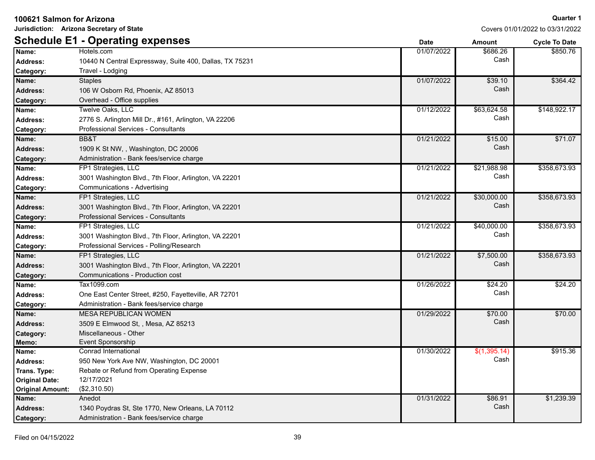**Jurisdiction: Arizona Secretary of State**

|                         | <b>Schedule E1 - Operating expenses</b>                 | <b>Date</b> | <b>Amount</b> | <b>Cycle To Date</b> |
|-------------------------|---------------------------------------------------------|-------------|---------------|----------------------|
| Name:                   | Hotels.com                                              | 01/07/2022  | \$686.26      | \$850.76             |
| <b>Address:</b>         | 10440 N Central Expressway, Suite 400, Dallas, TX 75231 |             | Cash          |                      |
| Category:               | Travel - Lodging                                        |             |               |                      |
| Name:                   | <b>Staples</b>                                          | 01/07/2022  | \$39.10       | \$364.42             |
| <b>Address:</b>         | 106 W Osborn Rd, Phoenix, AZ 85013                      |             | Cash          |                      |
| Category:               | Overhead - Office supplies                              |             |               |                      |
| Name:                   | Twelve Oaks, LLC                                        | 01/12/2022  | \$63,624.58   | \$148,922.17         |
| <b>Address:</b>         | 2776 S. Arlington Mill Dr., #161, Arlington, VA 22206   |             | Cash          |                      |
| Category:               | <b>Professional Services - Consultants</b>              |             |               |                      |
| Name:                   | BB&T                                                    | 01/21/2022  | \$15.00       | \$71.07              |
| <b>Address:</b>         | 1909 K St NW, , Washington, DC 20006                    |             | Cash          |                      |
| Category:               | Administration - Bank fees/service charge               |             |               |                      |
| Name:                   | FP1 Strategies, LLC                                     | 01/21/2022  | \$21,988.98   | \$358,673.93         |
| <b>Address:</b>         | 3001 Washington Blvd., 7th Floor, Arlington, VA 22201   |             | Cash          |                      |
| Category:               | <b>Communications - Advertising</b>                     |             |               |                      |
| Name:                   | FP1 Strategies, LLC                                     | 01/21/2022  | \$30,000.00   | \$358,673.93         |
| <b>Address:</b>         | 3001 Washington Blvd., 7th Floor, Arlington, VA 22201   |             | Cash          |                      |
| Category:               | Professional Services - Consultants                     |             |               |                      |
| Name:                   | FP1 Strategies, LLC                                     | 01/21/2022  | \$40,000.00   | \$358,673.93         |
| <b>Address:</b>         | 3001 Washington Blvd., 7th Floor, Arlington, VA 22201   |             | Cash          |                      |
| Category:               | Professional Services - Polling/Research                |             |               |                      |
| Name:                   | FP1 Strategies, LLC                                     | 01/21/2022  | \$7,500.00    | \$358,673.93         |
| <b>Address:</b>         | 3001 Washington Blvd., 7th Floor, Arlington, VA 22201   |             | Cash          |                      |
| Category:               | Communications - Production cost                        |             |               |                      |
| Name:                   | Tax1099.com                                             | 01/26/2022  | \$24.20       | \$24.20              |
| <b>Address:</b>         | One East Center Street, #250, Fayetteville, AR 72701    |             | Cash          |                      |
| Category:               | Administration - Bank fees/service charge               |             |               |                      |
| Name:                   | <b>MESA REPUBLICAN WOMEN</b>                            | 01/29/2022  | \$70.00       | \$70.00              |
| <b>Address:</b>         | 3509 E Elmwood St, , Mesa, AZ 85213                     |             | Cash          |                      |
| Category:               | Miscellaneous - Other                                   |             |               |                      |
| Memo:                   | Event Sponsorship                                       |             |               |                      |
| Name:                   | Conrad International                                    | 01/30/2022  | \$(1,395.14)  | \$915.36             |
| <b>Address:</b>         | 950 New York Ave NW, Washington, DC 20001               |             | Cash          |                      |
| Trans. Type:            | Rebate or Refund from Operating Expense                 |             |               |                      |
| <b>Original Date:</b>   | 12/17/2021                                              |             |               |                      |
| <b>Original Amount:</b> | (\$2,310.50)                                            |             |               |                      |
| Name:                   | Anedot                                                  | 01/31/2022  | \$86.91       | \$1,239.39           |
| <b>Address:</b>         | 1340 Poydras St, Ste 1770, New Orleans, LA 70112        |             | Cash          |                      |
| Category:               | Administration - Bank fees/service charge               |             |               |                      |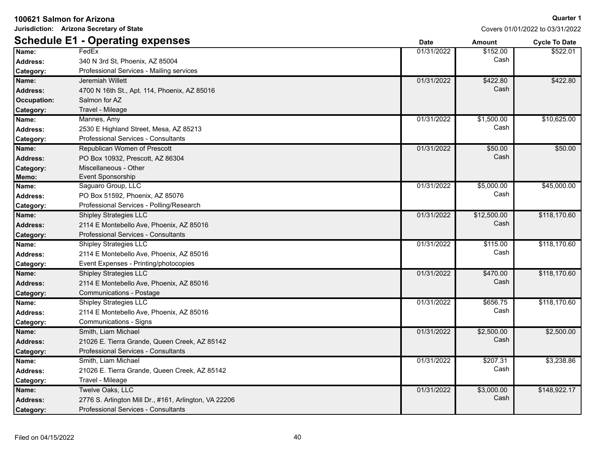| Name:            | FedEx                                                 | 01/31/2022 | \$152.00    | \$522.01     |
|------------------|-------------------------------------------------------|------------|-------------|--------------|
| <b>Address:</b>  | 340 N 3rd St, Phoenix, AZ 85004                       |            | Cash        |              |
| Category:        | Professional Services - Mailing services              |            |             |              |
| Name:            | Jeremiah Willett                                      | 01/31/2022 | \$422.80    | \$422.80     |
| <b>Address:</b>  | 4700 N 16th St., Apt. 114, Phoenix, AZ 85016          |            | Cash        |              |
| Occupation:      | Salmon for AZ                                         |            |             |              |
| Category:        | Travel - Mileage                                      |            |             |              |
| Name:            | Mannes, Amy                                           | 01/31/2022 | \$1,500.00  | \$10,625.00  |
| <b>Address:</b>  | 2530 E Highland Street, Mesa, AZ 85213                |            | Cash        |              |
| Category:        | Professional Services - Consultants                   |            |             |              |
| Name:            | Republican Women of Prescott                          | 01/31/2022 | \$50.00     | \$50.00      |
| Address:         | PO Box 10932, Prescott, AZ 86304                      |            | Cash        |              |
| Category:        | Miscellaneous - Other                                 |            |             |              |
| Memo:            | Event Sponsorship                                     |            |             |              |
| Name:            | Saguaro Group, LLC                                    | 01/31/2022 | \$5,000.00  | \$45,000.00  |
| <b>Address:</b>  | PO Box 51592, Phoenix, AZ 85076                       |            | Cash        |              |
| Category:        | Professional Services - Polling/Research              |            |             |              |
| Name:            | <b>Shipley Strategies LLC</b>                         | 01/31/2022 | \$12,500.00 | \$118,170.60 |
| <b>Address:</b>  | 2114 E Montebello Ave, Phoenix, AZ 85016              |            | Cash        |              |
| Category:        | Professional Services - Consultants                   |            |             |              |
| Name:            | <b>Shipley Strategies LLC</b>                         | 01/31/2022 | \$115.00    | \$118,170.60 |
| <b>Address:</b>  | 2114 E Montebello Ave, Phoenix, AZ 85016              |            | Cash        |              |
| Category:        | Event Expenses - Printing/photocopies                 |            |             |              |
| Name:            | <b>Shipley Strategies LLC</b>                         | 01/31/2022 | \$470.00    | \$118,170.60 |
| <b>Address:</b>  | 2114 E Montebello Ave, Phoenix, AZ 85016              |            | Cash        |              |
| Category:        | <b>Communications - Postage</b>                       |            |             |              |
| Name:            | <b>Shipley Strategies LLC</b>                         | 01/31/2022 | \$656.75    | \$118,170.60 |
| <b>Address:</b>  | 2114 E Montebello Ave, Phoenix, AZ 85016              |            | Cash        |              |
| Category:        | <b>Communications - Signs</b>                         |            |             |              |
| Name:            | Smith, Liam Michael                                   | 01/31/2022 | \$2,500.00  | \$2,500.00   |
| <b>Address:</b>  | 21026 E. Tierra Grande, Queen Creek, AZ 85142         |            | Cash        |              |
| Category:        | Professional Services - Consultants                   |            |             |              |
| Name:            | Smith, Liam Michael                                   | 01/31/2022 | \$207.31    | \$3,238.86   |
| <b>Address:</b>  | 21026 E. Tierra Grande, Queen Creek, AZ 85142         |            | Cash        |              |
| Category:        | Travel - Mileage                                      |            |             |              |
| Name:            | Twelve Oaks, LLC                                      | 01/31/2022 | \$3,000.00  | \$148,922.17 |
| <b>Address:</b>  | 2776 S. Arlington Mill Dr., #161, Arlington, VA 22206 |            | Cash        |              |
| <b>Category:</b> | Professional Services - Consultants                   |            |             |              |

**Schedule E1 - Operating expenses Date Date Date Amount Cycle To Date**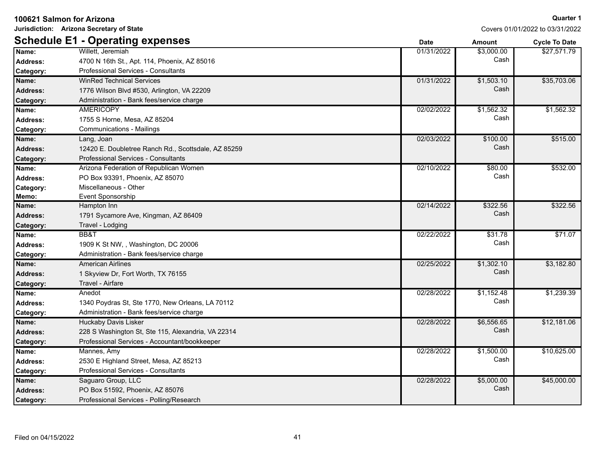|                 | Jurisdiction: Arizona Secretary of State            |             | COVERS UT/UT/ZUZZ TO U3/3T/ZUZZ |                      |
|-----------------|-----------------------------------------------------|-------------|---------------------------------|----------------------|
|                 | <b>Schedule E1 - Operating expenses</b>             | <b>Date</b> | <b>Amount</b>                   | <b>Cycle To Date</b> |
| Name:           | Willett, Jeremiah                                   | 01/31/2022  | \$3,000.00                      | \$27,571.79          |
| Address:        | 4700 N 16th St., Apt. 114, Phoenix, AZ 85016        |             | Cash                            |                      |
| Category:       | Professional Services - Consultants                 |             |                                 |                      |
| Name:           | <b>WinRed Technical Services</b>                    | 01/31/2022  | \$1,503.10                      | \$35,703.06          |
| <b>Address:</b> | 1776 Wilson Blvd #530, Arlington, VA 22209          |             | Cash                            |                      |
| Category:       | Administration - Bank fees/service charge           |             |                                 |                      |
| Name:           | <b>AMERICOPY</b>                                    | 02/02/2022  | \$1,562.32                      | \$1,562.32           |
| <b>Address:</b> | 1755 S Horne, Mesa, AZ 85204                        |             | Cash                            |                      |
| Category:       | <b>Communications - Mailings</b>                    |             |                                 |                      |
| Name:           | Lang, Joan                                          | 02/03/2022  | \$100.00                        | \$515.00             |
| <b>Address:</b> | 12420 E. Doubletree Ranch Rd., Scottsdale, AZ 85259 |             | Cash                            |                      |
| Category:       | <b>Professional Services - Consultants</b>          |             |                                 |                      |
| Name:           | Arizona Federation of Republican Women              | 02/10/2022  | \$80.00                         | \$532.00             |
| <b>Address:</b> | PO Box 93391, Phoenix, AZ 85070                     |             | Cash                            |                      |
| Category:       | Miscellaneous - Other                               |             |                                 |                      |
| Memo:           | Event Sponsorship                                   |             |                                 |                      |
| Name:           | Hampton Inn                                         | 02/14/2022  | \$322.56                        | \$322.56             |
| <b>Address:</b> | 1791 Sycamore Ave, Kingman, AZ 86409                |             | Cash                            |                      |
| Category:       | Travel - Lodging                                    |             |                                 |                      |
| Name:           | BB&T                                                | 02/22/2022  | \$31.78                         | \$71.07              |
| <b>Address:</b> | 1909 K St NW, , Washington, DC 20006                |             | Cash                            |                      |
| Category:       | Administration - Bank fees/service charge           |             |                                 |                      |
| Name:           | <b>American Airlines</b>                            | 02/25/2022  | \$1,302.10                      | \$3,182.80           |
| <b>Address:</b> | 1 Skyview Dr, Fort Worth, TX 76155                  |             | Cash                            |                      |
| Category:       | Travel - Airfare                                    |             |                                 |                      |
| Name:           | Anedot                                              | 02/28/2022  | \$1,152.48                      | \$1,239.39           |
| <b>Address:</b> | 1340 Poydras St, Ste 1770, New Orleans, LA 70112    |             | Cash                            |                      |
| Category:       | Administration - Bank fees/service charge           |             |                                 |                      |
| Name:           | <b>Huckaby Davis Lisker</b>                         | 02/28/2022  | \$6,556.65                      | \$12,181.06          |
| <b>Address:</b> | 228 S Washington St, Ste 115, Alexandria, VA 22314  |             | Cash                            |                      |
| Category:       | Professional Services - Accountant/bookkeeper       |             |                                 |                      |
| Name:           | Mannes, Amy                                         | 02/28/2022  | \$1,500.00                      | \$10,625.00          |
| <b>Address:</b> | 2530 E Highland Street, Mesa, AZ 85213              |             | Cash                            |                      |
| Category:       | Professional Services - Consultants                 |             |                                 |                      |
| Name:           | Saguaro Group, LLC                                  | 02/28/2022  | \$5,000.00                      | \$45,000.00          |
| <b>Address:</b> | PO Box 51592, Phoenix, AZ 85076                     |             | Cash                            |                      |
| Category:       | Professional Services - Polling/Research            |             |                                 |                      |

**100621 Salmon for Arizona Jurisdiction: Arizona Secretary of State**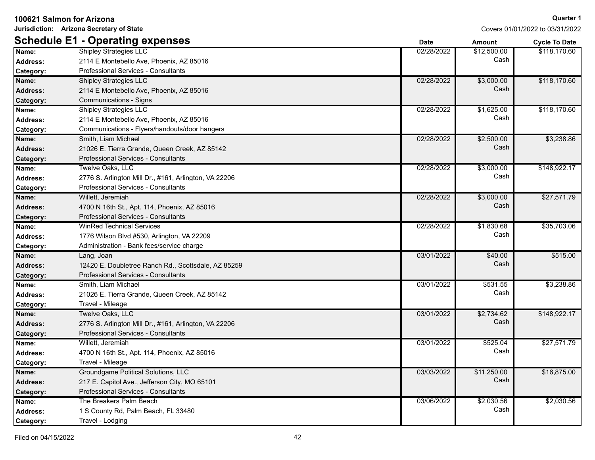|                  | Jurisdiction: Arizona Secretary of State              |             | Covers 01/01/2022 to 03/31/2022 |                      |
|------------------|-------------------------------------------------------|-------------|---------------------------------|----------------------|
|                  | <b>Schedule E1 - Operating expenses</b>               | <b>Date</b> | Amount                          | <b>Cycle To Date</b> |
| Name:            | <b>Shipley Strategies LLC</b>                         | 02/28/2022  | \$12,500.00                     | \$118,170.60         |
| Address:         | 2114 E Montebello Ave, Phoenix, AZ 85016              |             | Cash                            |                      |
| Category:        | Professional Services - Consultants                   |             |                                 |                      |
| Name:            | <b>Shipley Strategies LLC</b>                         | 02/28/2022  | \$3,000.00                      | \$118,170.60         |
| <b>Address:</b>  | 2114 E Montebello Ave, Phoenix, AZ 85016              |             | Cash                            |                      |
| Category:        | Communications - Signs                                |             |                                 |                      |
| Name:            | Shipley Strategies LLC                                | 02/28/2022  | \$1,625.00                      | \$118,170.60         |
| <b>Address:</b>  | 2114 E Montebello Ave, Phoenix, AZ 85016              |             | Cash                            |                      |
| Category:        | Communications - Flyers/handouts/door hangers         |             |                                 |                      |
| Name:            | Smith, Liam Michael                                   | 02/28/2022  | \$2,500.00                      | \$3,238.86           |
| <b>Address:</b>  | 21026 E. Tierra Grande, Queen Creek, AZ 85142         |             | Cash                            |                      |
| Category:        | Professional Services - Consultants                   |             |                                 |                      |
| Name:            | Twelve Oaks, LLC                                      | 02/28/2022  | \$3,000.00                      | \$148,922.17         |
| <b>Address:</b>  | 2776 S. Arlington Mill Dr., #161, Arlington, VA 22206 |             | Cash                            |                      |
| Category:        | Professional Services - Consultants                   |             |                                 |                      |
| Name:            | Willett, Jeremiah                                     | 02/28/2022  | \$3,000.00                      | \$27,571.79          |
| <b>Address:</b>  | 4700 N 16th St., Apt. 114, Phoenix, AZ 85016          |             | Cash                            |                      |
| Category:        | Professional Services - Consultants                   |             |                                 |                      |
| Name:            | <b>WinRed Technical Services</b>                      | 02/28/2022  | \$1,830.68                      | \$35,703.06          |
| <b>Address:</b>  | 1776 Wilson Blvd #530, Arlington, VA 22209            |             | Cash                            |                      |
| Category:        | Administration - Bank fees/service charge             |             |                                 |                      |
| Name:            | Lang, Joan                                            | 03/01/2022  | \$40.00                         | \$515.00             |
| <b>Address:</b>  | 12420 E. Doubletree Ranch Rd., Scottsdale, AZ 85259   |             | Cash                            |                      |
| Category:        | <b>Professional Services - Consultants</b>            |             |                                 |                      |
| Name:            | Smith, Liam Michael                                   | 03/01/2022  | \$531.55                        | \$3,238.86           |
| <b>Address:</b>  | 21026 E. Tierra Grande, Queen Creek, AZ 85142         |             | Cash                            |                      |
| Category:        | Travel - Mileage                                      |             |                                 |                      |
| Name:            | Twelve Oaks, LLC                                      | 03/01/2022  | \$2,734.62                      | \$148,922.17         |
| <b>Address:</b>  | 2776 S. Arlington Mill Dr., #161, Arlington, VA 22206 |             | Cash                            |                      |
| <b>Category:</b> | Professional Services - Consultants                   |             |                                 |                      |
| Name:            | Willett, Jeremiah                                     | 03/01/2022  | \$525.04                        | \$27,571.79          |
| <b>Address:</b>  | 4700 N 16th St., Apt. 114, Phoenix, AZ 85016          |             | Cash                            |                      |
| Category:        | Travel - Mileage                                      |             |                                 |                      |
| Name:            | Groundgame Political Solutions, LLC                   | 03/03/2022  | \$11,250.00                     | \$16,875.00          |
| <b>Address:</b>  | 217 E. Capitol Ave., Jefferson City, MO 65101         |             | Cash                            |                      |
| <b>Category:</b> | Professional Services - Consultants                   |             |                                 |                      |
| Name:            | The Breakers Palm Beach                               | 03/06/2022  | \$2,030.56                      | \$2,030.56           |
| <b>Address:</b>  | 1 S County Rd, Palm Beach, FL 33480                   |             | Cash                            |                      |
| <b>Category:</b> | Travel - Lodging                                      |             |                                 |                      |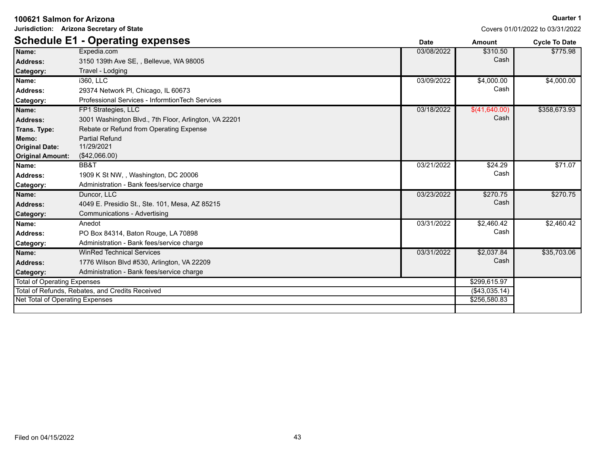**Jurisdiction: Arizona Secretary of State**

|                                                 | <b>Schedule E1 - Operating expenses</b>               | <b>Date</b>   | <b>Amount</b> | <b>Cycle To Date</b> |
|-------------------------------------------------|-------------------------------------------------------|---------------|---------------|----------------------|
| Name:                                           | Expedia.com                                           | 03/08/2022    | \$310.50      | \$775.98             |
| Address:                                        | 3150 139th Ave SE, , Bellevue, WA 98005               |               | Cash          |                      |
| Category:                                       | Travel - Lodging                                      |               |               |                      |
| Name:                                           | i360, LLC                                             | 03/09/2022    | \$4,000.00    | \$4,000.00           |
| <b>Address:</b>                                 | 29374 Network PI, Chicago, IL 60673                   |               | Cash          |                      |
| Category:                                       | Professional Services - InformtionTech Services       |               |               |                      |
| Name:                                           | FP1 Strategies, LLC                                   | 03/18/2022    | \$(41,640.00) | \$358,673.93         |
| <b>Address:</b>                                 | 3001 Washington Blvd., 7th Floor, Arlington, VA 22201 |               | Cash          |                      |
| Trans. Type:                                    | Rebate or Refund from Operating Expense               |               |               |                      |
| Memo:                                           | <b>Partial Refund</b>                                 |               |               |                      |
| <b>Original Date:</b>                           | 11/29/2021                                            |               |               |                      |
| <b>Original Amount:</b>                         | (\$42,066.00)                                         |               |               |                      |
| Name:                                           | BB&T                                                  | 03/21/2022    | \$24.29       | \$71.07              |
| Address:                                        | 1909 K St NW., Washington, DC 20006                   |               | Cash          |                      |
| <b>Category:</b>                                | Administration - Bank fees/service charge             |               |               |                      |
| Name:                                           | Duncor, LLC                                           | 03/23/2022    | \$270.75      | \$270.75             |
| Address:                                        | 4049 E. Presidio St., Ste. 101, Mesa, AZ 85215        |               | Cash          |                      |
| <b>Category:</b>                                | Communications - Advertising                          |               |               |                      |
| Name:                                           | Anedot                                                | 03/31/2022    | \$2,460.42    | \$2,460.42           |
| Address:                                        | PO Box 84314, Baton Rouge, LA 70898                   |               | Cash          |                      |
| <b>Category:</b>                                | Administration - Bank fees/service charge             |               |               |                      |
| Name:                                           | <b>WinRed Technical Services</b>                      | 03/31/2022    | \$2,037.84    | \$35,703.06          |
| <b>Address:</b>                                 | 1776 Wilson Blvd #530, Arlington, VA 22209            |               | Cash          |                      |
| <b>Category:</b>                                | Administration - Bank fees/service charge             |               |               |                      |
| Total of Operating Expenses                     |                                                       | \$299,615.97  |               |                      |
| Total of Refunds, Rebates, and Credits Received |                                                       | (\$43,035.14) |               |                      |
| Net Total of Operating Expenses                 |                                                       | \$256,580.83  |               |                      |
|                                                 |                                                       |               |               |                      |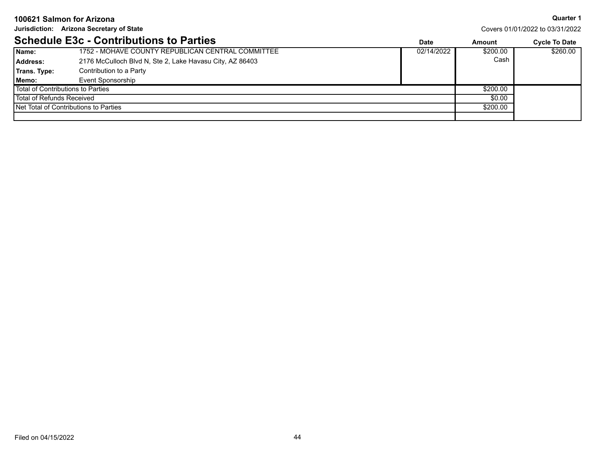**Jurisdiction: Arizona Secretary of State**

**Quarter 1**

Covers 01/01/2022 to 03/31/2022

### **Schedule E3c - Contributions to Parties**

|                                       | <u> OCHEUDIE LUC - CONTINUUDIIS IU FAILIES</u>           | Date       | Amount   | CVCIE TO DATE |
|---------------------------------------|----------------------------------------------------------|------------|----------|---------------|
| Name:                                 | 1752 - MOHAVE COUNTY REPUBLICAN CENTRAL COMMITTEE        | 02/14/2022 | \$200.00 | \$260.00      |
| Address:                              | 2176 McCulloch Blvd N, Ste 2, Lake Havasu City, AZ 86403 |            | Cash     |               |
| Trans. Type:                          | Contribution to a Party                                  |            |          |               |
| Memo:                                 | Event Sponsorship                                        |            |          |               |
| Total of Contributions to Parties     |                                                          | \$200.00   |          |               |
| Total of Refunds Received             |                                                          |            | \$0.00   |               |
| Net Total of Contributions to Parties |                                                          | \$200.00   |          |               |
|                                       |                                                          |            |          |               |